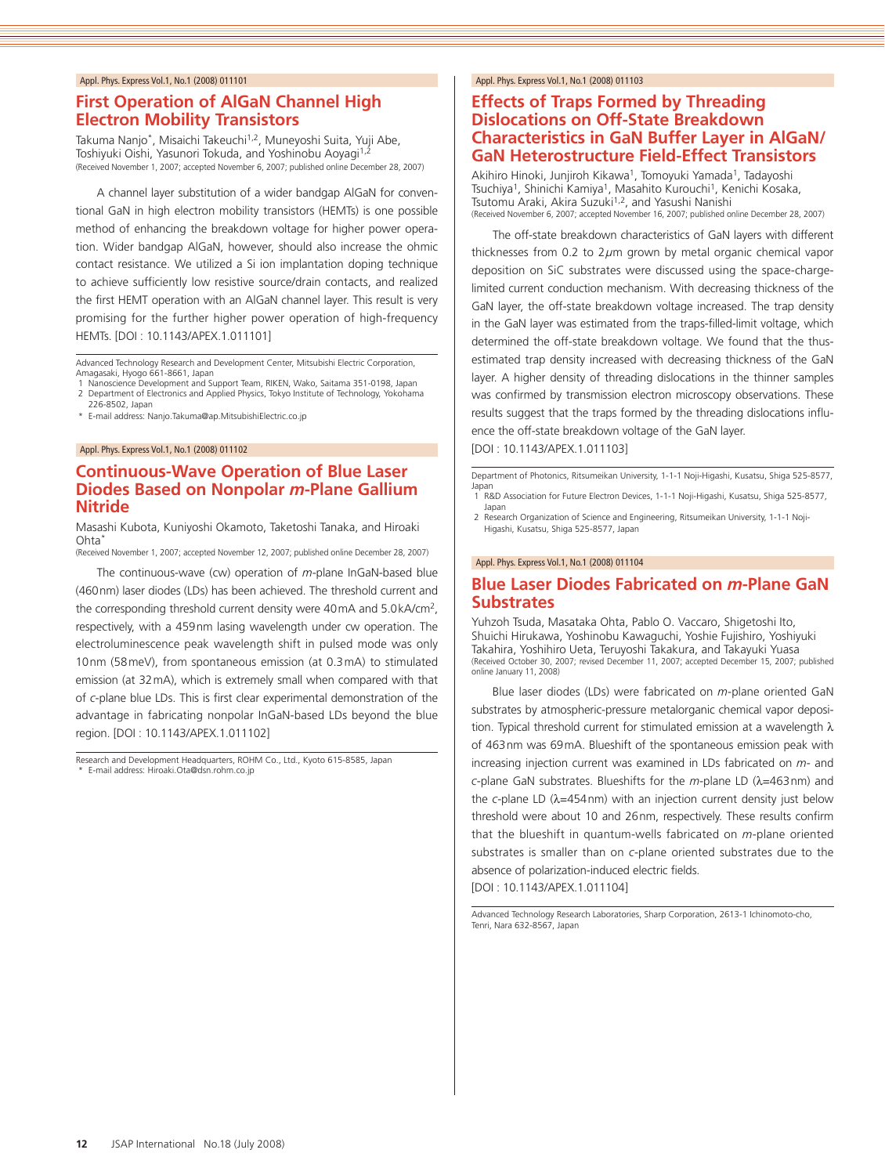# **First Operation of AlGaN Channel High Electron Mobility Transistors**

Takuma Nanjo\*, Misaichi Takeuchi<sup>1,2</sup>, Muneyoshi Suita, Yuji Abe, Toshiyuki Oishi, Yasunori Tokuda, and Yoshinobu Aoyagi<sup>1,2</sup> (Received November 1, 2007; accepted November 6, 2007; published online December 28, 2007)

A channel layer substitution of a wider bandgap AlGaN for conventional GaN in high electron mobility transistors (HEMTs) is one possible method of enhancing the breakdown voltage for higher power operation. Wider bandgap AlGaN, however, should also increase the ohmic contact resistance. We utilized a Si ion implantation doping technique to achieve sufficiently low resistive source/drain contacts, and realized the first HEMT operation with an AlGaN channel layer. This result is very promising for the further higher power operation of high-frequency HEMTs. [DOI : 10.1143/APEX.1.011101]

Advanced Technology Research and Development Center, Mitsubishi Electric Corporation, Amagasaki, Hyogo 661-8661, Japan Nanoscience Development and Support Team, RIKEN, Wako, Saitama 351-0198, Japan

- 2 Department of Electronics and Applied Physics, Tokyo Institute of Technology, Yokohama 226-8502, Japan
- \* E-mail address: Nanjo.Takuma@ap.MitsubishiElectric.co.jp

#### Appl. Phys. Express Vol.1, No.1 (2008) 011102

### **Continuous-Wave Operation of Blue Laser Diodes Based on Nonpolar** *m***-Plane Gallium Nitride**

Masashi Kubota, Kuniyoshi Okamoto, Taketoshi Tanaka, and Hiroaki Ohta<sup>\*</sup>

(Received November 1, 2007; accepted November 12, 2007; published online December 28, 2007)

The continuous-wave (cw) operation of *<sup>m</sup>*-plane InGaN-based blue (460nm) laser diodes (LDs) has been achieved. The threshold current and the corresponding threshold current density were 40mA and 5.0kA/cm<sup>2</sup>, respectively, with a 459nm lasing wavelength under cw operation. The electroluminescence peak wavelength shift in pulsed mode was only 10nm (58meV), from spontaneous emission (at 0.3mA) to stimulated emission (at 32mA), which is extremely small when compared with that of *<sup>c</sup>*-plane blue LDs. This is first clear experimental demonstration of the advantage in fabricating nonpolar InGaN-based LDs beyond the blue region. [DOI : 10.1143/APEX.1.011102]

Research and Development Headquarters, ROHM Co., Ltd., Kyoto 615-8585, Japan \* E-mail address: Hiroaki.Ota@dsn.rohm.co.jp

#### Appl. Phys. Express Vol.1, No.1 (2008) 011103

# **Effects of Traps Formed by Threading Dislocations on Off-State Breakdown Characteristics in GaN Buffer Layer in AlGaN/ GaN Heterostructure Field-Effect Transistors**

Akihiro Hinoki, Junjiroh Kikawa<sup>1</sup>, Tomoyuki Yamada<sup>1</sup>, Tadayoshi Tsuchiya<sup>1</sup>, Shinichi Kamiya<sup>1</sup>, Masahito Kurouchi<sup>1</sup>, Kenichi Kosaka, Tsutomu Araki, Akira Suzuki<sup>1,2</sup>, and Yasushi Nanishi<br>(Received November 6, 2007; accepted November 16, 2007; published online December 28, 2007)

The off-state breakdown characteristics of GaN layers with different thicknesses from 0.2 to 2*µ*m grown by metal organic chemical vapor deposition on SiC substrates were discussed using the space-chargelimited current conduction mechanism. With decreasing thickness of the GaN layer, the off-state breakdown voltage increased. The trap density in the GaN layer was estimated from the traps-filled-limit voltage, which determined the off-state breakdown voltage. We found that the thusestimated trap density increased with decreasing thickness of the GaN layer. A higher density of threading dislocations in the thinner samples was confirmed by transmission electron microscopy observations. These results suggest that the traps formed by the threading dislocations influence the off-state breakdown voltage of the GaN layer.

[DOI : 10.1143/APEX.1.011103]

Department of Photonics, Ritsumeikan University, 1-1-1 Noji-Higashi, Kusatsu, Shiga 525-8577, Japan

1<sup>'</sup> R&D Association for Future Electron Devices, 1-1-1 Noji-Higashi, Kusatsu, Shiga 525-8577, Japan

2 Research Organization of Science and Engineering, Ritsumeikan University, 1-1-1 Noji-Higashi, Kusatsu, Shiga 525-8577, Japan

#### Appl. Phys. Express Vol.1, No.1 (2008) 011104

# **Blue Laser Diodes Fabricated on** *m***-Plane GaN Substrates**

Yuhzoh Tsuda, Masataka Ohta, Pablo O. Vaccaro, Shigetoshi Ito, Shuichi Hirukawa, Yoshinobu Kawaguchi, Yoshie Fujishiro, Yoshiyuki Takahira, Yoshihiro Ueta, Teruyoshi Takakura, and Takayuki Yuasa (Received October 30, 2007; revised December 11, 2007; accepted December 15, 2007; published online January 11, 2008)

Blue laser diodes (LDs) were fabricated on *<sup>m</sup>*-plane oriented GaN substrates by atmospheric-pressure metalorganic chemical vapor deposition. Typical threshold current for stimulated emission at a wavelength λ of 463nm was 69mA. Blueshift of the spontaneous emission peak with increasing injection current was examined in LDs fabricated on *<sup>m</sup>*- and *<sup>c</sup>*-plane GaN substrates. Blueshifts for the *<sup>m</sup>*-plane LD (λ=463nm) and the *<sup>c</sup>*-plane LD (λ=454nm) with an injection current density just below threshold were about 10 and 26nm, respectively. These results confirm that the blueshift in quantum-wells fabricated on *<sup>m</sup>*-plane oriented substrates is smaller than on *<sup>c</sup>*-plane oriented substrates due to the absence of polarization-induced electric fields.

[DOI : 10.1143/APEX.1.011104]

Advanced Technology Research Laboratories, Sharp Corporation, 2613-1 Ichinomoto-cho, Tenri, Nara 632-8567, Japan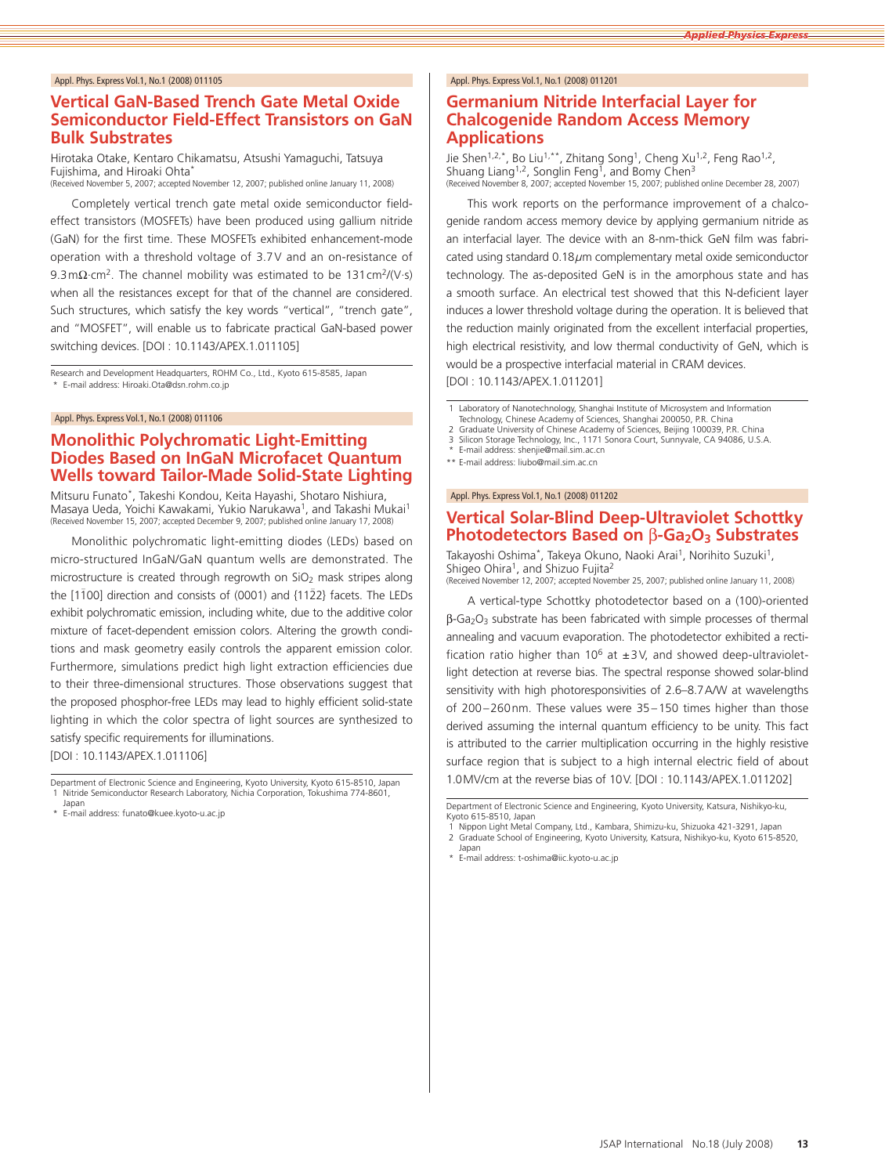# **Vertical GaN-Based Trench Gate Metal Oxide Semiconductor Field-Effect Transistors on GaN Bulk Substrates**

Hirotaka Otake, Kentaro Chikamatsu, Atsushi Yamaguchi, Tatsuya Fujishima, and Hiroaki Ohta\*

(Received November 5, 2007; accepted November 12, 2007; published online January 11, 2008)

Completely vertical trench gate metal oxide semiconductor fieldeffect transistors (MOSFETs) have been produced using gallium nitride (GaN) for the first time. These MOSFETs exhibited enhancement-mode operation with a threshold voltage of 3.7V and an on-resistance of 9.3m $\Omega$ ·cm<sup>2</sup>. The channel mobility was estimated to be 131cm<sup>2</sup>/(V·s) when all the resistances except for that of the channel are considered. Such structures, which satisfy the key words "vertical", "trench gate", and "MOSFET", will enable us to fabricate practical GaN-based power switching devices. [DOI : 10.1143/APEX.1.011105]

Research and Development Headquarters, ROHM Co., Ltd., Kyoto 615-8585, Japan \* E-mail address: Hiroaki.Ota@dsn.rohm.co.jp

#### Appl. Phys. Express Vol.1, No.1 (2008) 011106

# **Monolithic Polychromatic Light-Emitting Diodes Based on InGaN Microfacet Quantum Wells toward Tailor-Made Solid-State Lighting**

Mitsuru Funato\*, Takeshi Kondou, Keita Hayashi, Shotaro Nishiura, Masaya Ueda, Yoichi Kawakami, Yukio Narukawa1, and Takashi Mukai1 (Received November 15, 2007; accepted December 9, 2007; published online January 17, 2008)

Monolithic polychromatic light-emitting diodes (LEDs) based on micro-structured InGaN/GaN quantum wells are demonstrated. The microstructure is created through regrowth on  $SiO<sub>2</sub>$  mask stripes along the [1100] direction and consists of (0001) and {1122} facets. The LEDs exhibit polychromatic emission, including white, due to the additive color mixture of facet-dependent emission colors. Altering the growth conditions and mask geometry easily controls the apparent emission color. Furthermore, simulations predict high light extraction efficiencies due to their three-dimensional structures. Those observations suggest that the proposed phosphor-free LEDs may lead to highly efficient solid-state lighting in which the color spectra of light sources are synthesized to satisfy specific requirements for illuminations.

[DOI : 10.1143/APEX.1.011106]

Department of Electronic Science and Engineering, Kyoto University, Kyoto 615-8510, Japan 1 Nitride Semiconductor Research Laboratory, Nichia Corporation, Tokushima 774-8601, Japan

\* E-mail address: funato@kuee.kyoto-u.ac.jp

#### Appl. Phys. Express Vol.1, No.1 (2008) 011201

# **Germanium Nitride Interfacial Layer for Chalcogenide Random Access Memory Applications**

Jie Shen<sup>1,2,\*</sup>, Bo Liu<sup>1,\*\*</sup>, Zhitang Song<sup>1</sup>, Cheng Xu<sup>1,2</sup>, Feng Rao<sup>1,2</sup>, Shuang Liang<sup>1,2</sup>, Songlin Feng<sup>1</sup>, and Bomy Chen<sup>3</sup><br>(Received November 8, 2007; accepted November 15, 2007; published online December 28, 2007)

This work reports on the performance improvement of a chalcogenide random access memory device by applying germanium nitride as an interfacial layer. The device with an 8-nm-thick GeN film was fabricated using standard 0.18*µ*m complementary metal oxide semiconductor technology. The as-deposited GeN is in the amorphous state and has a smooth surface. An electrical test showed that this N-deficient layer induces a lower threshold voltage during the operation. It is believed that the reduction mainly originated from the excellent interfacial properties, high electrical resistivity, and low thermal conductivity of GeN, which is would be a prospective interfacial material in CRAM devices.

[DOI : 10.1143/APEX.1.011201]

1 Laboratory of Nanotechnology, Shanghai Institute of Microsystem and Information Technology, Chinese Academy of Sciences, Shanghai 200050, P.R. China

Graduate University of Chinese Academy of Sciences, Beijing 100039, P.R. China

3 Silicon Storage Technology, Inc., 1171 Sonora Court, Sunnyvale, CA 94086, U.S.A. E-mail address: shenjie@mail.sim.ac.cn

\*\* E-mail address: liubo@mail.sim.ac.cn

Appl. Phys. Express Vol.1, No.1 (2008) 011202

# **Vertical Solar-Blind Deep-Ultraviolet Schottky Photodetectors Based on β-Ga<sub>2</sub>O<sub>3</sub> Substrates**

Takayoshi Oshima\*, Takeya Okuno, Naoki Arai<sup>1</sup>, Norihito Suzuki<sup>1</sup>, Shigeo Ohira<sup>1</sup>, and Shizuo Fujita<sup>2</sup><br>(Received November 12, 2007; accepted November 25, 2007; published online January 11, 2008)

A vertical-type Schottky photodetector based on a (100)-oriented β-Ga2O3 substrate has been fabricated with simple processes of thermal annealing and vacuum evaporation. The photodetector exhibited a rectification ratio higher than 10<sup>6</sup> at  $\pm$ 3V, and showed deep-ultravioletlight detection at reverse bias. The spectral response showed solar-blind sensitivity with high photoresponsivities of 2.6–8.7 A/W at wavelengths of 200–260nm. These values were 35–150 times higher than those derived assuming the internal quantum efficiency to be unity. This fact is attributed to the carrier multiplication occurring in the highly resistive surface region that is subject to a high internal electric field of about 1.0MV/cm at the reverse bias of 10V. [DOI : 10.1143/APEX.1.011202]

Japan

Department of Electronic Science and Engineering, Kyoto University, Katsura, Nishikyo-ku, Kyoto 615-8510, Japan 1 Nippon Light Metal Company, Ltd., Kambara, Shimizu-ku, Shizuoka 421-3291, Japan

<sup>2</sup> Graduate School of Engineering, Kyoto University, Katsura, Nishikyo-ku, Kyoto 615-8520,

<sup>\*</sup> E-mail address: t-oshima@iic.kyoto-u.ac.jp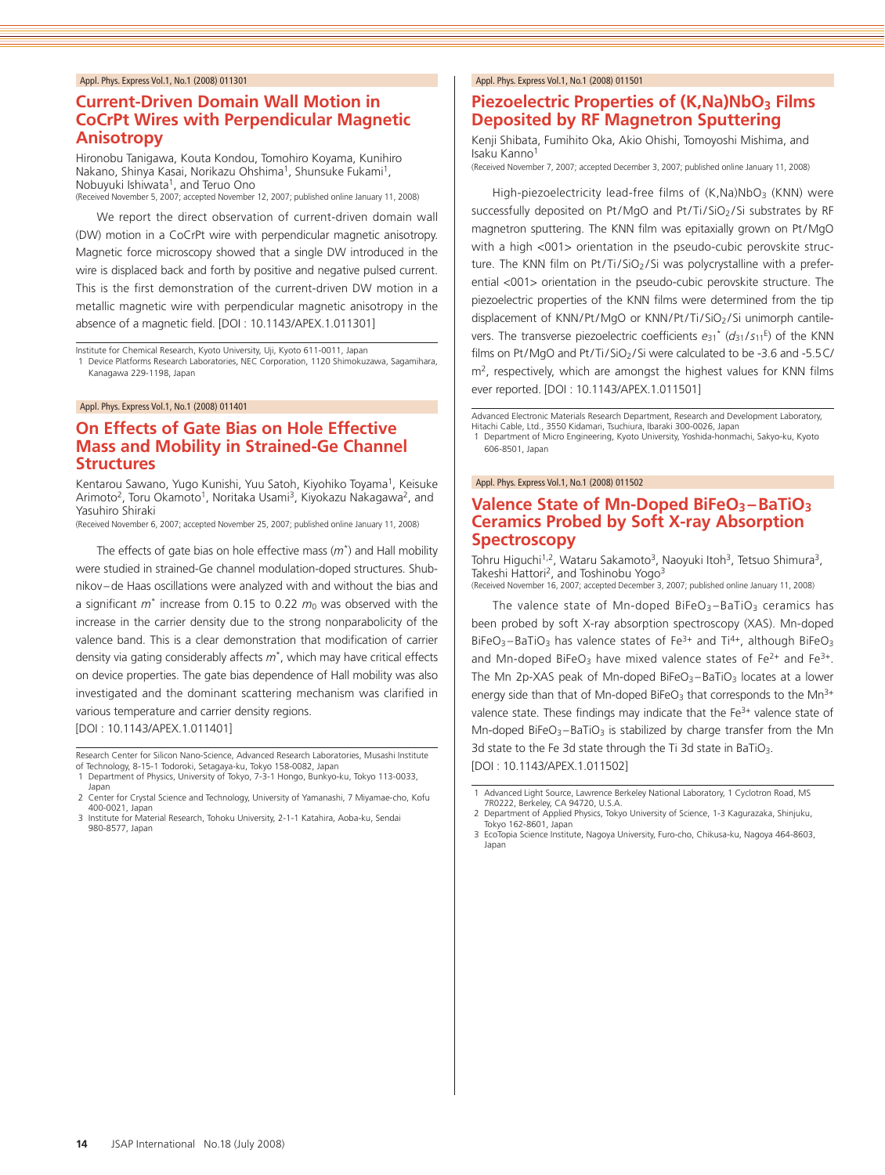# **Current-Driven Domain Wall Motion in CoCrPt Wires with Perpendicular Magnetic Anisotropy**

Hironobu Tanigawa, Kouta Kondou, Tomohiro Koyama, Kunihiro Nakano, Shinya Kasai, Norikazu Ohshima1, Shunsuke Fukami1, Nobuyuki Ishiwata<sup>1</sup>, and Teruo Ono<br>(Received November 5, 2007; accepted November 12, 2007; published online January 11, 2008)

We report the direct observation of current-driven domain wall (DW) motion in a CoCrPt wire with perpendicular magnetic anisotropy. Magnetic force microscopy showed that a single DW introduced in the wire is displaced back and forth by positive and negative pulsed current. This is the first demonstration of the current-driven DW motion in a metallic magnetic wire with perpendicular magnetic anisotropy in the absence of a magnetic field. [DOI : 10.1143/APEX.1.011301]

Institute for Chemical Research, Kyoto University, Uji, Kyoto 611-0011, Japan 1 Device Platforms Research Laboratories, NEC Corporation, 1120 Shimokuzawa, Sagamihara, Kanagawa 229-1198, Japan

Appl. Phys. Express Vol.1, No.1 (2008) 011401

# **On Effects of Gate Bias on Hole Effective Mass and Mobility in Strained-Ge Channel Structures**

Kentarou Sawano, Yugo Kunishi, Yuu Satoh, Kiyohiko Toyama<sup>1</sup>, Keisuke Arimoto<sup>2</sup>, Toru Okamoto<sup>1</sup>, Noritaka Usami<sup>3</sup>, Kiyokazu Nakagawa<sup>2</sup>, and Yasuhiro Shiraki

(Received November 6, 2007; accepted November 25, 2007; published online January 11, 2008)

The effects of gate bias on hole effective mass (*m*\*) and Hall mobility were studied in strained-Ge channel modulation-doped structures. Shubnikov–de Haas oscillations were analyzed with and without the bias and a significant *<sup>m</sup>*\* increase from 0.15 to 0.22 *<sup>m</sup>*<sup>0</sup> was observed with the increase in the carrier density due to the strong nonparabolicity of the valence band. This is a clear demonstration that modification of carrier density via gating considerably affects *<sup>m</sup>*\*, which may have critical effects on device properties. The gate bias dependence of Hall mobility was also investigated and the dominant scattering mechanism was clarified in various temperature and carrier density regions.

[DOI : 10.1143/APEX.1.011401]

Research Center for Silicon Nano-Science, Advanced Research Laboratories, Musashi Institute of Technology, 8-15-1 Todoroki, Setagaya-ku, Tokyo 158-0082, Japan 1 Department of Physics, University of Tokyo, 7-3-1 Hongo, Bunkyo-ku, Tokyo 113-0033,

#### Appl. Phys. Express Vol.1, No.1 (2008) 011501

### **Piezoelectric Properties of (K,Na)NbO3 Films Deposited by RF Magnetron Sputtering**

Kenji Shibata, Fumihito Oka, Akio Ohishi, Tomoyoshi Mishima, and Isaku Kanno

(Received November 7, 2007; accepted December 3, 2007; published online January 11, 2008)

High-piezoelectricity lead-free films of (K,Na)NbO<sub>3</sub> (KNN) were successfully deposited on Pt/MgO and Pt/Ti/SiO2/Si substrates by RF magnetron sputtering. The KNN film was epitaxially grown on Pt/MgO with a high <001> orientation in the pseudo-cubic perovskite structure. The KNN film on Pt/Ti/SiO<sub>2</sub>/Si was polycrystalline with a preferential <001> orientation in the pseudo-cubic perovskite structure. The piezoelectric properties of the KNN films were determined from the tip displacement of KNN/Pt/MgO or KNN/Pt/Ti/SiO<sub>2</sub>/Si unimorph cantilevers. The transverse piezoelectric coefficients  $e_{31}$ <sup>\*</sup> ( $d_{31}/s_{11}$ <sup>E</sup>) of the KNN films on Pt/MgO and Pt/Ti/SiO<sub>2</sub>/Si were calculated to be -3.6 and -5.5C/ m<sup>2</sup>, respectively, which are amongst the highest values for KNN films ever reported. [DOI : 10.1143/APEX.1.011501]

Advanced Electronic Materials Research Department, Research and Development Laboratory, Hitachi Cable, Ltd., 3550 Kidamari, Tsuchiura, Ibaraki 300-0026, Japan 1 Department of Micro Engineering, Kyoto University, Yoshida-honmachi, Sakyo-ku, Kyoto 606-8501, Japan

#### Appl. Phys. Express Vol.1, No.1 (2008) 011502

# **Valence State of Mn-Doped BiFeO3 –BaTiO3 Ceramics Probed by Soft X-ray Absorption Spectroscopy**

Tohru Higuchi<sup>1,2</sup>, Wataru Sakamoto<sup>3</sup>, Naoyuki Itoh<sup>3</sup>, Tetsuo Shimura<sup>3</sup>, Takeshi Hattori<sup>2</sup>, and Toshinobu Yogo<sup>3</sup><br>(Received November 16, 2007; accepted December 3, 2007; published online January 11, 2008)

The valence state of Mn-doped BiFeO $3 - B$ aTiO<sub>3</sub> ceramics has been probed by soft X-ray absorption spectroscopy (XAS). Mn-doped BiFeO<sub>3</sub>-BaTiO<sub>3</sub> has valence states of Fe<sup>3+</sup> and Ti<sup>4+</sup>, although BiFeO<sub>3</sub> and Mn-doped BiFeO<sub>3</sub> have mixed valence states of Fe<sup>2+</sup> and Fe<sup>3+</sup>. The Mn 2p-XAS peak of Mn-doped BiFeO<sub>3</sub>-BaTiO<sub>3</sub> locates at a lower energy side than that of Mn-doped BiFeO<sub>3</sub> that corresponds to the Mn<sup>3+</sup> valence state. These findings may indicate that the Fe<sup>3+</sup> valence state of Mn-doped BiFeO<sub>3</sub>-BaTiO<sub>3</sub> is stabilized by charge transfer from the Mn 3d state to the Fe 3d state through the Ti 3d state in BaTiO3. [DOI : 10.1143/APEX.1.011502]

Japan

<sup>2</sup> Center for Crystal Science and Technology, University of Yamanashi, 7 Miyamae-cho, Kofu 400-0021, Japan

<sup>3</sup> Institute for Material Research, Tohoku University, 2-1-1 Katahira, Aoba-ku, Sendai 980-8577, Japan

<sup>1</sup> Advanced Light Source, Lawrence Berkeley National Laboratory, 1 Cyclotron Road, MS 7R0222, Berkeley, CA 94720, U.S.A.

<sup>2</sup> Department of Applied Physics, Tokyo University of Science, 1-3 Kagurazaka, Shinjuku, Tokyo 162-8601, Japan 3 EcoTopia Science Institute, Nagoya University, Furo-cho, Chikusa-ku, Nagoya 464-8603,

Japan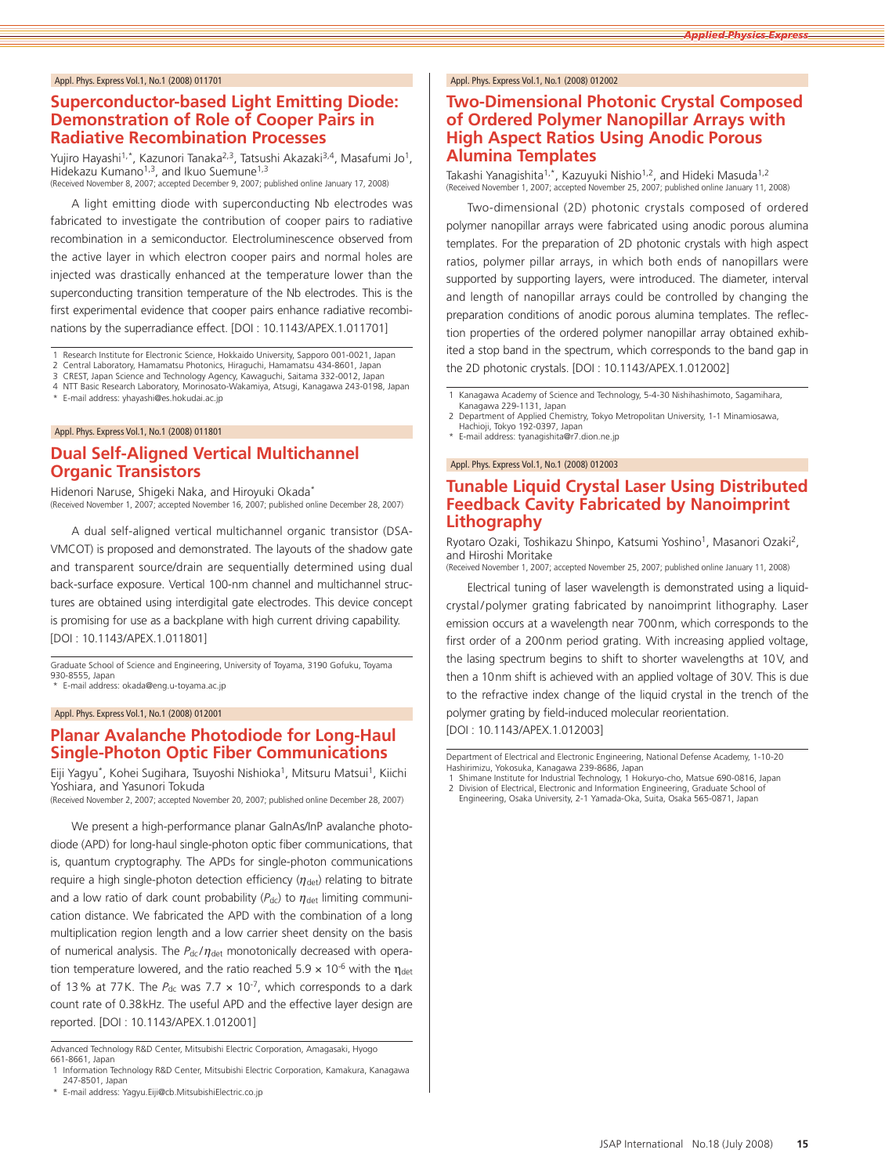# **Superconductor-based Light Emitting Diode: Demonstration of Role of Cooper Pairs in Radiative Recombination Processes**

Yujiro Hayashi<sup>1,\*</sup>, Kazunori Tanaka<sup>2,3</sup>, Tatsushi Akazaki<sup>3,4</sup>, Masafumi Jo<sup>1</sup>, Hidekazu Kumano<sup>1,3</sup>, and Ikuo Suemune<sup>1,3</sup><br>(Received November 8, 2007; accepted December 9, 2007; published online January 17, 2008)

A light emitting diode with superconducting Nb electrodes was fabricated to investigate the contribution of cooper pairs to radiative recombination in a semiconductor. Electroluminescence observed from the active layer in which electron cooper pairs and normal holes are injected was drastically enhanced at the temperature lower than the superconducting transition temperature of the Nb electrodes. This is the first experimental evidence that cooper pairs enhance radiative recombinations by the superradiance effect. [DOI : 10.1143/APEX.1.011701]

1 Research Institute for Electronic Science, Hokkaido University, Sapporo 001-0021, Japan<br>2 Central Laboratory, Hamamatsu Photonics, Hiraguchi, Hamamatsu 434-8601, Japan

3 CREST, Japan Science and Technology Agency, Kawaguchi, Saitama 332-0012, Japan

4 NTT Basic Research Laboratory, Morinosato-Wakamiya, Atsugi, Kanagawa 243-0198, Japan

E-mail address: yhayashi@es.hokudai.ac.jp

Appl. Phys. Express Vol.1, No.1 (2008) 011801

# **Dual Self-Aligned Vertical Multichannel Organic Transistors**

Hidenori Naruse, Shigeki Naka, and Hiroyuki Okada\* (Received November 1, 2007; accepted November 16, 2007; published online December 28, 2007)

A dual self-aligned vertical multichannel organic transistor (DSA-VMCOT) is proposed and demonstrated. The layouts of the shadow gate and transparent source/drain are sequentially determined using dual back-surface exposure. Vertical 100-nm channel and multichannel structures are obtained using interdigital gate electrodes. This device concept is promising for use as a backplane with high current driving capability. [DOI : 10.1143/APEX.1.011801]

Graduate School of Science and Engineering, University of Toyama, 3190 Gofuku, Toyama 930-8555, Japan \* E-mail address: okada@eng.u-toyama.ac.jp

Appl. Phys. Express Vol.1, No.1 (2008) 012001

# **Planar Avalanche Photodiode for Long-Haul Single-Photon Optic Fiber Communications**

Eiji Yagyu\*, Kohei Sugihara, Tsuyoshi Nishioka<sup>1</sup>, Mitsuru Matsui<sup>1</sup>, Kiichi Yoshiara, and Yasunori Tokuda

(Received November 2, 2007; accepted November 20, 2007; published online December 28, 2007)

We present a high-performance planar GaInAs/InP avalanche photodiode (APD) for long-haul single-photon optic fiber communications, that is, quantum cryptography. The APDs for single-photon communications require a high single-photon detection efficiency  $(\eta_{\text{det}})$  relating to bitrate and a low ratio of dark count probability  $(P_{dc})$  to  $\eta_{det}$  limiting communication distance. We fabricated the APD with the combination of a long multiplication region length and a low carrier sheet density on the basis of numerical analysis. The *P<sub>dc</sub>/η<sub>det</sub>* monotonically decreased with operation temperature lowered, and the ratio reached 5.9  $\times$  10<sup>-6</sup> with the  $\eta_{\text{det}}$ of 13% at 77K. The  $P_{dc}$  was 7.7  $\times$  10<sup>-7</sup>, which corresponds to a dark count rate of 0.38kHz. The useful APD and the effective layer design are reported. [DOI : 10.1143/APEX.1.012001]

Advanced Technology R&D Center, Mitsubishi Electric Corporation, Amagasaki, Hyogo 661-8661, Japan

\* E-mail address: Yagyu.Eiji@cb.MitsubishiElectric.co.jp

#### Appl. Phys. Express Vol.1, No.1 (2008) 012002

# **Two-Dimensional Photonic Crystal Composed of Ordered Polymer Nanopillar Arrays with High Aspect Ratios Using Anodic Porous Alumina Templates**

Takashi Yanagishita<sup>1,\*</sup>, Kazuyuki Nishio<sup>1,2</sup>, and Hideki Masuda<sup>1,2</sup> (Received November 1, 2007; accepted November 25, 2007; published online January 11, 2008)

Two-dimensional (2D) photonic crystals composed of ordered polymer nanopillar arrays were fabricated using anodic porous alumina templates. For the preparation of 2D photonic crystals with high aspect ratios, polymer pillar arrays, in which both ends of nanopillars were supported by supporting layers, were introduced. The diameter, interval and length of nanopillar arrays could be controlled by changing the preparation conditions of anodic porous alumina templates. The reflection properties of the ordered polymer nanopillar array obtained exhibited a stop band in the spectrum, which corresponds to the band gap in the 2D photonic crystals. [DOI : 10.1143/APEX.1.012002]

1 Kanagawa Academy of Science and Technology, 5-4-30 Nishihashimoto, Sagamihara, Kanagawa 229-1131, Japan

2 Department of Applied Chemistry, Tokyo Metropolitan University, 1-1 Minamiosawa, Hachioji, Tokyo 192-0397, Japan

E-mail address: tyanagishita@r7.dion.ne.jp

Appl. Phys. Express Vol.1, No.1 (2008) 012003

# **Tunable Liquid Crystal Laser Using Distributed Feedback Cavity Fabricated by Nanoimprint Lithography**

Ryotaro Ozaki, Toshikazu Shinpo, Katsumi Yoshino<sup>1</sup>, Masanori Ozaki<sup>2</sup>, and Hiroshi Moritake

(Received November 1, 2007; accepted November 25, 2007; published online January 11, 2008)

Electrical tuning of laser wavelength is demonstrated using a liquidcrystal /polymer grating fabricated by nanoimprint lithography. Laser emission occurs at a wavelength near 700nm, which corresponds to the first order of a 200nm period grating. With increasing applied voltage, the lasing spectrum begins to shift to shorter wavelengths at 10V, and then a 10nm shift is achieved with an applied voltage of 30V. This is due to the refractive index change of the liquid crystal in the trench of the polymer grating by field-induced molecular reorientation.

[DOI : 10.1143/APEX.1.012003]

Department of Electrical and Electronic Engineering, National Defense Academy, 1-10-20 Hashirimizu, Yokosuka, Kanagawa 239-8686, Japan

<sup>1</sup> Information Technology R&D Center, Mitsubishi Electric Corporation, Kamakura, Kanagawa 247-8501, Japan

Shimane Institute for Industrial Technology, 1 Hokuryo-cho, Matsue 690-0816, Japan 2 Division of Electrical, Electronic and Information Engineering, Graduate School of

Engineering, Osaka University, 2-1 Yamada-Oka, Suita, Osaka 565-0871, Japan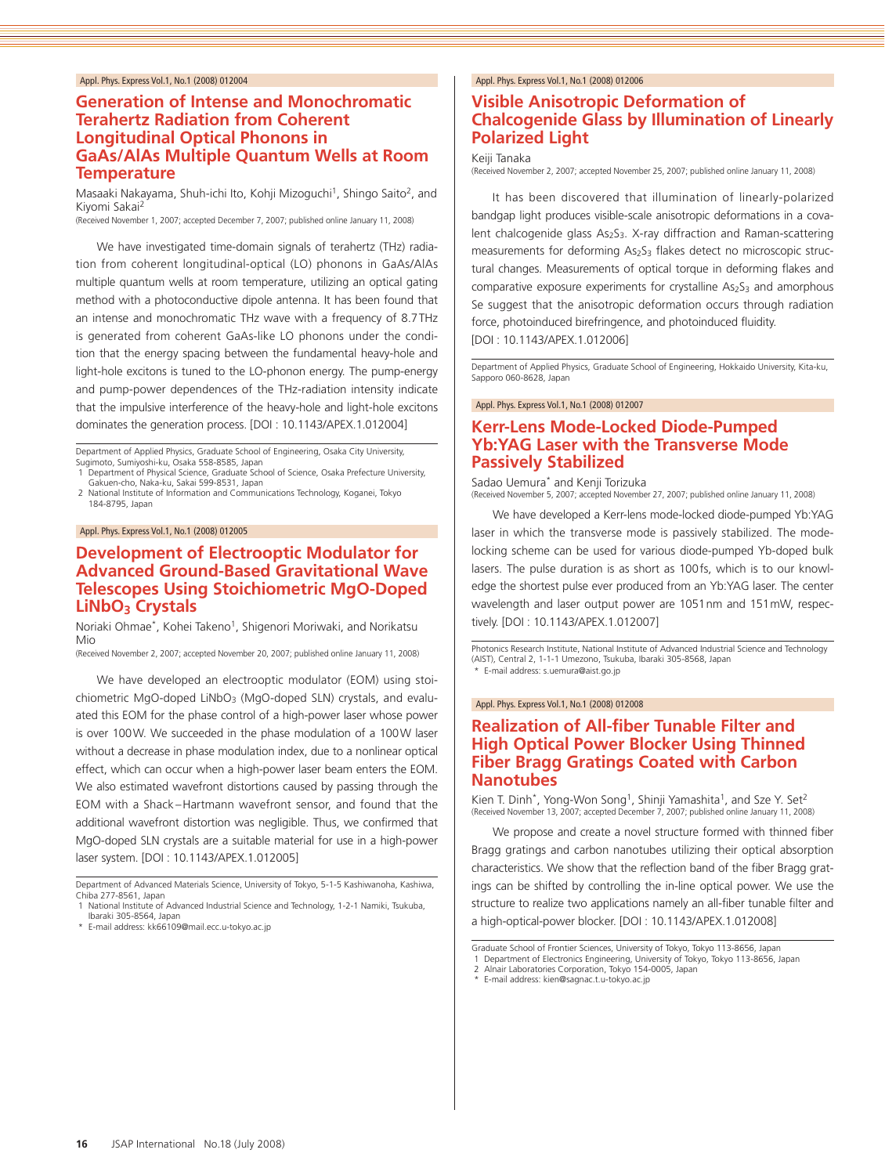### **Generation of Intense and Monochromatic Terahertz Radiation from Coherent Longitudinal Optical Phonons in GaAs/AlAs Multiple Quantum Wells at Room Temperature**

Masaaki Nakayama, Shuh-ichi Ito, Kohji Mizoguchi<sup>1</sup>, Shingo Saito<sup>2</sup>, and Kiyomi Sakai2

(Received November 1, 2007; accepted December 7, 2007; published online January 11, 2008)

We have investigated time-domain signals of terahertz (THz) radiation from coherent longitudinal-optical (LO) phonons in GaAs/AlAs multiple quantum wells at room temperature, utilizing an optical gating method with a photoconductive dipole antenna. It has been found that an intense and monochromatic THz wave with a frequency of 8.7THz is generated from coherent GaAs-like LO phonons under the condition that the energy spacing between the fundamental heavy-hole and light-hole excitons is tuned to the LO-phonon energy. The pump-energy and pump-power dependences of the THz-radiation intensity indicate that the impulsive interference of the heavy-hole and light-hole excitons dominates the generation process. [DOI : 10.1143/APEX.1.012004]

Department of Applied Physics, Graduate School of Engineering, Osaka City University, Sugimoto, Sumiyoshi-ku, Osaka 558-8585, Japan

1 Department of Physical Science, Graduate School of Science, Osaka Prefecture University, Gakuen-cho, Naka-ku, Sakai 599-8531, Japan 2 National Institute of Information and Communications Technology, Koganei, Tokyo

184-8795, Japan

#### Appl. Phys. Express Vol.1, No.1 (2008) 012005

### **Development of Electrooptic Modulator for Advanced Ground-Based Gravitational Wave Telescopes Using Stoichiometric MgO-Doped**  LiNbO<sub>3</sub> Crystals

Noriaki Ohmae<sup>\*</sup>, Kohei Takeno<sup>1</sup>, Shigenori Moriwaki, and Norikatsu Mio

(Received November 2, 2007; accepted November 20, 2007; published online January 11, 2008)

We have developed an electrooptic modulator (EOM) using stoichiometric MgO-doped LiNbO<sub>3</sub> (MgO-doped SLN) crystals, and evaluated this EOM for the phase control of a high-power laser whose power is over 100W. We succeeded in the phase modulation of a 100W laser without a decrease in phase modulation index, due to a nonlinear optical effect, which can occur when a high-power laser beam enters the EOM. We also estimated wavefront distortions caused by passing through the EOM with a Shack –Hartmann wavefront sensor, and found that the additional wavefront distortion was negligible. Thus, we confirmed that MgO-doped SLN crystals are a suitable material for use in a high-power laser system. [DOI : 10.1143/APEX.1.012005]

\* E-mail address: kk66109@mail.ecc.u-tokyo.ac.jp

#### Appl. Phys. Express Vol.1, No.1 (2008) 012006

# **Visible Anisotropic Deformation of Chalcogenide Glass by Illumination of Linearly Polarized Light**

Keiji Tanaka

(Received November 2, 2007; accepted November 25, 2007; published online January 11, 2008)

It has been discovered that illumination of linearly-polarized bandgap light produces visible-scale anisotropic deformations in a covalent chalcogenide glass As<sub>2</sub>S<sub>3</sub>. X-ray diffraction and Raman-scattering measurements for deforming  $As<sub>2</sub>S<sub>3</sub>$  flakes detect no microscopic structural changes. Measurements of optical torque in deforming flakes and comparative exposure experiments for crystalline  $As<sub>2</sub>S<sub>3</sub>$  and amorphous Se suggest that the anisotropic deformation occurs through radiation force, photoinduced birefringence, and photoinduced fluidity. [DOI : 10.1143/APEX.1.012006]

Department of Applied Physics, Graduate School of Engineering, Hokkaido University, Kita-ku, Sannoro 060-8628, Japan

#### Appl. Phys. Express Vol.1, No.1 (2008) 012007

### **Kerr-Lens Mode-Locked Diode-Pumped Yb:YAG Laser with the Transverse Mode Passively Stabilized**

Sadao Uemura\* and Kenji Torizuka (Received November 5, 2007; accepted November 27, 2007; published online January 11, 2008)

We have developed a Kerr-lens mode-locked diode-pumped Yb:YAG laser in which the transverse mode is passively stabilized. The modelocking scheme can be used for various diode-pumped Yb-doped bulk lasers. The pulse duration is as short as 100fs, which is to our knowledge the shortest pulse ever produced from an Yb:YAG laser. The center wavelength and laser output power are 1051nm and 151mW, respectively. [DOI : 10.1143/APEX.1.012007]

Photonics Research Institute, National Institute of Advanced Industrial Science and Technology (AIST), Central 2, 1-1-1 Umezono, Tsukuba, Ibaraki 305-8568, Japan \* E-mail address: s.uemura@aist.go.jp

#### Appl. Phys. Express Vol.1, No.1 (2008) 012008

# **Realization of All-fiber Tunable Filter and High Optical Power Blocker Using Thinned Fiber Bragg Gratings Coated with Carbon Nanotubes**

Kien T. Dinh<sup>\*</sup>, Yong-Won Song<sup>1</sup>, Shinji Yamashita<sup>1</sup>, and Sze Y. Set<sup>2</sup> (Received November 13, 2007; accepted December 7, 2007; published online January 11, 2008)

We propose and create a novel structure formed with thinned fiber Bragg gratings and carbon nanotubes utilizing their optical absorption characteristics. We show that the reflection band of the fiber Bragg gratings can be shifted by controlling the in-line optical power. We use the structure to realize two applications namely an all-fiber tunable filter and a high-optical-power blocker. [DOI : 10.1143/APEX.1.012008]

Department of Advanced Materials Science, University of Tokyo, 5-1-5 Kashiwanoha, Kashiwa, Chiba 277-8561, Japan 1 National Institute of Advanced Industrial Science and Technology, 1-2-1 Namiki, Tsukuba,

Ibaraki 305-8564, Japan

Graduate School of Frontier Sciences, University of Tokyo, Tokyo 113-8656, Japan

<sup>1</sup> Department of Electronics Engineering, University of Tokyo, Tokyo 113-8656, Japan<br>2 Alnair Laboratories Corporation, Tokyo 154-0005, Japan

<sup>\*</sup> E-mail address: kien@sagnac.t.u-tokyo.ac.jp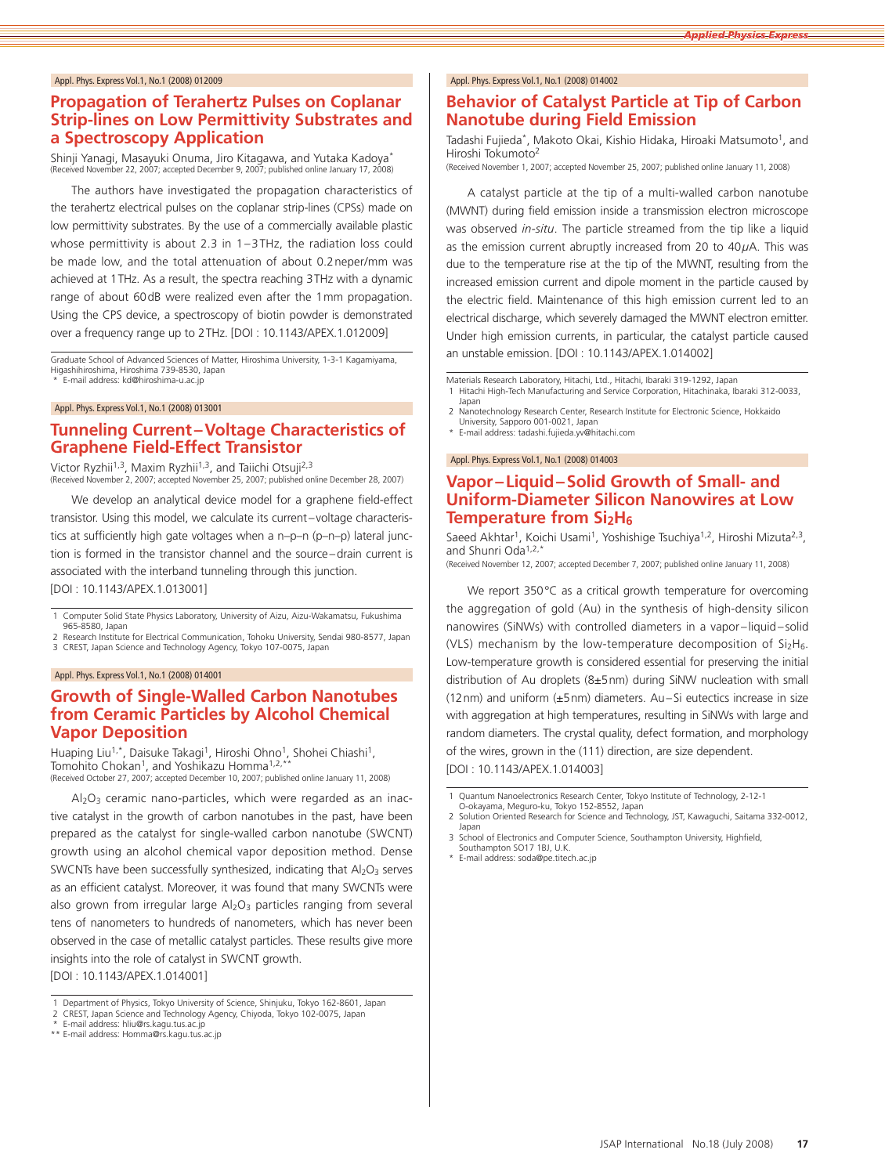# **Propagation of Terahertz Pulses on Coplanar Strip-lines on Low Permittivity Substrates and a Spectroscopy Application**

Shinji Yanagi, Masayuki Onuma, Jiro Kitagawa, and Yutaka Kadoya\* (Received November 22, 2007; accepted December 9, 2007; published online January 17, 2008)

The authors have investigated the propagation characteristics of the terahertz electrical pulses on the coplanar strip-lines (CPSs) made on low permittivity substrates. By the use of a commercially available plastic whose permittivity is about 2.3 in 1-3THz, the radiation loss could be made low, and the total attenuation of about 0.2neper/mm was achieved at 1THz. As a result, the spectra reaching 3THz with a dynamic range of about 60dB were realized even after the 1mm propagation. Using the CPS device, a spectroscopy of biotin powder is demonstrated over a frequency range up to 2THz. [DOI : 10.1143/APEX.1.012009]

Graduate School of Advanced Sciences of Matter, Hiroshima University, 1-3-1 Kagamiyama, Higashihiroshima, Hiroshima 739-8530, Japan

E-mail address: kd@hiroshima-u.ac.jp

Appl. Phys. Express Vol.1, No.1 (2008) 013001

# **Tunneling Current–Voltage Characteristics of Graphene Field-Effect Transistor**

Victor Ryzhii<sup>1,3</sup>, Maxim Ryzhii<sup>1,3</sup>, and Taiichi Otsuji<sup>2,3</sup> (Received November 2, 2007; accepted November 25, 2007; published online December 28, 2007)

We develop an analytical device model for a graphene field-effect transistor. Using this model, we calculate its current–voltage characteristics at sufficiently high gate voltages when a n–p–n (p–n–p) lateral junction is formed in the transistor channel and the source–drain current is associated with the interband tunneling through this junction. [DOI : 10.1143/APEX.1.013001]

1 Computer Solid State Physics Laboratory, University of Aizu, Aizu-Wakamatsu, Fukushima 965-8580, Japan

2 Research Institute for Electrical Communication, Tohoku University, Sendai 980-8577, Japan<br>3 CREST, Japan Science and Technology Agency, Tokyo 107-0075, Japan

#### Appl. Phys. Express Vol.1, No.1 (2008) 014001

### **Growth of Single-Walled Carbon Nanotubes from Ceramic Particles by Alcohol Chemical Vapor Deposition**

Huaping Liu<sup>1,\*</sup>, Daisuke Takagi<sup>1</sup>, Hiroshi Ohno<sup>1</sup>, Shohei Chiashi<sup>1</sup>, Tomohito Chokan<sup>1</sup>, and Yoshikazu Homma<sup>1,2,\*</sup>

(Received October 27, 2007; accepted December 10, 2007; published online January 11, 2008)

 $Al_2O_3$  ceramic nano-particles, which were regarded as an inactive catalyst in the growth of carbon nanotubes in the past, have been prepared as the catalyst for single-walled carbon nanotube (SWCNT) growth using an alcohol chemical vapor deposition method. Dense SWCNTs have been successfully synthesized, indicating that  $Al_2O_3$  serves as an efficient catalyst. Moreover, it was found that many SWCNTs were also grown from irregular large  $Al_2O_3$  particles ranging from several tens of nanometers to hundreds of nanometers, which has never been observed in the case of metallic catalyst particles. These results give more insights into the role of catalyst in SWCNT growth.

[DOI : 10.1143/APEX.1.014001]

- 1 Department of Physics, Tokyo University of Science, Shinjuku, Tokyo 162-8601, Japan<br>2 CREST, Japan Science and Technology Agency, Chiyoda, Tokyo 102-0075, Japan<br>\* Erecil oddraga kesudaran kiji @selosov.tro.ogy
- CREST, Japan Science and Technology Agency, Chiyoda, Tokyo 102-0075, Japan
- \* E-mail address: hliu@rs.kagu.tus.ac.jp
- \*\* E-mail address: Homma@rs.kagu.tus.ac.jp

#### Appl. Phys. Express Vol.1, No.1 (2008) 014002

#### **Behavior of Catalyst Particle at Tip of Carbon Nanotube during Field Emission**

Tadashi Fujieda\*, Makoto Okai, Kishio Hidaka, Hiroaki Matsumoto<sup>1</sup>, and Hiroshi Tokumoto2

(Received November 1, 2007; accepted November 25, 2007; published online January 11, 2008)

A catalyst particle at the tip of a multi-walled carbon nanotube (MWNT) during field emission inside a transmission electron microscope was observed *in-situ*. The particle streamed from the tip like a liquid as the emission current abruptly increased from 20 to 40*µ*A. This was due to the temperature rise at the tip of the MWNT, resulting from the increased emission current and dipole moment in the particle caused by the electric field. Maintenance of this high emission current led to an electrical discharge, which severely damaged the MWNT electron emitter. Under high emission currents, in particular, the catalyst particle caused an unstable emission. [DOI : 10.1143/APEX.1.014002]

Materials Research Laboratory, Hitachi, Ltd., Hitachi, Ibaraki 319-1292, Japan 1 Hitachi High-Tech Manufacturing and Service Corporation, Hitachinaka, Ibaraki 312-0033, Japan

- 2 Nanotechnology Research Center, Research Institute for Electronic Science, Hokkaido
- University, Sapporo 001-0021, Japan \* E-mail address: tadashi.fujieda.yv@hitachi.com

#### Appl. Phys. Express Vol.1, No.1 (2008) 014003

# **Vapor–Liquid–Solid Growth of Small- and Uniform-Diameter Silicon Nanowires at Low Temperature from Si<sub>2</sub>H<sub>6</sub>**

Saeed Akhtar<sup>1</sup>, Koichi Usami<sup>1</sup>, Yoshishige Tsuchiya<sup>1,2</sup>, Hiroshi Mizuta<sup>2,3</sup>, and Shunri Oda<sup>1,2</sup>

(Received November 12, 2007; accepted December 7, 2007; published online January 11, 2008)

We report 350°C as a critical growth temperature for overcoming the aggregation of gold (Au) in the synthesis of high-density silicon nanowires (SiNWs) with controlled diameters in a vapor –liquid–solid (VLS) mechanism by the low-temperature decomposition of  $Si<sub>2</sub>H<sub>6</sub>$ . Low-temperature growth is considered essential for preserving the initial distribution of Au droplets (8±5nm) during SiNW nucleation with small (12nm) and uniform (±5nm) diameters. Au–Si eutectics increase in size with aggregation at high temperatures, resulting in SiNWs with large and random diameters. The crystal quality, defect formation, and morphology of the wires, grown in the (111) direction, are size dependent. [DOI : 10.1143/APEX.1.014003]

<sup>1</sup> Quantum Nanoelectronics Research Center, Tokyo Institute of Technology, 2-12-1

O-okayama, Meguro-ku, Tokyo 152-8552, Japan 2 Solution Oriented Research for Science and Technology, JST, Kawaguchi, Saitama 332-0012, Japan

<sup>3</sup> School of Electronics and Computer Science, Southampton University, Highfield, Southampton SO17 1BJ, U.K.

E-mail address: soda@pe.titech.ac.jp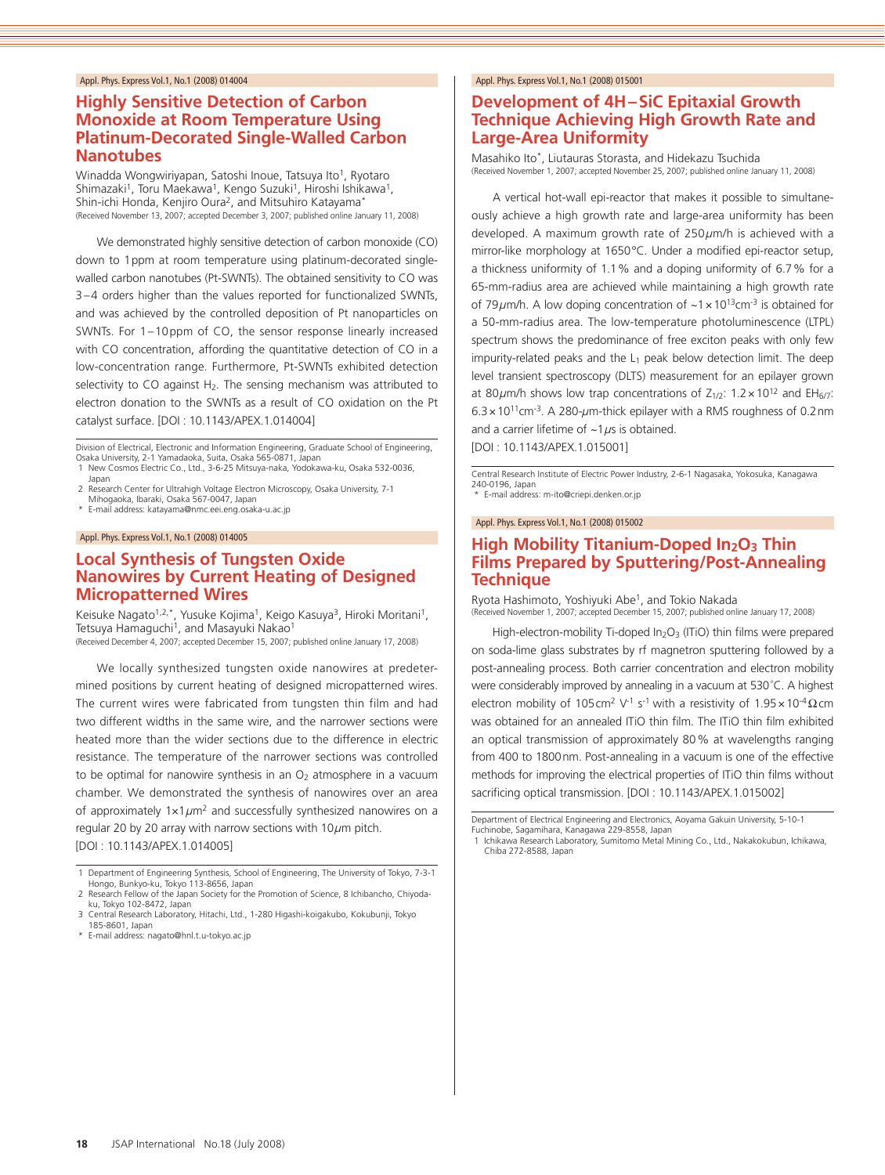# **Highly Sensitive Detection of Carbon Monoxide at Room Temperature Using Platinum-Decorated Single-Walled Carbon Nanotubes**

Winadda Wongwiriyapan, Satoshi Inoue, Tatsuya Ito<sup>1</sup>, Ryotaro Shimazaki<sup>1</sup>, Toru Maekawa<sup>1</sup>, Kengo Suzuki<sup>1</sup>, Hiroshi Ishikawa<sup>1</sup>, Shin-ichi Honda, Kenjiro Oura<sup>2</sup>, and Mitsuhiro Katayama<sup>\*</sup> (Received November 13, 2007; accepted December 3, 2007; published online January 11, 2008)

We demonstrated highly sensitive detection of carbon monoxide (CO) down to 1ppm at room temperature using platinum-decorated singlewalled carbon nanotubes (Pt-SWNTs). The obtained sensitivity to CO was 3–4 orders higher than the values reported for functionalized SWNTs, and was achieved by the controlled deposition of Pt nanoparticles on SWNTs. For 1–10ppm of CO, the sensor response linearly increased with CO concentration, affording the quantitative detection of CO in a low-concentration range. Furthermore, Pt-SWNTs exhibited detection selectivity to CO against  $H_2$ . The sensing mechanism was attributed to electron donation to the SWNTs as a result of CO oxidation on the Pt catalyst surface. [DOI : 10.1143/APEX.1.014004]

Division of Electrical, Electronic and Information Engineering, Graduate School of Engineering, Osaka University, 2-1 Yamadaoka, Suita, Osaka 565-0871, Japan 1 New Cosmos Electric Co., Ltd., 3-6-25 Mitsuya-naka, Yodokawa-ku, Osaka 532-0036,

- 
- Japan
- 2 Research Center for Ultrahigh Voltage Electron Microscopy, Osaka University, 7-1 Mihogaoka, Ibaraki, Osaka 567-0047, Japan
- \* E-mail address: katayama@nmc.eei.eng.osaka-u.ac.jp

#### Appl. Phys. Express Vol.1, No.1 (2008) 014005

# **Local Synthesis of Tungsten Oxide Nanowires by Current Heating of Designed Micropatterned Wires**

Keisuke Nagato<sup>1,2,\*</sup>, Yusuke Kojima<sup>1</sup>, Keigo Kasuya<sup>3</sup>, Hiroki Moritani<sup>1</sup>, Tetsuya Hamaguchi<sup>1</sup>, and Masayuki Nakao<sup>1</sup> (Received December 4, 2007; accepted December 15, 2007; published online January 17, 2008)

We locally synthesized tungsten oxide nanowires at predetermined positions by current heating of designed micropatterned wires. The current wires were fabricated from tungsten thin film and had two different widths in the same wire, and the narrower sections were heated more than the wider sections due to the difference in electric resistance. The temperature of the narrower sections was controlled to be optimal for nanowire synthesis in an  $O<sub>2</sub>$  atmosphere in a vacuum chamber. We demonstrated the synthesis of nanowires over an area of approximately 1×1*µ*m2 and successfully synthesized nanowires on a regular 20 by 20 array with narrow sections with 10*µ*m pitch. [DOI : 10.1143/APEX.1.014005]

\* E-mail address: nagato@hnl.t.u-tokyo.ac.jp

#### Appl. Phys. Express Vol.1, No.1 (2008) 015001

# **Development of 4H–SiC Epitaxial Growth Technique Achieving High Growth Rate and Large-Area Uniformity**

Masahiko Ito\*, Liutauras Storasta, and Hidekazu Tsuchida (Received November 1, 2007; accepted November 25, 2007; published online January 11, 2008)

A vertical hot-wall epi-reactor that makes it possible to simultaneously achieve a high growth rate and large-area uniformity has been developed. A maximum growth rate of 250*µ*m/h is achieved with a mirror-like morphology at 1650°C. Under a modified epi-reactor setup, a thickness uniformity of 1.1% and a doping uniformity of 6.7% for a 65-mm-radius area are achieved while maintaining a high growth rate of 79 $\mu$ m/h. A low doping concentration of ~1 x 10<sup>13</sup>cm<sup>-3</sup> is obtained for a 50-mm-radius area. The low-temperature photoluminescence (LTPL) spectrum shows the predominance of free exciton peaks with only few impurity-related peaks and the  $L_1$  peak below detection limit. The deep level transient spectroscopy (DLTS) measurement for an epilayer grown at 80 $\mu$ m/h shows low trap concentrations of  $Z_{1/2}$ : 1.2 × 10<sup>12</sup> and EH<sub>6/7</sub>: 6.3×1011cm-3. A 280-*µ*m-thick epilayer with a RMS roughness of 0.2nm and a carrier lifetime of ~1*µ*s is obtained.

[DOI : 10.1143/APEX.1.015001]

Central Research Institute of Electric Power Industry, 2-6-1 Nagasaka, Yokosuka, Kanagawa 240-0196, Japan E-mail address: m-ito@criepi.denken.or.jp

#### Appl. Phys. Express Vol.1, No.1 (2008) 015002

# **High Mobility Titanium-Doped In<sub>2</sub>O<sub>3</sub> Thin Films Prepared by Sputtering/Post-Annealing Technique**

Ryota Hashimoto, Yoshiyuki Abe1, and Tokio Nakada

(Received November 1, 2007; accepted December 15, 2007; published online January 17, 2008)

High-electron-mobility Ti-doped In<sub>2</sub>O<sub>3</sub> (ITiO) thin films were prepared on soda-lime glass substrates by rf magnetron sputtering followed by a post-annealing process. Both carrier concentration and electron mobility were considerably improved by annealing in a vacuum at 530° C. A highest electron mobility of 105cm<sup>2</sup> V<sup>-1</sup> s<sup>-1</sup> with a resistivity of  $1.95 \times 10^{-4} \Omega$ cm was obtained for an annealed ITiO thin film. The ITiO thin film exhibited an optical transmission of approximately 80% at wavelengths ranging from 400 to 1800nm. Post-annealing in a vacuum is one of the effective methods for improving the electrical properties of ITiO thin films without sacrificing optical transmission. [DOI : 10.1143/APEX.1.015002]

1 Ichikawa Research Laboratory, Sumitomo Metal Mining Co., Ltd., Nakakokubun, Ichikawa, Chiba 272-8588, Japan

<sup>1</sup> Department of Engineering Synthesis, School of Engineering, The University of Tokyo, 7-3-1 Hongo, Bunkyo-ku, Tokyo 113-8656, Japan

<sup>2</sup> Research Fellow of the Japan Society for the Promotion of Science, 8 Ichibancho, Chiyodaku, Tokyo 102-8472, Japan

<sup>3</sup> Central Research Laboratory, Hitachi, Ltd., 1-280 Higashi-koigakubo, Kokubunji, Tokyo 185-8601, Japan

Department of Electrical Engineering and Electronics, Aoyama Gakuin University, 5-10-1 Fuchinobe, Sagamihara, Kanagawa 229-8558, Japan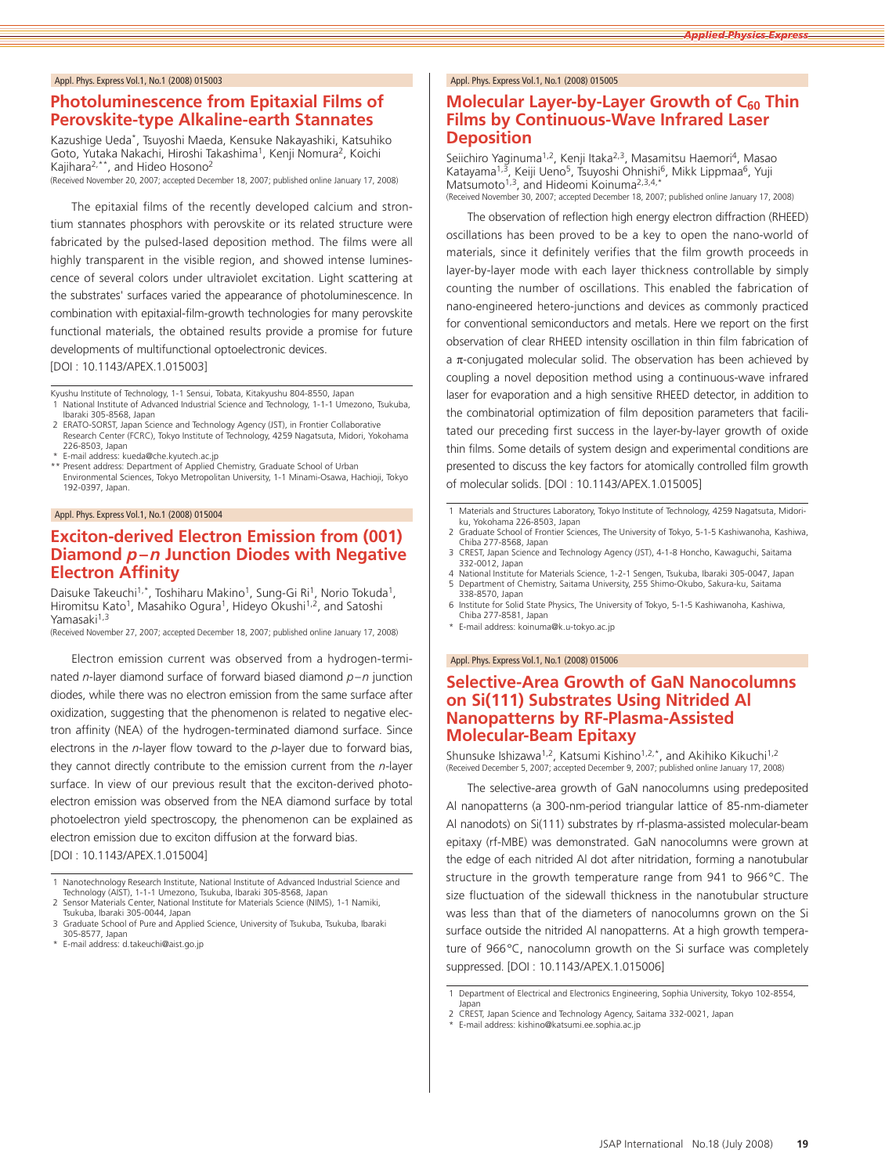#### **Photoluminescence from Epitaxial Films of Perovskite-type Alkaline-earth Stannates**

Kazushige Ueda\*, Tsuyoshi Maeda, Kensuke Nakayashiki, Katsuhiko Goto, Yutaka Nakachi, Hiroshi Takashima<sup>1</sup>, Kenji Nomura<sup>2</sup>, Koichi Kajihara2,\*\*, and Hideo Hosono2

(Received November 20, 2007; accepted December 18, 2007; published online January 17, 2008)

The epitaxial films of the recently developed calcium and strontium stannates phosphors with perovskite or its related structure were fabricated by the pulsed-lased deposition method. The films were all highly transparent in the visible region, and showed intense luminescence of several colors under ultraviolet excitation. Light scattering at the substrates' surfaces varied the appearance of photoluminescence. In combination with epitaxial-film-growth technologies for many perovskite functional materials, the obtained results provide a promise for future developments of multifunctional optoelectronic devices. [DOI : 10.1143/APEX.1.015003]

Kyushu Institute of Technology, 1-1 Sensui, Tobata, Kitakyushu 804-8550, Japan 1 National Institute of Advanced Industrial Science and Technology, 1-1-1 Umezono, Tsukuba, Ibaraki 305-8568, Japan

- 2 ERATO-SORST, Japan Science and Technology Agency (JST), in Frontier Collaborative Research Center (FCRC), Tokyo Institute of Technology, 4259 Nagatsuta, Midori, Yokohama 226-8503, Japan
- 
- \* E-mail address: kueda@che.kyutech.ac.jp \*\* Present address: Department of Applied Chemistry, Graduate School of Urban Environmental Sciences, Tokyo Metropolitan University, 1-1 Minami-Osawa, Hachioji, Tokyo 192-0397, Japan.

#### Appl. Phys. Express Vol.1, No.1 (2008) 015004

# **Exciton-derived Electron Emission from (001) Diamond** *p***–***n* **Junction Diodes with Negative Electron Affinity**

Daisuke Takeuchi<sup>1,\*</sup>, Toshiharu Makino<sup>1</sup>, Sung-Gi Ri<sup>1</sup>, Norio Tokuda<sup>1</sup>, Hiromitsu Kato<sup>1</sup>, Masahiko Ogura<sup>1</sup>, Hideyo Okushi<sup>1,2</sup>, and Satoshi Yamasaki<sup>1,3</sup>

(Received November 27, 2007; accepted December 18, 2007; published online January 17, 2008)

Electron emission current was observed from a hydrogen-terminated *<sup>n</sup>*-layer diamond surface of forward biased diamond *p*–*<sup>n</sup>* junction diodes, while there was no electron emission from the same surface after oxidization, suggesting that the phenomenon is related to negative electron affinity (NEA) of the hydrogen-terminated diamond surface. Since electrons in the *<sup>n</sup>*-layer flow toward to the *p*-layer due to forward bias, they cannot directly contribute to the emission current from the *<sup>n</sup>*-layer surface. In view of our previous result that the exciton-derived photoelectron emission was observed from the NEA diamond surface by total photoelectron yield spectroscopy, the phenomenon can be explained as electron emission due to exciton diffusion at the forward bias. [DOI : 10.1143/APEX.1.015004]

1 Nanotechnology Research Institute, National Institute of Advanced Industrial Science and Technology (AIST), 1-1-1 Umezono, Tsukuba, Ibaraki 305-8568, Japan

- 2 Sensor Materials Center, National Institute for Materials Science (NIMS), 1-1 Namiki, Tsukuba, Ibaraki 305-0044, Japan
- 3 Graduate School of Pure and Applied Science, University of Tsukuba, Tsukuba, Ibaraki 305-8577, Japan \* E-mail address: d.takeuchi@aist.go.jp
- 

#### Appl. Phys. Express Vol.1, No.1 (2008) 015005

# **Molecular Layer-by-Layer Growth of C<sub>60</sub> Thin Films by Continuous-Wave Infrared Laser Deposition**

Seiichiro Yaginuma<sup>1,2</sup>, Kenji Itaka<sup>2,3</sup>, Masamitsu Haemori<sup>4</sup>, Masao Katayama<sup>1,3</sup>, Keiji Ueno<sup>5</sup>, Tsuyoshi Ohnishi<sup>6</sup>, Mikk Lippmaa<sup>6</sup>, Yuji Matsumoto<sup>1,3</sup>, and Hideomi Koinuma<sup>2,3,4,\*</sup><br>(Received November 30, 2007; accepted December 18, 2007; published online January 17, 2008)

The observation of reflection high energy electron diffraction (RHEED) oscillations has been proved to be a key to open the nano-world of materials, since it definitely verifies that the film growth proceeds in layer-by-layer mode with each layer thickness controllable by simply counting the number of oscillations. This enabled the fabrication of nano-engineered hetero-junctions and devices as commonly practiced for conventional semiconductors and metals. Here we report on the first observation of clear RHEED intensity oscillation in thin film fabrication of a  $\pi$ -conjugated molecular solid. The observation has been achieved by coupling a novel deposition method using a continuous-wave infrared laser for evaporation and a high sensitive RHEED detector, in addition to the combinatorial optimization of film deposition parameters that facilitated our preceding first success in the layer-by-layer growth of oxide thin films. Some details of system design and experimental conditions are presented to discuss the key factors for atomically controlled film growth of molecular solids. [DOI : 10.1143/APEX.1.015005]

- 1 Materials and Structures Laboratory, Tokyo Institute of Technology, 4259 Nagatsuta, Midoriku, Yokohama 226-8503, Japan
- 2 Graduate School of Frontier Sciences, The University of Tokyo, 5-1-5 Kashiwanoha, Kashiwa, Chiba 277-8568, Japan
- 3 CREST, Japan Science and Technology Agency (JST), 4-1-8 Honcho, Kawaguchi, Saitama 332-0012, Japan
- 4 National Institute for Materials Science, 1-2-1 Sengen, Tsukuba, Ibaraki 305-0047, Japan<br>5 Department of Chemistry, Saitama University, 255 Shimo-Okubo, Sakura-ku, Saitama 338-8570, Japan
- 6 Institute for Solid State Physics, The University of Tokyo, 5-1-5 Kashiwanoha, Kashiwa, Chiba 277-8581, Japan
- E-mail address: koinuma@k.u-tokyo.ac.jp

#### Appl. Phys. Express Vol.1, No.1 (2008) 015006

### **Selective-Area Growth of GaN Nanocolumns on Si(111) Substrates Using Nitrided Al Nanopatterns by RF-Plasma-Assisted Molecular-Beam Epitaxy**

Shunsuke Ishizawa<sup>1,2</sup>, Katsumi Kishino<sup>1,2,\*</sup>, and Akihiko Kikuchi<sup>1,2</sup> (Received December 5, 2007; accepted December 9, 2007; published online January 17, 2008)

The selective-area growth of GaN nanocolumns using predeposited Al nanopatterns (a 300-nm-period triangular lattice of 85-nm-diameter Al nanodots) on Si(111) substrates by rf-plasma-assisted molecular-beam epitaxy (rf-MBE) was demonstrated. GaN nanocolumns were grown at the edge of each nitrided Al dot after nitridation, forming a nanotubular structure in the growth temperature range from 941 to 966°C. The size fluctuation of the sidewall thickness in the nanotubular structure was less than that of the diameters of nanocolumns grown on the Si surface outside the nitrided Al nanopatterns. At a high growth temperature of 966°C, nanocolumn growth on the Si surface was completely suppressed. [DOI : 10.1143/APEX.1.015006]

- 2 CREST, Japan Science and Technology Agency, Saitama 332-0021, Japan
- E-mail address: kishino@katsumi.ee.sophia.ac.jp

<sup>1</sup> Department of Electrical and Electronics Engineering, Sophia University, Tokyo 102-8554, Japan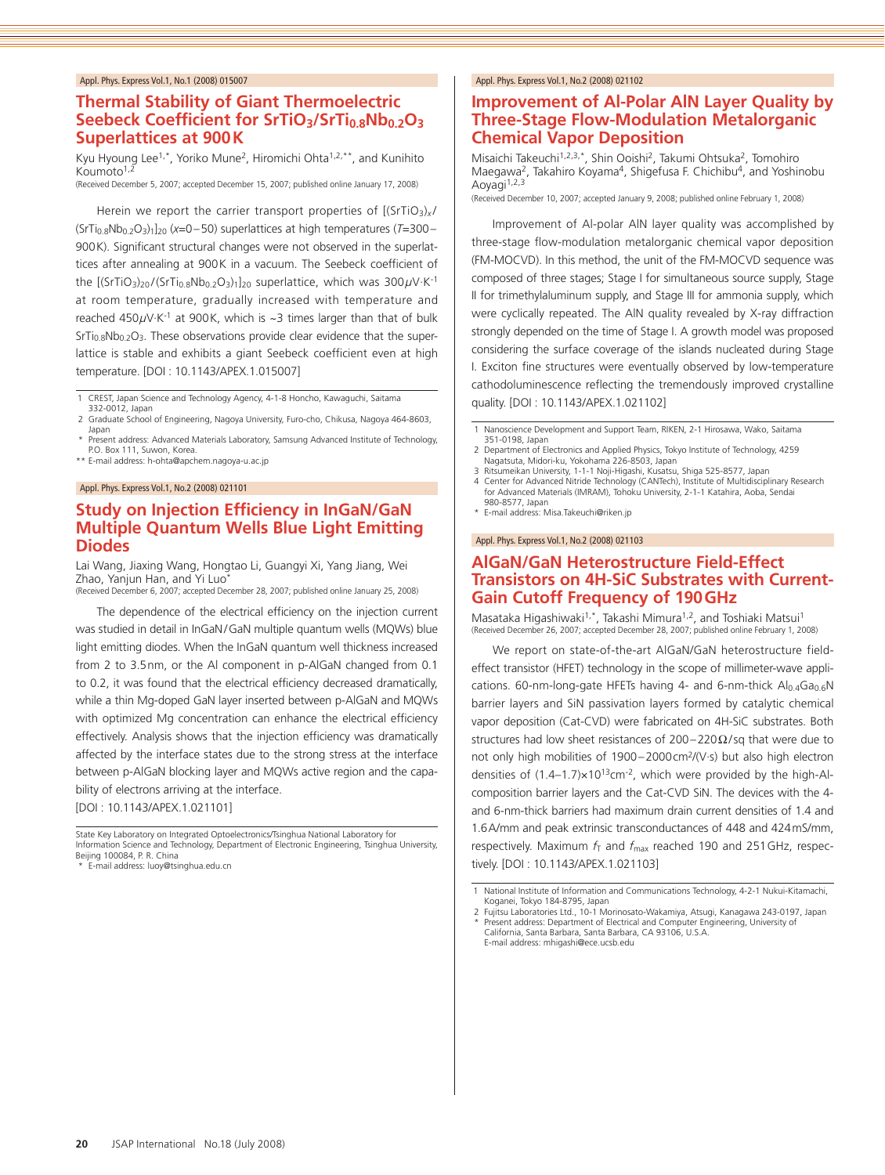# **Thermal Stability of Giant Thermoelectric**  Seebeck Coefficient for SrTiO<sub>3</sub>/SrTi<sub>0.8</sub>Nb<sub>0.2</sub>O<sub>3</sub> **Superlattices at 900K**

Kyu Hyoung Lee<sup>1,\*</sup>, Yoriko Mune<sup>2</sup>, Hiromichi Ohta<sup>1,2,\*\*</sup>, and Kunihito Koumoto<sup>1,2</sup>

(Received December 5, 2007; accepted December 15, 2007; published online January 17, 2008)

Herein we report the carrier transport properties of  $[(SrTiO<sub>3</sub>)<sub>x</sub>/$ (SrTi0.8Nb0.2O3)1]20 (*x*=0–50) superlattices at high temperatures (*T*=300– 900K). Significant structural changes were not observed in the superlattices after annealing at 900K in a vacuum. The Seebeck coefficient of the  $[(SrTiO<sub>3</sub>)<sub>20</sub>/(SrTi<sub>0.8</sub>Nb<sub>0.2</sub>O<sub>3</sub>)<sub>1</sub>]<sub>20</sub> superlattice, which was  $300\mu$ V·K<sup>-1</sup>$ at room temperature, gradually increased with temperature and reached 450*µ*V·K-1 at 900K, which is ~3 times larger than that of bulk  $Sf_{0.8}Nb_{0.2}O_3$ . These observations provide clear evidence that the superlattice is stable and exhibits a giant Seebeck coefficient even at high temperature. [DOI : 10.1143/APEX.1.015007]

1 CREST, Japan Science and Technology Agency, 4-1-8 Honcho, Kawaguchi, Saitama

332-0012, Japan 2 Graduate School of Engineering, Nagoya University, Furo-cho, Chikusa, Nagoya 464-8603, Japan

Present address: Advanced Materials Laboratory, Samsung Advanced Institute of Technology, P.O. Box 111, Suwon, Korea. \*\* E-mail address: h-ohta@apchem.nagoya-u.ac.jp

#### Appl. Phys. Express Vol.1, No.2 (2008) 021101

# **Study on Injection Efficiency in InGaN/GaN Multiple Quantum Wells Blue Light Emitting Diodes**

Lai Wang, Jiaxing Wang, Hongtao Li, Guangyi Xi, Yang Jiang, Wei Zhao, Yanjun Han, and Yi Luo<sup>\*</sup>

(Received December 6, 2007; accepted December 28, 2007; published online January 25, 2008)

The dependence of the electrical efficiency on the injection current was studied in detail in InGaN/GaN multiple quantum wells (MQWs) blue light emitting diodes. When the InGaN quantum well thickness increased from 2 to 3.5nm, or the Al component in p-AlGaN changed from 0.1 to 0.2, it was found that the electrical efficiency decreased dramatically, while a thin Mg-doped GaN layer inserted between p-AlGaN and MQWs with optimized Mg concentration can enhance the electrical efficiency effectively. Analysis shows that the injection efficiency was dramatically affected by the interface states due to the strong stress at the interface between p-AlGaN blocking layer and MQWs active region and the capability of electrons arriving at the interface. [DOI : 10.1143/APEX.1.021101]

State Key Laboratory on Integrated Optoelectronics/Tsinghua National Laboratory for Information Science and Technology, Department of Electronic Engineering, Tsinghua University, Beijing 100084, P. R. China

\* E-mail address: luoy@tsinghua.edu.cn

#### Appl. Phys. Express Vol.1, No.2 (2008) 021102

# **Improvement of Al-Polar AlN Layer Quality by Three-Stage Flow-Modulation Metalorganic Chemical Vapor Deposition**

Misaichi Takeuchi<sup>1,2,3,\*</sup>, Shin Ooishi<sup>2</sup>, Takumi Ohtsuka<sup>2</sup>, Tomohiro Maegawa<sup>2</sup>, Takahiro Koyama<sup>4</sup>, Shigefusa F. Chichibu<sup>4</sup>, and Yoshinobu Aoyagi<sup>1,2,3</sup>

(Received December 10, 2007; accepted January 9, 2008; published online February 1, 2008)

Improvement of Al-polar AlN layer quality was accomplished by three-stage flow-modulation metalorganic chemical vapor deposition (FM-MOCVD). In this method, the unit of the FM-MOCVD sequence was composed of three stages; Stage I for simultaneous source supply, Stage II for trimethylaluminum supply, and Stage III for ammonia supply, which were cyclically repeated. The AlN quality revealed by X-ray diffraction strongly depended on the time of Stage I. A growth model was proposed considering the surface coverage of the islands nucleated during Stage I. Exciton fine structures were eventually observed by low-temperature cathodoluminescence reflecting the tremendously improved crystalline quality. [DOI : 10.1143/APEX.1.021102]

- 1 Nanoscience Development and Support Team, RIKEN, 2-1 Hirosawa, Wako, Saitama 351-0198, Japan
- 2 Department of Electronics and Applied Physics, Tokyo Institute of Technology, 4259 Nagatsuta, Midori-ku, Yokohama 226-8503, Japan
- 3 Ritsumeikan University, 1-1-1 Noji-Higashi, Kusatsu, Shiga 525-8577, Japan<br>4 Center for Advanced Nitride Technology (CANTech), Institute of Multidiscipl Center for Advanced Nitride Technology (CANTech), Institute of Multidisciplinary Research for Advanced Materials (IMRAM), Tohoku University, 2-1-1 Katahira, Aoba, Sendai
- 980-8577, Japan \* E-mail address: Misa.Takeuchi@riken.jp

Appl. Phys. Express Vol.1, No.2 (2008) 021103

# **AlGaN/GaN Heterostructure Field-Effect Transistors on 4H-SiC Substrates with Current-Gain Cutoff Frequency of 190GHz**

Masataka Higashiwaki<sup>1,\*</sup>, Takashi Mimura<sup>1,2</sup>, and Toshiaki Matsui<sup>1</sup> (Received December 26, 2007; accepted December 28, 2007; published online February 1, 2008)

We report on state-of-the-art AlGaN/GaN heterostructure fieldeffect transistor (HFET) technology in the scope of millimeter-wave applications. 60-nm-long-gate HFETs having 4- and 6-nm-thick  $Al<sub>0.4</sub>Ga<sub>0.6</sub>N$ barrier layers and SiN passivation layers formed by catalytic chemical vapor deposition (Cat-CVD) were fabricated on 4H-SiC substrates. Both structures had low sheet resistances of  $200-220\Omega/\text{sq}$  that were due to not only high mobilities of 1900–2000cm2/(V·s) but also high electron densities of  $(1.4-1.7)\times10^{13}$ cm<sup>-2</sup>, which were provided by the high-Alcomposition barrier layers and the Cat-CVD SiN. The devices with the 4 and 6-nm-thick barriers had maximum drain current densities of 1.4 and 1.6A/mm and peak extrinsic transconductances of 448 and 424mS/mm, respectively. Maximum  $f<sub>T</sub>$  and  $f<sub>max</sub>$  reached 190 and 251 GHz, respectively. [DOI : 10.1143/APEX.1.021103]

<sup>1</sup> National Institute of Information and Communications Technology, 4-2-1 Nukui-Kitamachi, Koganei, Tokyo 184-8795, Japan

<sup>2</sup> Fujitsu Laboratories Ltd., 10-1 Morinosato-Wakamiya, Atsugi, Kanagawa 243-0197, Japan Present address: Department of Electrical and Computer Engineering, University of California, Santa Barbara, Santa Barbara, CA 93106, U.S.A. E-mail address: mhigashi@ece.ucsb.edu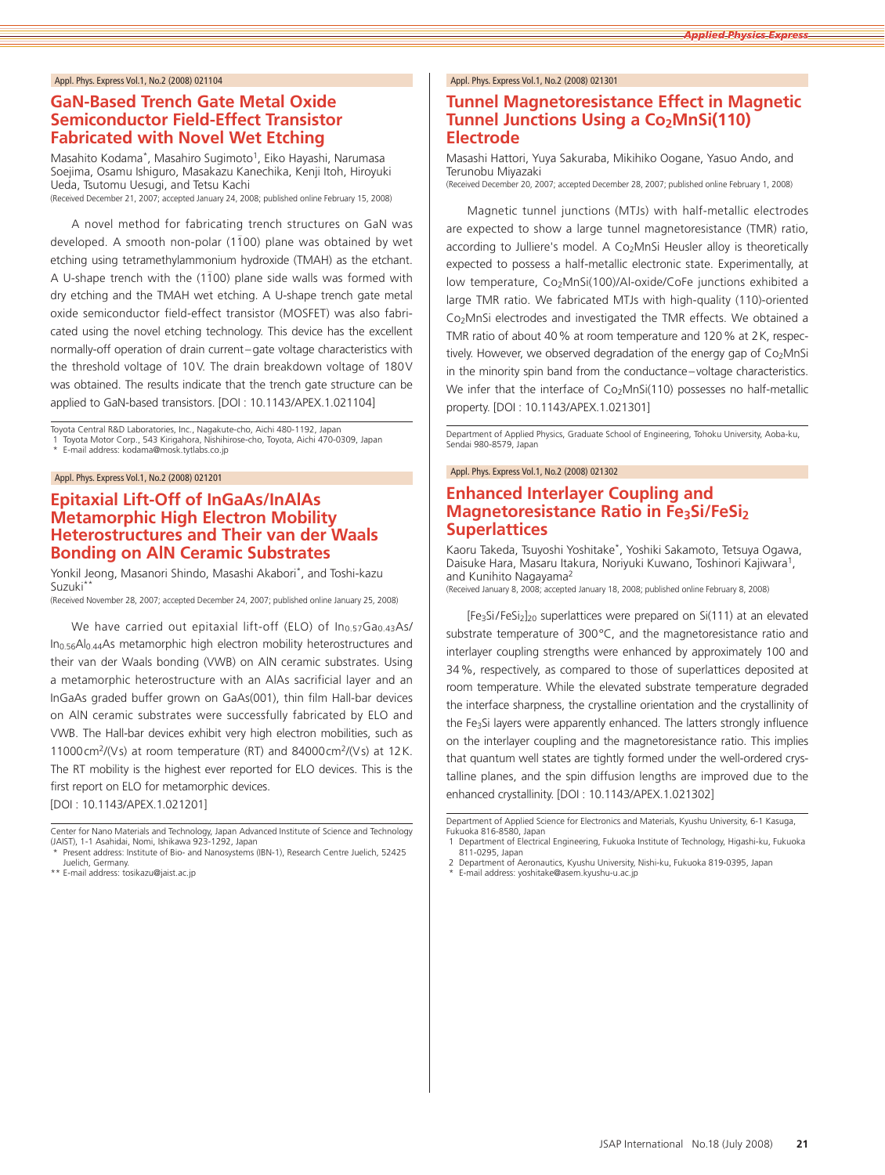# **GaN-Based Trench Gate Metal Oxide Semiconductor Field-Effect Transistor Fabricated with Novel Wet Etching**

Masahito Kodama<sup>\*</sup>, Masahiro Sugimoto<sup>1</sup>, Eiko Hayashi, Narumasa Soejima, Osamu Ishiguro, Masakazu Kanechika, Kenji Itoh, Hiroyuki Ueda, Tsutomu Uesugi, and Tetsu Kachi

(Received December 21, 2007; accepted January 24, 2008; published online February 15, 2008)

A novel method for fabricating trench structures on GaN was developed. A smooth non-polar (1100) plane was obtained by wet etching using tetramethylammonium hydroxide (TMAH) as the etchant. A U-shape trench with the  $(1\bar{1}00)$  plane side walls was formed with dry etching and the TMAH wet etching. A U-shape trench gate metal oxide semiconductor field-effect transistor (MOSFET) was also fabricated using the novel etching technology. This device has the excellent normally-off operation of drain current–gate voltage characteristics with the threshold voltage of 10V. The drain breakdown voltage of 180V was obtained. The results indicate that the trench gate structure can be applied to GaN-based transistors. [DOI : 10.1143/APEX.1.021104]

Toyota Central R&D Laboratories, Inc., Nagakute-cho, Aichi 480-1192, Japan Toyota Motor Corp., 543 Kirigahora, Nishihirose-cho, Toyota, Aichi 470-0309, Japan

E-mail address: kodama@mosk.tytlabs.co.jp

#### Appl. Phys. Express Vol.1, No.2 (2008) 021201

# **Epitaxial Lift-Off of InGaAs/InAlAs Metamorphic High Electron Mobility Heterostructures and Their van der Waals Bonding on AlN Ceramic Substrates**

Yonkil Jeong, Masanori Shindo, Masashi Akabori\*, and Toshi-kazu Suzuki\*\*

(Received November 28, 2007; accepted December 24, 2007; published online January 25, 2008)

We have carried out epitaxial lift-off (ELO) of  $In<sub>0.57</sub>Ga<sub>0.43</sub>As/$ In0.56Al0.44As metamorphic high electron mobility heterostructures and their van der Waals bonding (VWB) on AlN ceramic substrates. Using a metamorphic heterostructure with an AlAs sacrificial layer and an InGaAs graded buffer grown on GaAs(001), thin film Hall-bar devices on AlN ceramic substrates were successfully fabricated by ELO and VWB. The Hall-bar devices exhibit very high electron mobilities, such as 11000cm2/(Vs) at room temperature (RT) and 84000cm2/(Vs) at 12K. The RT mobility is the highest ever reported for ELO devices. This is the first report on ELO for metamorphic devices.

[DOI : 10.1143/APEX.1.021201]

Center for Nano Materials and Technology, Japan Advanced Institute of Science and Technology (JAIST), 1-1 Asahidai, Nomi, Ishikawa 923-1292, Japan Present address: Institute of Bio- and Nanosystems (IBN-1), Research Centre Juelich, 52425

Juelich, Germany. \*\* E-mail address: tosikazu@jaist.ac.jp

#### Appl. Phys. Express Vol.1, No.2 (2008) 021301

# **Tunnel Magnetoresistance Effect in Magnetic Tunnel Junctions Using a Co<sub>2</sub>MnSi(110) Electrode**

Masashi Hattori, Yuya Sakuraba, Mikihiko Oogane, Yasuo Ando, and Terunobu Miyazaki

(Received December 20, 2007; accepted December 28, 2007; published online February 1, 2008)

Magnetic tunnel junctions (MTJs) with half-metallic electrodes are expected to show a large tunnel magnetoresistance (TMR) ratio, according to Julliere's model. A Co<sub>2</sub>MnSi Heusler alloy is theoretically expected to possess a half-metallic electronic state. Experimentally, at low temperature, Co<sub>2</sub>MnSi(100)/Al-oxide/CoFe junctions exhibited a large TMR ratio. We fabricated MTJs with high-quality (110)-oriented Co2MnSi electrodes and investigated the TMR effects. We obtained a TMR ratio of about 40% at room temperature and 120% at 2K, respectively. However, we observed degradation of the energy gap of  $Co<sub>2</sub>MnSi$ in the minority spin band from the conductance–voltage characteristics. We infer that the interface of Co<sub>2</sub>MnSi(110) possesses no half-metallic property. [DOI : 10.1143/APEX.1.021301]

Department of Applied Physics, Graduate School of Engineering, Tohoku University, Aoba-ku, Sendai 980-8579, Japan

Appl. Phys. Express Vol.1, No.2 (2008) 021302

### **Enhanced Interlayer Coupling and Magnetoresistance Ratio in Fe3Si/FeSi2 Superlattices**

Kaoru Takeda, Tsuyoshi Yoshitake\*, Yoshiki Sakamoto, Tetsuya Ogawa, Daisuke Hara, Masaru Itakura, Noriyuki Kuwano, Toshinori Kajiwara<sup>1</sup>, and Kunihito Nagayama2

(Received January 8, 2008; accepted January 18, 2008; published online February 8, 2008)

[Fe<sub>3</sub>Si/FeSi<sub>2</sub>]<sub>20</sub> superlattices were prepared on Si(111) at an elevated substrate temperature of 300°C, and the magnetoresistance ratio and interlayer coupling strengths were enhanced by approximately 100 and 34%, respectively, as compared to those of superlattices deposited at room temperature. While the elevated substrate temperature degraded the interface sharpness, the crystalline orientation and the crystallinity of the Fe3Si layers were apparently enhanced. The latters strongly influence on the interlayer coupling and the magnetoresistance ratio. This implies that quantum well states are tightly formed under the well-ordered crystalline planes, and the spin diffusion lengths are improved due to the enhanced crystallinity. [DOI : 10.1143/APEX.1.021302]

Department of Applied Science for Electronics and Materials, Kyushu University, 6-1 Kasuga, Fukuoka 816-8580, Japan

1 Department of Electrical Engineering, Fukuoka Institute of Technology, Higashi-ku, Fukuoka 811-0295, Japan 2 Department of Aeronautics, Kyushu University, Nishi-ku, Fukuoka 819-0395, Japan

E-mail address: yoshitake@asem.kyushu-u.ac.jp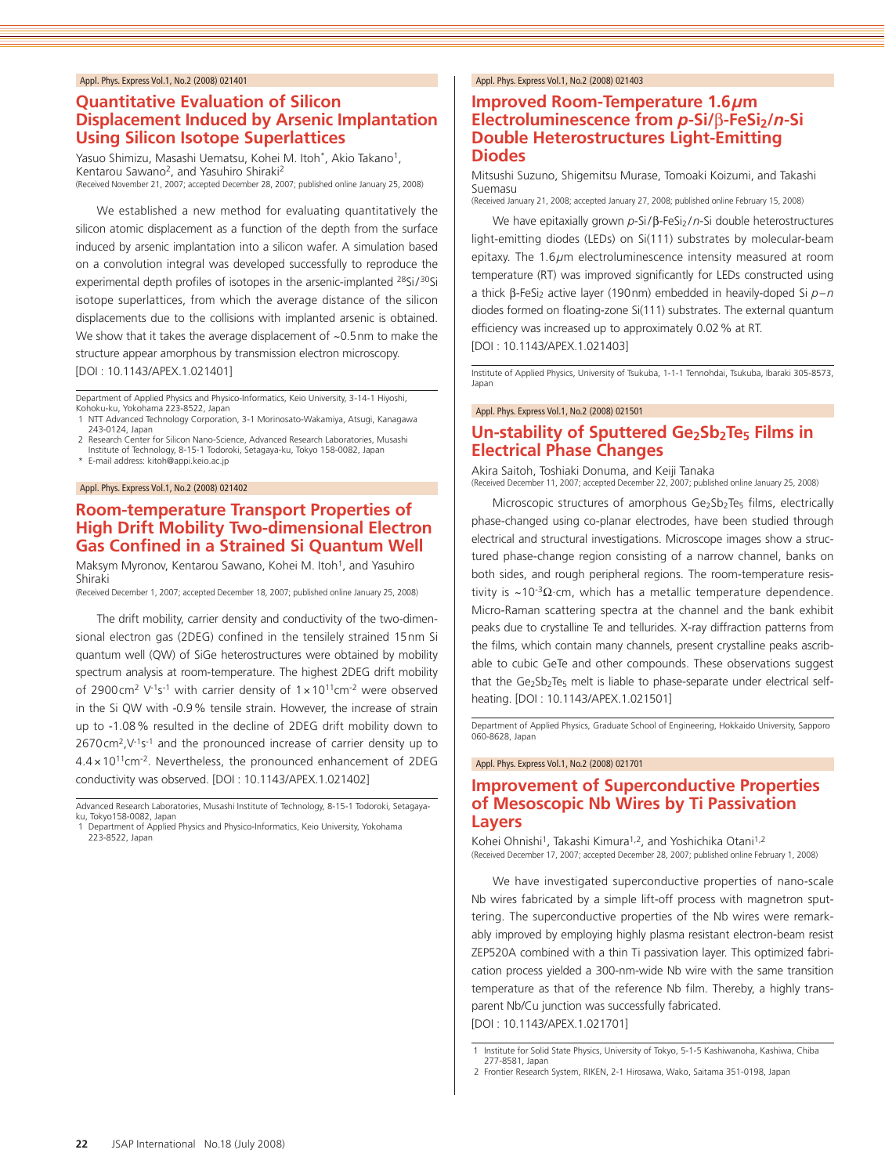# **Quantitative Evaluation of Silicon Displacement Induced by Arsenic Implantation Using Silicon Isotope Superlattices**

Yasuo Shimizu, Masashi Uematsu, Kohei M. Itoh\*, Akio Takano<sup>1</sup>, Kentarou Sawano2, and Yasuhiro Shiraki2 (Received November 21, 2007; accepted December 28, 2007; published online January 25, 2008)

We established a new method for evaluating quantitatively the silicon atomic displacement as a function of the depth from the surface induced by arsenic implantation into a silicon wafer. A simulation based on a convolution integral was developed successfully to reproduce the experimental depth profiles of isotopes in the arsenic-implanted <sup>28</sup>Si/<sup>30</sup>Si isotope superlattices, from which the average distance of the silicon displacements due to the collisions with implanted arsenic is obtained. We show that it takes the average displacement of ~0.5nm to make the structure appear amorphous by transmission electron microscopy. [DOI : 10.1143/APEX.1.021401]

Department of Applied Physics and Physico-Informatics, Keio University, 3-14-1 Hiyoshi, Kohoku-ku, Yokohama 223-8522, Japan 1 NTT Advanced Technology Corporation, 3-1 Morinosato-Wakamiya, Atsugi, Kanagawa

- 243-0124, Japan 2 Research Center for Silicon Nano-Science, Advanced Research Laboratories, Musashi
- Institute of Technology, 8-15-1 Todoroki, Setagaya-ku, Tokyo 158-0082, Japan

\* E-mail address: kitoh@appi.keio.ac.jp

#### Appl. Phys. Express Vol.1, No.2 (2008) 021402

# **Room-temperature Transport Properties of High Drift Mobility Two-dimensional Electron Gas Confined in a Strained Si Quantum Well**

Maksym Myronov, Kentarou Sawano, Kohei M. Itoh1, and Yasuhiro Shiraki

(Received December 1, 2007; accepted December 18, 2007; published online January 25, 2008)

The drift mobility, carrier density and conductivity of the two-dimensional electron gas (2DEG) confined in the tensilely strained 15nm Si quantum well (QW) of SiGe heterostructures were obtained by mobility spectrum analysis at room-temperature. The highest 2DEG drift mobility of 2900cm<sup>2</sup> V<sup>-1</sup>s<sup>-1</sup> with carrier density of  $1 \times 10^{11}$ cm<sup>-2</sup> were observed in the Si QW with -0.9% tensile strain. However, the increase of strain up to -1.08% resulted in the decline of 2DEG drift mobility down to  $2670 \text{ cm}^2$ ,  $V^{-1}$ s<sup>-1</sup> and the pronounced increase of carrier density up to 4.4×1011cm-2. Nevertheless, the pronounced enhancement of 2DEG conductivity was observed. [DOI : 10.1143/APEX.1.021402]

Advanced Research Laboratories, Musashi Institute of Technology, 8-15-1 Todoroki, Setagayaku, Tokyo158-0082, Japan

1 Department of Applied Physics and Physico-Informatics, Keio University, Yokohama 223-8522, Japan

#### Appl. Phys. Express Vol.1, No.2 (2008) 021403

### **Improved Room-Temperature 1.6***µ***m Electroluminescence from** *p***-Si/** $\beta$ **-FeSi**<sub>2</sub>/*n*-Si **Double Heterostructures Light-Emitting Diodes**

Mitsushi Suzuno, Shigemitsu Murase, Tomoaki Koizumi, and Takashi Suemasu (Received January 21, 2008; accepted January 27, 2008; published online February 15, 2008)

We have epitaxially grown *p*-Si/β-FeSi<sub>2</sub>/*n*-Si double heterostructures light-emitting diodes (LEDs) on Si(111) substrates by molecular-beam epitaxy. The 1.6*µ*m electroluminescence intensity measured at room temperature (RT) was improved significantly for LEDs constructed using a thick β-FeSi<sub>2</sub> active layer (190nm) embedded in heavily-doped Si *p*-*n* diodes formed on floating-zone Si(111) substrates. The external quantum efficiency was increased up to approximately 0.02% at RT.

[DOI : 10.1143/APEX.1.021403]

Institute of Applied Physics, University of Tsukuba, 1-1-1 Tennohdai, Tsukuba, Ibaraki 305-8573, Japan

Appl. Phys. Express Vol.1, No.2 (2008) 021501

# **Un-stability of Sputtered Ge<sub>2</sub>Sb<sub>2</sub>Te<sub>5</sub> Films in Electrical Phase Changes**

Akira Saitoh, Toshiaki Donuma, and Keiji Tanaka (Received December 11, 2007; accepted December 22, 2007; published online January 25, 2008)

Microscopic structures of amorphous Ge2Sb2Te<sub>5</sub> films, electrically phase-changed using co-planar electrodes, have been studied through electrical and structural investigations. Microscope images show a structured phase-change region consisting of a narrow channel, banks on both sides, and rough peripheral regions. The room-temperature resistivity is ~10<sup>-3</sup> $\Omega$ ·cm, which has a metallic temperature dependence. Micro-Raman scattering spectra at the channel and the bank exhibit peaks due to crystalline Te and tellurides. X-ray diffraction patterns from the films, which contain many channels, present crystalline peaks ascribable to cubic GeTe and other compounds. These observations suggest that the Ge2Sb2Te<sub>5</sub> melt is liable to phase-separate under electrical selfheating. [DOI : 10.1143/APEX.1.021501]

Department of Applied Physics, Graduate School of Engineering, Hokkaido University, Sapporo 060-8628, Japan

#### Appl. Phys. Express Vol.1, No.2 (2008) 021701

# **Improvement of Superconductive Properties of Mesoscopic Nb Wires by Ti Passivation Layers**

Kohei Ohnishi<sup>1</sup>, Takashi Kimura<sup>1,2</sup>, and Yoshichika Otani<sup>1,2</sup> (Received December 17, 2007; accepted December 28, 2007; published online February 1, 2008)

We have investigated superconductive properties of nano-scale Nb wires fabricated by a simple lift-off process with magnetron sputtering. The superconductive properties of the Nb wires were remarkably improved by employing highly plasma resistant electron-beam resist ZEP520A combined with a thin Ti passivation layer. This optimized fabrication process yielded a 300-nm-wide Nb wire with the same transition temperature as that of the reference Nb film. Thereby, a highly transparent Nb/Cu junction was successfully fabricated. [DOI : 10.1143/APEX.1.021701]

277-8581, Japan 2 Frontier Research System, RIKEN, 2-1 Hirosawa, Wako, Saitama 351-0198, Japan

<sup>1</sup> Institute for Solid State Physics, University of Tokyo, 5-1-5 Kashiwanoha, Kashiwa, Chiba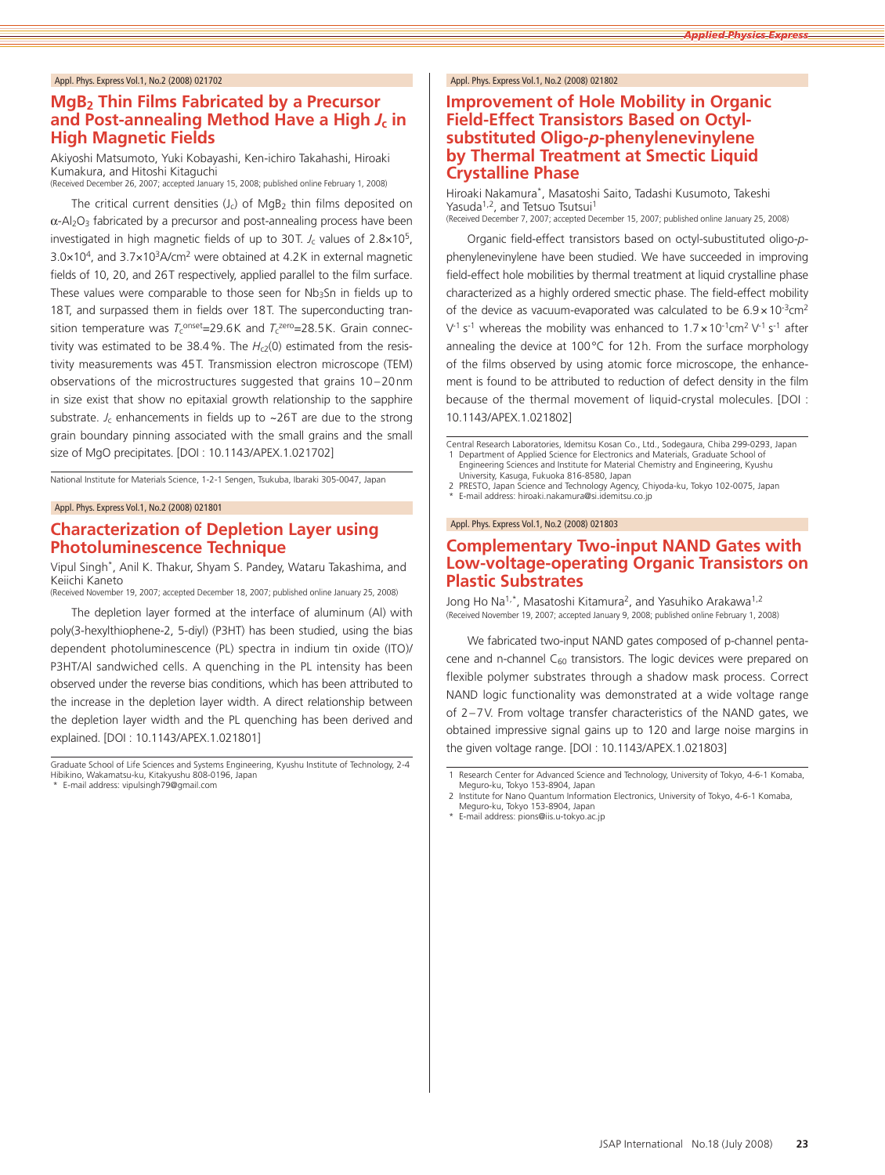# **MgB2 Thin Films Fabricated by a Precursor and Post-annealing Method Have a High** *J***c in High Magnetic Fields**

Akiyoshi Matsumoto, Yuki Kobayashi, Ken-ichiro Takahashi, Hiroaki Kumakura, and Hitoshi Kitaguchi (Received December 26, 2007; accepted January 15, 2008; published online February 1, 2008)

The critical current densities  $(J_c)$  of MgB<sub>2</sub> thin films deposited on  $\alpha$ -Al<sub>2</sub>O<sub>3</sub> fabricated by a precursor and post-annealing process have been investigated in high magnetic fields of up to 30T.  $J_c$  values of  $2.8 \times 10^5$ , 3.0×104, and 3.7×103A/cm2 were obtained at 4.2K in external magnetic fields of 10, 20, and 26T respectively, applied parallel to the film surface. These values were comparable to those seen for Nb3Sn in fields up to 18T, and surpassed them in fields over 18T. The superconducting transition temperature was  $T_c$ <sup>onset</sup>=29.6K and  $T_c$ <sup>zero</sup>=28.5K. Grain connectivity was estimated to be 38.4%. The *H<sub>c2</sub>(0)* estimated from the resistivity measurements was 45T. Transmission electron microscope (TEM) observations of the microstructures suggested that grains 10 –20nm in size exist that show no epitaxial growth relationship to the sapphire substrate.  $J_c$  enhancements in fields up to  $\sim$ 26T are due to the strong grain boundary pinning associated with the small grains and the small size of MgO precipitates. [DOI : 10.1143/APEX.1.021702]

National Institute for Materials Science, 1-2-1 Sengen, Tsukuba, Ibaraki 305-0047, Japan

#### Appl. Phys. Express Vol.1, No.2 (2008) 021801

#### **Characterization of Depletion Layer using Photoluminescence Technique**

Vipul Singh\*, Anil K. Thakur, Shyam S. Pandey, Wataru Takashima, and Keiichi Kaneto

(Received November 19, 2007; accepted December 18, 2007; published online January 25, 2008)

The depletion layer formed at the interface of aluminum (Al) with poly(3-hexylthiophene-2, 5-diyl) (P3HT) has been studied, using the bias dependent photoluminescence (PL) spectra in indium tin oxide (ITO)/ P3HT/Al sandwiched cells. A quenching in the PL intensity has been observed under the reverse bias conditions, which has been attributed to the increase in the depletion layer width. A direct relationship between the depletion layer width and the PL quenching has been derived and explained. [DOI : 10.1143/APEX.1.021801]

#### Appl. Phys. Express Vol.1, No.2 (2008) 021802

### **Improvement of Hole Mobility in Organic Field-Effect Transistors Based on Octylsubstituted Oligo-***p***-phenylenevinylene by Thermal Treatment at Smectic Liquid Crystalline Phase**

Hiroaki Nakamura\*, Masatoshi Saito, Tadashi Kusumoto, Takeshi Yasuda<sup>1,2</sup>, and Tetsuo Tsutsui<sup>1</sup> (Received December 7, 2007; accepted December 15, 2007; published online January 25, 2008)

Organic field-effect transistors based on octyl-subustituted oligo-*p*phenylenevinylene have been studied. We have succeeded in improving field-effect hole mobilities by thermal treatment at liquid crystalline phase characterized as a highly ordered smectic phase. The field-effect mobility of the device as vacuum-evaporated was calculated to be  $6.9 \times 10^{-3}$ cm<sup>2</sup>  $V^1$  s<sup>-1</sup> whereas the mobility was enhanced to  $1.7 \times 10^{-1}$ cm<sup>2</sup>  $V^1$  s<sup>-1</sup> after annealing the device at 100°C for 12h. From the surface morphology of the films observed by using atomic force microscope, the enhancement is found to be attributed to reduction of defect density in the film because of the thermal movement of liquid-crystal molecules. [DOI : 10.1143/APEX.1.021802]

Central Research Laboratories, Idemitsu Kosan Co., Ltd., Sodegaura, Chiba 299-0293, Japan Department of Applied Science for Electronics and Materials, Graduate School of Engineering Sciences and Institute for Material Chemistry and Engineering, Kyushu

University, Kasuga, Fukuoka 816-8580, Japan PRESTO, Japan Science and Technology Agency, Chiyoda-ku, Tokyo 102-0075, Japan

E-mail address: hiroaki.nakamura@si.idemitsu.co.jp

#### Appl. Phys. Express Vol.1, No.2 (2008) 021803

### **Complementary Two-input NAND Gates with Low-voltage-operating Organic Transistors on Plastic Substrates**

Jong Ho Na1,\*, Masatoshi Kitamura2, and Yasuhiko Arakawa1,2 (Received November 19, 2007; accepted January 9, 2008; published online February 1, 2008)

We fabricated two-input NAND gates composed of p-channel pentacene and n-channel  $C_{60}$  transistors. The logic devices were prepared on flexible polymer substrates through a shadow mask process. Correct NAND logic functionality was demonstrated at a wide voltage range of 2–7V. From voltage transfer characteristics of the NAND gates, we obtained impressive signal gains up to 120 and large noise margins in the given voltage range. [DOI : 10.1143/APEX.1.021803]

Graduate School of Life Sciences and Systems Engineering, Kyushu Institute of Technology, 2-4 Hibikino, Wakamatsu-ku, Kitakyushu 808-0196, Japan

<sup>\*</sup> E-mail address: vipulsingh79@gmail.com

<sup>1</sup> Research Center for Advanced Science and Technology, University of Tokyo, 4-6-1 Komaba, Meguro-ku, Tokyo 153-8904, Japan

<sup>2</sup> Institute for Nano Quantum Information Electronics, University of Tokyo, 4-6-1 Komaba, Meguro-ku, Tokyo 153-8904, Japan

E-mail address: pions@iis.u-tokyo.ac.jp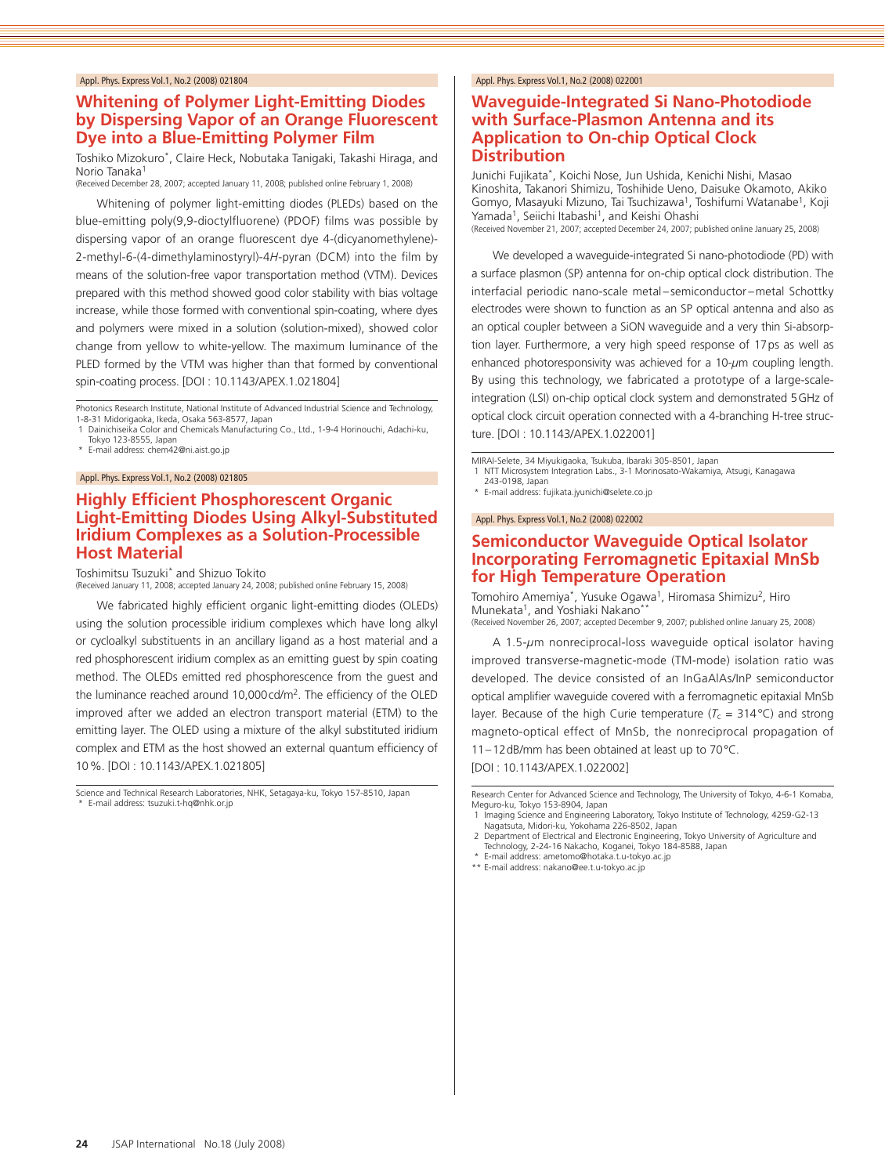# **Whitening of Polymer Light-Emitting Diodes by Dispersing Vapor of an Orange Fluorescent Dye into a Blue-Emitting Polymer Film**

Toshiko Mizokuro\*, Claire Heck, Nobutaka Tanigaki, Takashi Hiraga, and Norio Tanaka1

(Received December 28, 2007; accepted January 11, 2008; published online February 1, 2008)

Whitening of polymer light-emitting diodes (PLEDs) based on the blue-emitting poly(9,9-dioctylfluorene) (PDOF) films was possible by dispersing vapor of an orange fluorescent dye 4-(dicyanomethylene)- 2-methyl-6-(4-dimethylaminostyryl)-4*H*-pyran (DCM) into the film by means of the solution-free vapor transportation method (VTM). Devices prepared with this method showed good color stability with bias voltage increase, while those formed with conventional spin-coating, where dyes and polymers were mixed in a solution (solution-mixed), showed color change from yellow to white-yellow. The maximum luminance of the PLED formed by the VTM was higher than that formed by conventional spin-coating process. [DOI : 10.1143/APEX.1.021804]

Photonics Research Institute, National Institute of Advanced Industrial Science and Technology, 1-8-31 Midorigaoka, Ikeda, Osaka 563-8577, Japan

- 1 Dainichiseika Color and Chemicals Manufacturing Co., Ltd., 1-9-4 Horinouchi, Adachi-ku, Tokyo 123-8555, Japan \* E-mail address: chem42@ni.aist.go.jp
- 

#### Appl. Phys. Express Vol.1, No.2 (2008) 021805

### **Highly Efficient Phosphorescent Organic Light-Emitting Diodes Using Alkyl-Substituted Iridium Complexes as a Solution-Processible Host Material**

Toshimitsu Tsuzuki\* and Shizuo Tokito (Received January 11, 2008; accepted January 24, 2008; published online February 15, 2008)

We fabricated highly efficient organic light-emitting diodes (OLEDs) using the solution processible iridium complexes which have long alkyl or cycloalkyl substituents in an ancillary ligand as a host material and a red phosphorescent iridium complex as an emitting guest by spin coating method. The OLEDs emitted red phosphorescence from the guest and the luminance reached around 10,000 cd/m<sup>2</sup>. The efficiency of the OLED improved after we added an electron transport material (ETM) to the emitting layer. The OLED using a mixture of the alkyl substituted iridium complex and ETM as the host showed an external quantum efficiency of 10%. [DOI : 10.1143/APEX.1.021805]

Science and Technical Research Laboratories, NHK, Setagaya-ku, Tokyo 157-8510, Japan E-mail address: tsuzuki.t-hq@nhk.or.jp

#### Appl. Phys. Express Vol.1, No.2 (2008) 022001

### **Waveguide-Integrated Si Nano-Photodiode with Surface-Plasmon Antenna and its Application to On-chip Optical Clock Distribution**

Junichi Fujikata\*, Koichi Nose, Jun Ushida, Kenichi Nishi, Masao Kinoshita, Takanori Shimizu, Toshihide Ueno, Daisuke Okamoto, Akiko Gomyo, Masayuki Mizuno, Tai Tsuchizawa<sup>1</sup>, Toshifumi Watanabe<sup>1</sup>, Koji Yamada<sup>1</sup>, Seiichi Itabashi<sup>1</sup>, and Keishi Ohashi (Received November 21, 2007; accepted December 24, 2007; published online January 25, 2008)

We developed a waveguide-integrated Si nano-photodiode (PD) with a surface plasmon (SP) antenna for on-chip optical clock distribution. The interfacial periodic nano-scale metal–semiconductor –metal Schottky electrodes were shown to function as an SP optical antenna and also as an optical coupler between a SiON waveguide and a very thin Si-absorption layer. Furthermore, a very high speed response of 17ps as well as enhanced photoresponsivity was achieved for a 10-*µ*m coupling length. By using this technology, we fabricated a prototype of a large-scaleintegration (LSI) on-chip optical clock system and demonstrated 5GHz of optical clock circuit operation connected with a 4-branching H-tree structure. [DOI : 10.1143/APEX.1.022001]

MIRAI-Selete, 34 Miyukigaoka, Tsukuba, Ibaraki 305-8501, Japan

NTT Microsystem Integration Labs., 3-1 Morinosato-Wakamiya, Atsugi, Kanagawa 243-0198, Japan

\* E-mail address: fujikata.jyunichi@selete.co.jp

Appl. Phys. Express Vol.1, No.2 (2008) 022002

# **Semiconductor Waveguide Optical Isolator Incorporating Ferromagnetic Epitaxial MnSb for High Temperature Operation**

Tomohiro Amemiya\*, Yusuke Ogawa1, Hiromasa Shimizu2, Hiro Munekata<sup>1</sup>, and Yoshiaki Nakano\* (Received November 26, 2007; accepted December 9, 2007; published online January 25, 2008)

A 1.5-*µ*m nonreciprocal-loss waveguide optical isolator having improved transverse-magnetic-mode (TM-mode) isolation ratio was developed. The device consisted of an InGaAlAs/InP semiconductor optical amplifier waveguide covered with a ferromagnetic epitaxial MnSb layer. Because of the high Curie temperature ( $T_c = 314$ °C) and strong magneto-optical effect of MnSb, the nonreciprocal propagation of 11–12dB/mm has been obtained at least up to 70°C.

[DOI : 10.1143/APEX.1.022002]

Research Center for Advanced Science and Technology, The University of Tokyo, 4-6-1 Komaba, Meguro-ku, Tokyo 153-8904, Japan

1 Imaging Science and Engineering Laboratory, Tokyo Institute of Technology, 4259-G2-13 Nagatsuta, Midori-ku, Yokohama 226-8502, Japan

\*\* E-mail address: nakano@ee.t.u-tokyo.ac.jp

<sup>2</sup> Department of Electrical and Electronic Engineering, Tokyo University of Agriculture and Technology, 2-24-16 Nakacho, Koganei, Tokyo 184-8588, Japan \* E-mail address: ametomo@hotaka.t.u-tokyo.ac.jp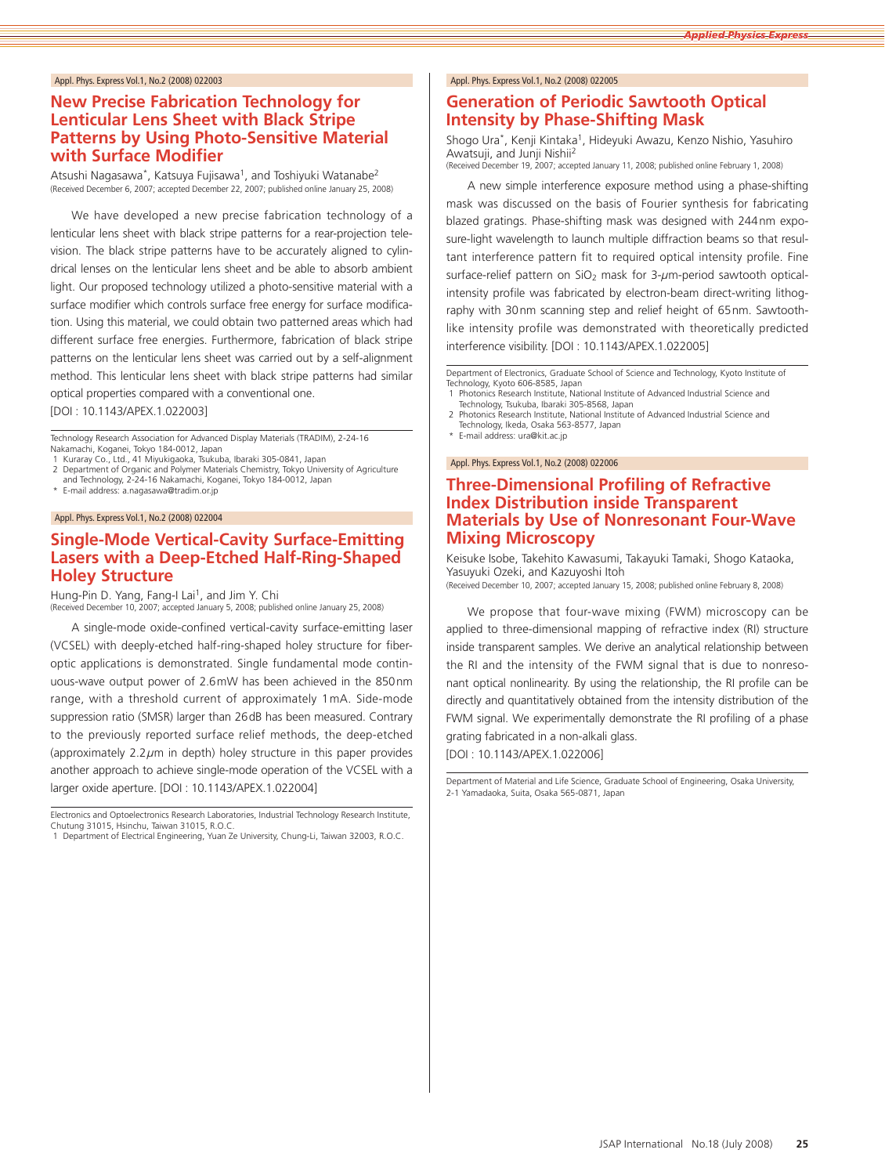## **New Precise Fabrication Technology for Lenticular Lens Sheet with Black Stripe Patterns by Using Photo-Sensitive Material with Surface Modifier**

Atsushi Nagasawa\*, Katsuya Fujisawa<sup>1</sup>, and Toshiyuki Watanabe<sup>2</sup> (Received December 6, 2007; accepted December 22, 2007; published online January 25, 2008)

We have developed a new precise fabrication technology of a lenticular lens sheet with black stripe patterns for a rear-projection television. The black stripe patterns have to be accurately aligned to cylindrical lenses on the lenticular lens sheet and be able to absorb ambient light. Our proposed technology utilized a photo-sensitive material with a surface modifier which controls surface free energy for surface modification. Using this material, we could obtain two patterned areas which had different surface free energies. Furthermore, fabrication of black stripe patterns on the lenticular lens sheet was carried out by a self-alignment method. This lenticular lens sheet with black stripe patterns had similar optical properties compared with a conventional one.

[DOI : 10.1143/APEX.1.022003]

Technology Research Association for Advanced Display Materials (TRADIM), 2-24-16

Nakamachi, Koganei, Tokyo 184-0012, Japan 1 Kuraray Co., Ltd., 41 Miyukigaoka, Tsukuba, Ibaraki 305-0841, Japan

2 Department of Organic and Polymer Materials Chemistry, Tokyo University of Agriculture and Technology, 2-24-16 Nakamachi, Koganei, Tokyo 184-0012, Japan

E-mail address: a.nagasawa@tradim.or.jp

Appl. Phys. Express Vol.1, No.2 (2008) 022004

# **Single-Mode Vertical-Cavity Surface-Emitting Lasers with a Deep-Etched Half-Ring-Shaped Holey Structure**

Hung-Pin D. Yang, Fang-I Lai1, and Jim Y. Chi (Received December 10, 2007; accepted January 5, 2008; published online January 25, 2008)

A single-mode oxide-confined vertical-cavity surface-emitting laser (VCSEL) with deeply-etched half-ring-shaped holey structure for fiberoptic applications is demonstrated. Single fundamental mode continuous-wave output power of 2.6mW has been achieved in the 850nm range, with a threshold current of approximately 1mA. Side-mode suppression ratio (SMSR) larger than 26dB has been measured. Contrary to the previously reported surface relief methods, the deep-etched (approximately 2.2*µ*m in depth) holey structure in this paper provides another approach to achieve single-mode operation of the VCSEL with a larger oxide aperture. [DOI : 10.1143/APEX.1.022004]

Electronics and Optoelectronics Research Laboratories, Industrial Technology Research Institute, Chutung 31015, Hsinchu, Taiwan 31015, R.O.C.

#### Appl. Phys. Express Vol.1, No.2 (2008) 022005

# **Generation of Periodic Sawtooth Optical Intensity by Phase-Shifting Mask**

Shogo Ura\*, Kenji Kintaka<sup>1</sup>, Hideyuki Awazu, Kenzo Nishio, Yasuhiro Awatsuji, and Junji Nishii2 (Received December 19, 2007; accepted January 11, 2008; published online February 1, 2008)

A new simple interference exposure method using a phase-shifting mask was discussed on the basis of Fourier synthesis for fabricating blazed gratings. Phase-shifting mask was designed with 244nm exposure-light wavelength to launch multiple diffraction beams so that resultant interference pattern fit to required optical intensity profile. Fine surface-relief pattern on SiO<sub>2</sub> mask for 3-µm-period sawtooth opticalintensity profile was fabricated by electron-beam direct-writing lithography with 30nm scanning step and relief height of 65nm. Sawtoothlike intensity profile was demonstrated with theoretically predicted interference visibility. [DOI : 10.1143/APEX.1.022005]

Department of Electronics, Graduate School of Science and Technology, Kyoto Institute of Technology, Kyoto 606-8585, Japan

1 Photonics Research Institute, National Institute of Advanced Industrial Science and Technology, Tsukuba, Ibaraki 305-8568, Japan 2 Photonics Research Institute, National Institute of Advanced Industrial Science and

Technology, Ikeda, Osaka 563-8577, Japan \* E-mail address: ura@kit.ac.jp

#### Appl. Phys. Express Vol.1, No.2 (2008) 022006

# **Three-Dimensional Profiling of Refractive Index Distribution inside Transparent Materials by Use of Nonresonant Four-Wave Mixing Microscopy**

Keisuke Isobe, Takehito Kawasumi, Takayuki Tamaki, Shogo Kataoka, Yasuyuki Ozeki, and Kazuyoshi Itoh

(Received December 10, 2007; accepted January 15, 2008; published online February 8, 2008)

We propose that four-wave mixing (FWM) microscopy can be applied to three-dimensional mapping of refractive index (RI) structure inside transparent samples. We derive an analytical relationship between the RI and the intensity of the FWM signal that is due to nonresonant optical nonlinearity. By using the relationship, the RI profile can be directly and quantitatively obtained from the intensity distribution of the FWM signal. We experimentally demonstrate the RI profiling of a phase grating fabricated in a non-alkali glass. [DOI : 10.1143/APEX.1.022006]

Department of Material and Life Science, Graduate School of Engineering, Osaka University, 2-1 Yamadaoka, Suita, Osaka 565-0871, Japan

<sup>1</sup> Department of Electrical Engineering, Yuan Ze University, Chung-Li, Taiwan 32003, R.O.C.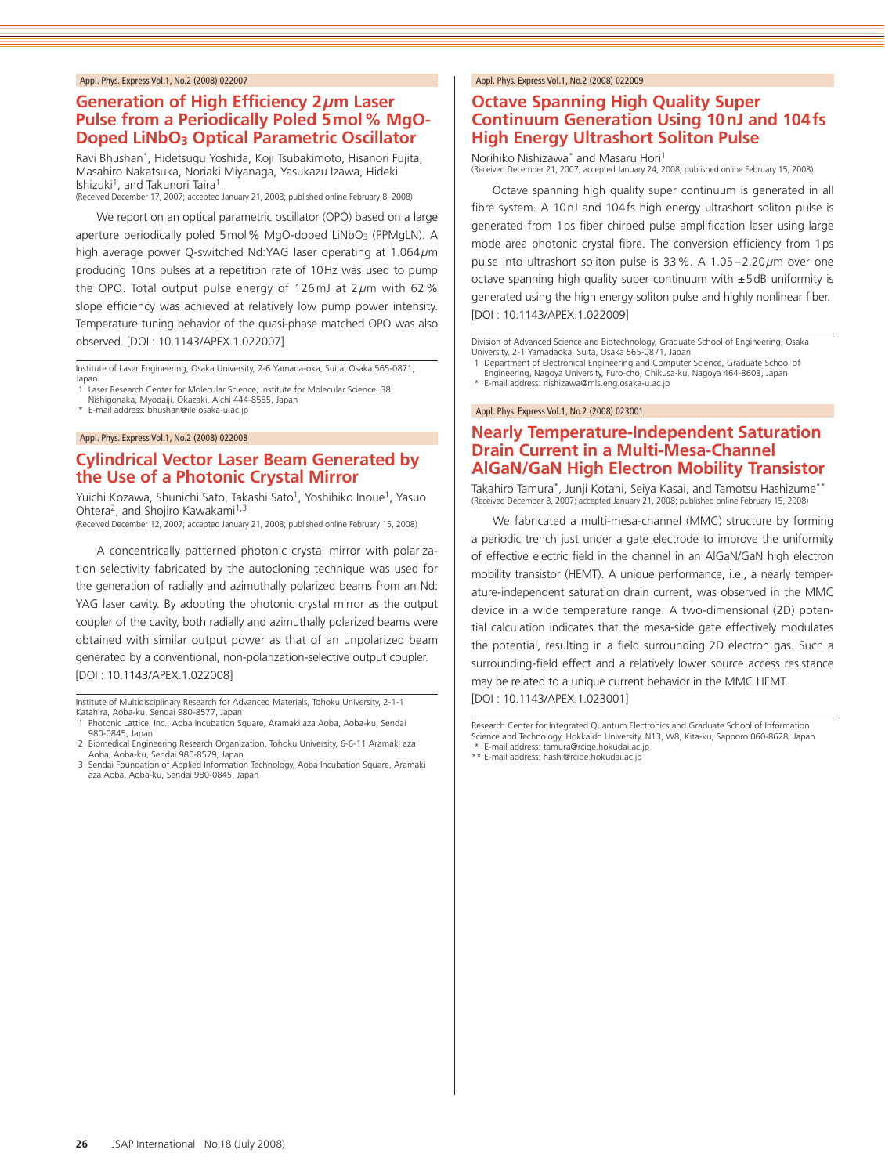# **Generation of High Efficiency 2***µ***m Laser Pulse from a Periodically Poled 5mol% MgO-Doped LiNbO<sub>3</sub> Optical Parametric Oscillator**

Ravi Bhushan\*, Hidetsugu Yoshida, Koji Tsubakimoto, Hisanori Fujita, Masahiro Nakatsuka, Noriaki Miyanaga, Yasukazu Izawa, Hideki Ishizuki<sup>1</sup>, and Takunori Taira<sup>1</sup>

(Received December 17, 2007; accepted January 21, 2008; published online February 8, 2008)

We report on an optical parametric oscillator (OPO) based on a large aperture periodically poled 5 mol% MgO-doped LiNbO<sub>3</sub> (PPMgLN). A high average power Q-switched Nd:YAG laser operating at 1.064*µ*m producing 10ns pulses at a repetition rate of 10Hz was used to pump the OPO. Total output pulse energy of 126mJ at 2*µ*m with 62 % slope efficiency was achieved at relatively low pump power intensity. Temperature tuning behavior of the quasi-phase matched OPO was also observed. [DOI : 10.1143/APEX.1.022007]

Institute of Laser Engineering, Osaka University, 2-6 Yamada-oka, Suita, Osaka 565-0871, Japan

1 Laser Research Center for Molecular Science, Institute for Molecular Science, 38 Nishigonaka, Myodaiji, Okazaki, Aichi 444-8585, Japan

\* E-mail address: bhushan@ile.osaka-u.ac.jp

Appl. Phys. Express Vol.1, No.2 (2008) 022008

# **Cylindrical Vector Laser Beam Generated by the Use of a Photonic Crystal Mirror**

Yuichi Kozawa, Shunichi Sato, Takashi Sato<sup>1</sup>, Yoshihiko Inoue<sup>1</sup>, Yasuo Ohtera<sup>2</sup>, and Shojiro Kawakami<sup>1,3</sup>

(Received December 12, 2007; accepted January 21, 2008; published online February 15, 2008)

A concentrically patterned photonic crystal mirror with polarization selectivity fabricated by the autocloning technique was used for the generation of radially and azimuthally polarized beams from an Nd: YAG laser cavity. By adopting the photonic crystal mirror as the output coupler of the cavity, both radially and azimuthally polarized beams were obtained with similar output power as that of an unpolarized beam generated by a conventional, non-polarization-selective output coupler. [DOI : 10.1143/APEX.1.022008]

Institute of Multidisciplinary Research for Advanced Materials, Tohoku University, 2-1-1 Katahira, Aoba-ku, Sendai 980-8577, Japan

- 2 Biomedical Engineering Research Organization, Tohoku University, 6-6-11 Aramaki aza Aoba, Aoba-ku, Sendai 980-8579, Japan
- 3 Sendai Foundation of Applied Information Technology, Aoba Incubation Square, Aramaki aza Aoba, Aoba-ku, Sendai 980-0845, Japan

#### Appl. Phys. Express Vol.1, No.2 (2008) 022009

# **Octave Spanning High Quality Super Continuum Generation Using 10nJ and 104fs High Energy Ultrashort Soliton Pulse**

Norihiko Nishizawa\* and Masaru Hori<sup>1</sup><br>(Received December 21, 2007; accepted January 24, 2008; published online February 15, 2008)

Octave spanning high quality super continuum is generated in all fibre system. A 10nJ and 104fs high energy ultrashort soliton pulse is generated from 1ps fiber chirped pulse amplification laser using large mode area photonic crystal fibre. The conversion efficiency from 1ps pulse into ultrashort soliton pulse is 33%. A 1.05–2.20*µ*m over one octave spanning high quality super continuum with  $\pm$  5dB uniformity is generated using the high energy soliton pulse and highly nonlinear fiber. [DOI : 10.1143/APEX.1.022009]

Division of Advanced Science and Biotechnology, Graduate School of Engineering, Osaka University, 2-1 Yamadaoka, Suita, Osaka 565-0871, Japan

- 1 Department of Electronical Engineering and Computer Science, Graduate School of
- Engineering, Nagoya University, Furo-cho, Chikusa-ku, Nagoya 464-8603, Japan
- \* E-mail address: nishizawa@mls.eng.osaka-u.ac.jp

#### Appl. Phys. Express Vol.1, No.2 (2008) 023001

# **Nearly Temperature-Independent Saturation Drain Current in a Multi-Mesa-Channel AlGaN/GaN High Electron Mobility Transistor**

Takahiro Tamura\*, Junji Kotani, Seiya Kasai, and Tamotsu Hashizume\*\* (Received December 8, 2007; accepted January 21, 2008; published online February 15, 2008)

We fabricated a multi-mesa-channel (MMC) structure by forming a periodic trench just under a gate electrode to improve the uniformity of effective electric field in the channel in an AlGaN/GaN high electron mobility transistor (HEMT). A unique performance, i.e., a nearly temperature-independent saturation drain current, was observed in the MMC device in a wide temperature range. A two-dimensional (2D) potential calculation indicates that the mesa-side gate effectively modulates the potential, resulting in a field surrounding 2D electron gas. Such a surrounding-field effect and a relatively lower source access resistance may be related to a unique current behavior in the MMC HEMT. [DOI : 10.1143/APEX.1.023001]

Research Center for Integrated Quantum Electronics and Graduate School of Information Science and Technology, Hokkaido University, N13, W8, Kita-ku, Sapporo 060-8628, Japan \* E-mail address: tamura@rciqe.hokudai.ac.jp

\*\* E-mail address: hashi@rciqe.hokudai.ac.jp

<sup>1</sup> Photonic Lattice, Inc., Aoba Incubation Square, Aramaki aza Aoba, Aoba-ku, Sendai 980-0845, Japan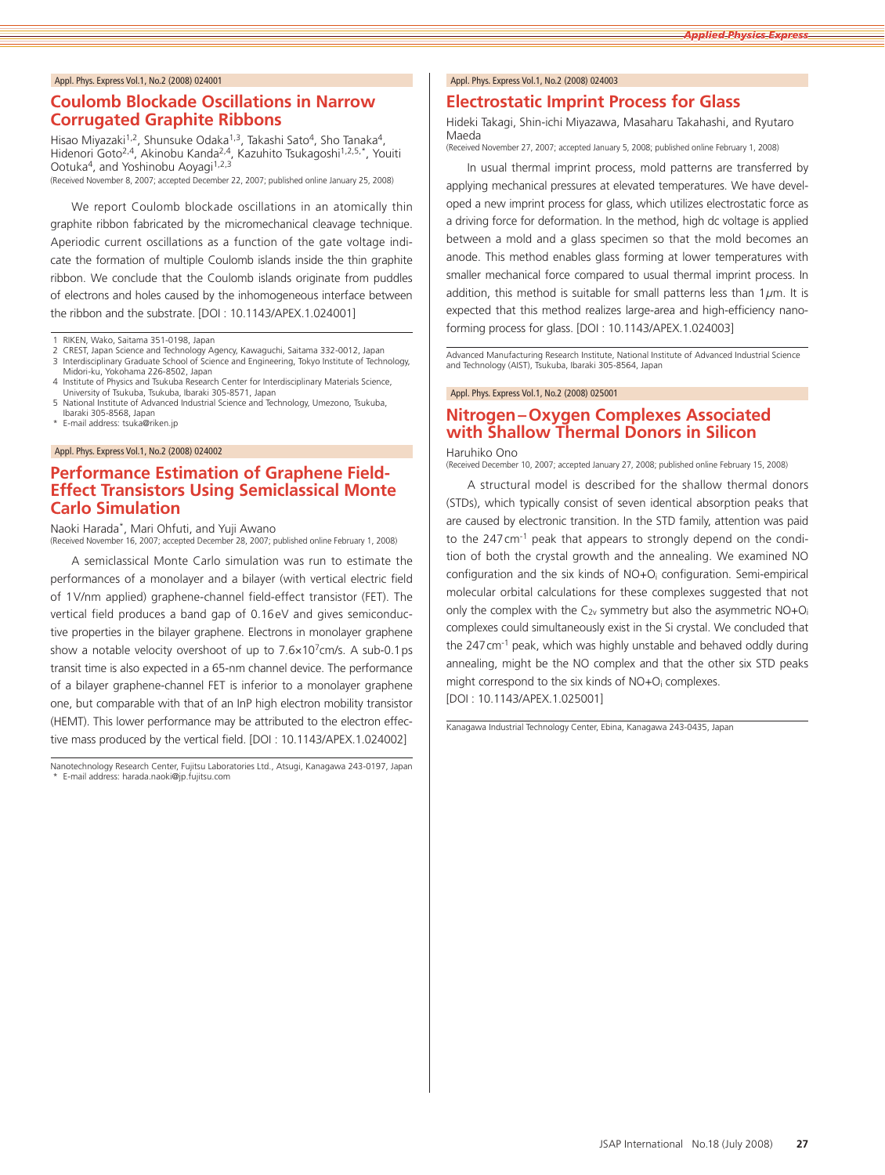#### **Coulomb Blockade Oscillations in Narrow Corrugated Graphite Ribbons**

Hisao Miyazaki<sup>1,2</sup>, Shunsuke Odaka<sup>1,3</sup>, Takashi Sato<sup>4</sup>, Sho Tanaka<sup>4</sup>, Hidenori Goto<sup>2,4</sup>, Akinobu Kanda<sup>2,4</sup>, Kazuhito Tsukagoshi<sup>1,2,5,\*</sup>, Youiti Ootuka<sup>4</sup>, and Yoshinobu Aoyagi<sup>1,2,3</sup> (Received November 8, 2007; accepted December 22, 2007; published online January 25, 2008)

We report Coulomb blockade oscillations in an atomically thin graphite ribbon fabricated by the micromechanical cleavage technique. Aperiodic current oscillations as a function of the gate voltage indicate the formation of multiple Coulomb islands inside the thin graphite ribbon. We conclude that the Coulomb islands originate from puddles of electrons and holes caused by the inhomogeneous interface between the ribbon and the substrate. [DOI : 10.1143/APEX.1.024001]

RIKEN, Wako, Saitama 351-0198, Japan

- 2 CREST, Japan Science and Technology Agency, Kawaguchi, Saitama 332-0012, Japan<br>3 Interdisciplinary Graduate School of Science and Engineering, Tokyo Institute of Technology,
- Midori-ku, Yokohama 226-8502, Japan 4 Institute of Physics and Tsukuba Research Center for Interdisciplinary Materials Science,
- University of Tsukuba, Tsukuba, Ibaraki 305-8571, Japan
- 5 National Institute of Advanced Industrial Science and Technology, Umezono, Tsukuba, Ibaraki 305-8568, Japan
- E-mail address: tsuka@riken.jp

#### Appl. Phys. Express Vol.1, No.2 (2008) 024002

### **Performance Estimation of Graphene Field-Effect Transistors Using Semiclassical Monte Carlo Simulation**

Naoki Harada\*, Mari Ohfuti, and Yuji Awano (Received November 16, 2007; accepted December 28, 2007; published online February 1, 2008)

A semiclassical Monte Carlo simulation was run to estimate the performances of a monolayer and a bilayer (with vertical electric field of 1V/nm applied) graphene-channel field-effect transistor (FET). The vertical field produces a band gap of 0.16eV and gives semiconductive properties in the bilayer graphene. Electrons in monolayer graphene show a notable velocity overshoot of up to  $7.6 \times 10^{7}$  cm/s. A sub-0.1 ps transit time is also expected in a 65-nm channel device. The performance of a bilayer graphene-channel FET is inferior to a monolayer graphene one, but comparable with that of an InP high electron mobility transistor (HEMT). This lower performance may be attributed to the electron effective mass produced by the vertical field. [DOI : 10.1143/APEX.1.024002]

#### Appl. Phys. Express Vol.1, No.2 (2008) 024003

#### **Electrostatic Imprint Process for Glass**

Hideki Takagi, Shin-ichi Miyazawa, Masaharu Takahashi, and Ryutaro Maeda

(Received November 27, 2007; accepted January 5, 2008; published online February 1, 2008)

In usual thermal imprint process, mold patterns are transferred by applying mechanical pressures at elevated temperatures. We have developed a new imprint process for glass, which utilizes electrostatic force as a driving force for deformation. In the method, high dc voltage is applied between a mold and a glass specimen so that the mold becomes an anode. This method enables glass forming at lower temperatures with smaller mechanical force compared to usual thermal imprint process. In addition, this method is suitable for small patterns less than  $1\mu$ m. It is expected that this method realizes large-area and high-efficiency nanoforming process for glass. [DOI : 10.1143/APEX.1.024003]

Advanced Manufacturing Research Institute, National Institute of Advanced Industrial Science and Technology (AIST), Tsukuba, Ibaraki 305-8564, Japan

#### Appl. Phys. Express Vol.1, No.2 (2008) 025001

# **Nitrogen–Oxygen Complexes Associated with Shallow Thermal Donors in Silicon**

#### Haruhiko Ono

(Received December 10, 2007; accepted January 27, 2008; published online February 15, 2008)

A structural model is described for the shallow thermal donors (STDs), which typically consist of seven identical absorption peaks that are caused by electronic transition. In the STD family, attention was paid to the 247 cm<sup>-1</sup> peak that appears to strongly depend on the condition of both the crystal growth and the annealing. We examined NO configuration and the six kinds of NO+Oi configuration. Semi-empirical molecular orbital calculations for these complexes suggested that not only the complex with the  $C_{2v}$  symmetry but also the asymmetric  $NO+O_i$ complexes could simultaneously exist in the Si crystal. We concluded that the 247cm-1 peak, which was highly unstable and behaved oddly during annealing, might be the NO complex and that the other six STD peaks might correspond to the six kinds of NO+O<sub>i</sub> complexes. [DOI : 10.1143/APEX.1.025001]

Kanagawa Industrial Technology Center, Ebina, Kanagawa 243-0435, Japan

Nanotechnology Research Center, Fujitsu Laboratories Ltd., Atsugi, Kanagawa 243-0197, Japan E-mail address: harada.naoki@ip.fujitsu.com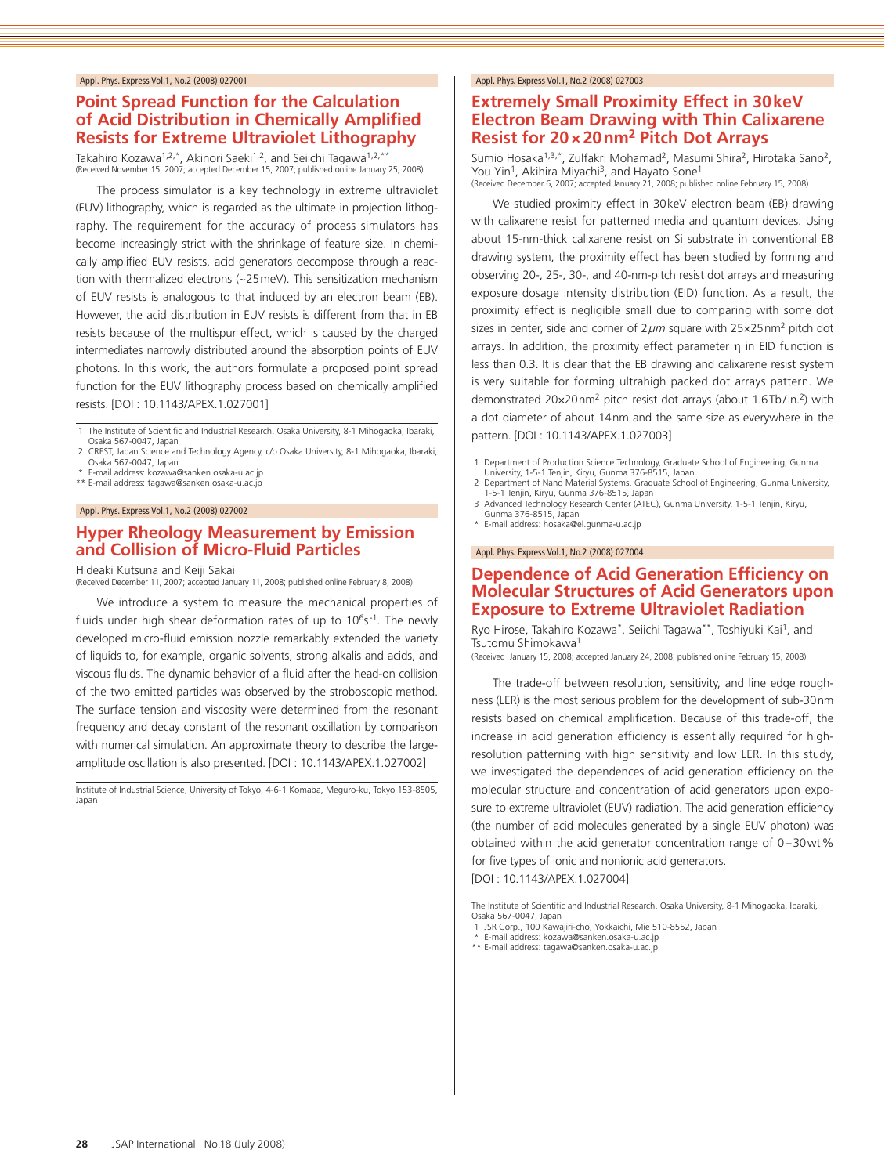# **Point Spread Function for the Calculation of Acid Distribution in Chemically Amplified Resists for Extreme Ultraviolet Lithography**

Takahiro Kozawa<sup>1,2,\*</sup>, Akinori Saeki<sup>1,2</sup>, and Seiichi Tagawa<sup>1,2,\*\*</sup><br>(Received November 15, 2007; accepted December 15, 2007; published online January 25, 2008)

The process simulator is a key technology in extreme ultraviolet (EUV) lithography, which is regarded as the ultimate in projection lithography. The requirement for the accuracy of process simulators has become increasingly strict with the shrinkage of feature size. In chemically amplified EUV resists, acid generators decompose through a reaction with thermalized electrons (~25meV). This sensitization mechanism of EUV resists is analogous to that induced by an electron beam (EB). However, the acid distribution in EUV resists is different from that in EB resists because of the multispur effect, which is caused by the charged intermediates narrowly distributed around the absorption points of EUV photons. In this work, the authors formulate a proposed point spread function for the EUV lithography process based on chemically amplified resists. [DOI : 10.1143/APEX.1.027001]

1 The Institute of Scientific and Industrial Research, Osaka University, 8-1 Mihogaoka, Ibaraki, Osaka 567-0047, Japan

2 CREST, Japan Science and Technology Agency, c/o Osaka University, 8-1 Mihogaoka, Ibaraki, Osaka 567-0047, Japan \* E-mail address: kozawa@sanken.osaka-u.ac.jp

\*\* E-mail address: tagawa@sanken.osaka-u.ac.jp

#### Appl. Phys. Express Vol.1, No.2 (2008) 027002

# **Hyper Rheology Measurement by Emission and Collision of Micro-Fluid Particles**

Hideaki Kutsuna and Keiji Sakai

(Received December 11, 2007; accepted January 11, 2008; published online February 8, 2008)

We introduce a system to measure the mechanical properties of fluids under high shear deformation rates of up to  $10^6$ s<sup>-1</sup>. The newly developed micro-fluid emission nozzle remarkably extended the variety of liquids to, for example, organic solvents, strong alkalis and acids, and viscous fluids. The dynamic behavior of a fluid after the head-on collision of the two emitted particles was observed by the stroboscopic method. The surface tension and viscosity were determined from the resonant frequency and decay constant of the resonant oscillation by comparison with numerical simulation. An approximate theory to describe the largeamplitude oscillation is also presented. [DOI : 10.1143/APEX.1.027002]

Institute of Industrial Science, University of Tokyo, 4-6-1 Komaba, Meguro-ku, Tokyo 153-8505, Japan

#### Appl. Phys. Express Vol.1, No.2 (2008) 027003

### **Extremely Small Proximity Effect in 30keV Electron Beam Drawing with Thin Calixarene Resist for 20×20nm2 Pitch Dot Arrays**

Sumio Hosaka<sup>1,3,\*</sup>, Zulfakri Mohamad<sup>2</sup>, Masumi Shira<sup>2</sup>, Hirotaka Sano<sup>2</sup>, You Yin<sup>1</sup>, Akihira Miyachi<sup>3</sup>, and Hayato Sone<sup>1</sup><br>(Received December 6, 2007; accepted January 21, 2008; published online February 15, 2008)

We studied proximity effect in 30keV electron beam (EB) drawing with calixarene resist for patterned media and quantum devices. Using about 15-nm-thick calixarene resist on Si substrate in conventional EB drawing system, the proximity effect has been studied by forming and observing 20-, 25-, 30-, and 40-nm-pitch resist dot arrays and measuring exposure dosage intensity distribution (EID) function. As a result, the proximity effect is negligible small due to comparing with some dot sizes in center, side and corner of  $2 \mu m$  square with  $25 \times 25$  nm<sup>2</sup> pitch dot arrays. In addition, the proximity effect parameter  $η$  in EID function is less than 0.3. It is clear that the EB drawing and calixarene resist system is very suitable for forming ultrahigh packed dot arrays pattern. We demonstrated 20×20nm2 pitch resist dot arrays (about 1.6Tb/in.2) with a dot diameter of about 14nm and the same size as everywhere in the pattern. [DOI : 10.1143/APEX.1.027003]

Department of Production Science Technology, Graduate School of Engineering, Gunma University, 1-5-1 Tenjin, Kiryu, Gunma 376-8515, Japan

- 2 Department of Nano Material Systems, Graduate School of Engineering, Gunma University, 1-5-1 Tenjin, Kiryu, Gunma 376-8515, Japan
- 3 Advanced Technology Research Center (ATEC), Gunma University, 1-5-1 Tenjin, Kiryu, Gunma 376-8515, Japan
- \* E-mail address: hosaka@el.gunma-u.ac.jp

Appl. Phys. Express Vol.1, No.2 (2008) 027004

#### **Dependence of Acid Generation Efficiency on Molecular Structures of Acid Generators upon Exposure to Extreme Ultraviolet Radiation**

Ryo Hirose, Takahiro Kozawa\*, Seiichi Tagawa\*\*, Toshiyuki Kai1, and Tsutomu Shimokawa1

(Received January 15, 2008; accepted January 24, 2008; published online February 15, 2008)

The trade-off between resolution, sensitivity, and line edge roughness (LER) is the most serious problem for the development of sub-30nm resists based on chemical amplification. Because of this trade-off, the increase in acid generation efficiency is essentially required for highresolution patterning with high sensitivity and low LER. In this study, we investigated the dependences of acid generation efficiency on the molecular structure and concentration of acid generators upon exposure to extreme ultraviolet (EUV) radiation. The acid generation efficiency (the number of acid molecules generated by a single EUV photon) was obtained within the acid generator concentration range of 0–30wt% for five types of ionic and nonionic acid generators.

[DOI : 10.1143/APEX.1.027004]

- 1 JSR Corp., 100 Kawajiri-cho, Yokkaichi, Mie 510-8552, Japan \* E-mail address: kozawa@sanken.osaka-u.ac.jp
- \*\* E-mail address: tagawa@sanken.osaka-u.ac.jp

The Institute of Scientific and Industrial Research, Osaka University, 8-1 Mihogaoka, Ibaraki, Osaka 567-0047, Japan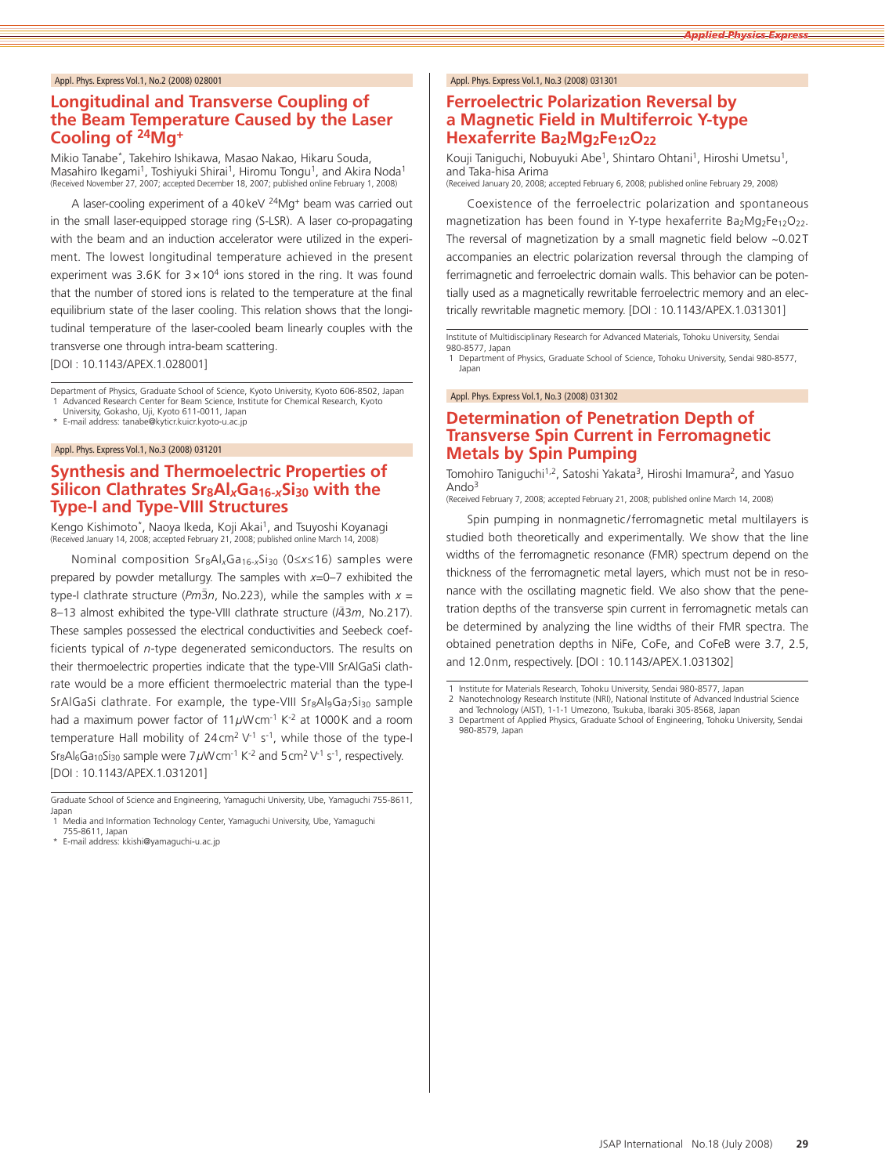# **Longitudinal and Transverse Coupling of the Beam Temperature Caused by the Laser Cooling of 24Mg+**

Mikio Tanabe\*, Takehiro Ishikawa, Masao Nakao, Hikaru Souda, Masahiro Ikegami<sup>1</sup>, Toshiyuki Shirai<sup>1</sup>, Hiromu Tongu<sup>1</sup>, and Akira Noda<sup>1</sup><br>(Received November 27, 2007; accepted December 18, 2007; published online February 1, 2008)

A laser-cooling experiment of a 40keV 24Mg+ beam was carried out in the small laser-equipped storage ring (S-LSR). A laser co-propagating with the beam and an induction accelerator were utilized in the experiment. The lowest longitudinal temperature achieved in the present experiment was 3.6K for  $3 \times 10^4$  ions stored in the ring. It was found that the number of stored ions is related to the temperature at the final equilibrium state of the laser cooling. This relation shows that the longitudinal temperature of the laser-cooled beam linearly couples with the transverse one through intra-beam scattering.

[DOI : 10.1143/APEX.1.028001]

Department of Physics, Graduate School of Science, Kyoto University, Kyoto 606-8502, Japan 1 Advanced Research Center for Beam Science, Institute for Chemical Research, Kyoto University, Gokasho, Uji, Kyoto 611-0011, Japan

E-mail address: tanabe@kyticr.kuicr.kyoto-u.ac.jp

#### Appl. Phys. Express Vol.1, No.3 (2008) 031201

# **Synthesis and Thermoelectric Properties of Silicon Clathrates Sr8Al***x***Ga16-***x***Si30 with the Type-I and Type-VIII Structures**

Kengo Kishimoto\*, Naoya Ikeda, Koji Akai<sup>1</sup>, and Tsuyoshi Koyanagi (Received January 14, 2008; accepted February 21, 2008; published online March 14, 2008)

Nominal composition Sr8Al*x*Ga16-*x*Si30 (0≤*x*≤16) samples were prepared by powder metallurgy. The samples with *<sup>x</sup>*=0–7 exhibited the type-I clathrate structure ( $Pm\bar{3}n$ , No.223), while the samples with  $x =$ 8–13 almost exhibited the type-VIII clathrate structure (*I*4 – 3*m*, No.217). These samples possessed the electrical conductivities and Seebeck coefficients typical of *<sup>n</sup>*-type degenerated semiconductors. The results on their thermoelectric properties indicate that the type-VIII SrAlGaSi clathrate would be a more efficient thermoelectric material than the type-I SrAlGaSi clathrate. For example, the type-VIII Sr<sub>8</sub>Al<sub>9</sub>Ga<sub>7</sub>Si<sub>30</sub> sample had a maximum power factor of 11µWcm<sup>-1</sup> K<sup>-2</sup> at 1000K and a room temperature Hall mobility of  $24 \text{ cm}^2 \text{ V}^{-1}$  s<sup>-1</sup>, while those of the type-I Sr<sub>8</sub>Al<sub>6</sub>Ga<sub>10</sub>Si<sub>30</sub> sample were 7µWcm<sup>-1</sup> K<sup>-2</sup> and 5cm<sup>2</sup> V<sup>-1</sup> s<sup>-1</sup>, respectively. [DOI : 10.1143/APEX.1.031201]

Graduate School of Science and Engineering, Yamaguchi University, Ube, Yamaguchi 755-8611, Japan 1<sup></sup> Media and Information Technology Center, Yamaguchi University, Ube, Yamaguchi

755-8611, Japan

E-mail address: kkishi@yamaguchi-u.ac.jp

#### Appl. Phys. Express Vol.1, No.3 (2008) 031301

# **Ferroelectric Polarization Reversal by a Magnetic Field in Multiferroic Y-type Hexaferrite Ba2Mg2Fe12O22**

Kouji Taniguchi, Nobuyuki Abe<sup>1</sup>, Shintaro Ohtani<sup>1</sup>, Hiroshi Umetsu<sup>1</sup>, and Taka-hisa Arima (Received January 20, 2008; accepted February 6, 2008; published online February 29, 2008)

Coexistence of the ferroelectric polarization and spontaneous magnetization has been found in Y-type hexaferrite Ba2Mg2Fe12O22. The reversal of magnetization by a small magnetic field below ~0.02T accompanies an electric polarization reversal through the clamping of ferrimagnetic and ferroelectric domain walls. This behavior can be potentially used as a magnetically rewritable ferroelectric memory and an electrically rewritable magnetic memory. [DOI : 10.1143/APEX.1.031301]

Institute of Multidisciplinary Research for Advanced Materials, Tohoku University, Sendai 980-8577, Japan

1 Department of Physics, Graduate School of Science, Tohoku University, Sendai 980-8577, Japan

Appl. Phys. Express Vol.1, No.3 (2008) 031302

### **Determination of Penetration Depth of Transverse Spin Current in Ferromagnetic Metals by Spin Pumping**

Tomohiro Taniguchi<sup>1,2</sup>, Satoshi Yakata<sup>3</sup>, Hiroshi Imamura<sup>2</sup>, and Yasuo Ando3

(Received February 7, 2008; accepted February 21, 2008; published online March 14, 2008)

Spin pumping in nonmagnetic/ferromagnetic metal multilayers is studied both theoretically and experimentally. We show that the line widths of the ferromagnetic resonance (FMR) spectrum depend on the thickness of the ferromagnetic metal layers, which must not be in resonance with the oscillating magnetic field. We also show that the penetration depths of the transverse spin current in ferromagnetic metals can be determined by analyzing the line widths of their FMR spectra. The obtained penetration depths in NiFe, CoFe, and CoFeB were 3.7, 2.5, and 12.0nm, respectively. [DOI : 10.1143/APEX.1.031302]

- 2 Nanotechnology Research Institute (NRI), National Institute of Advanced Industrial Science and Technology (AIST), 1-1-1 Umezono, Tsukuba, Ibaraki 305-8568, Japan
- 3 Department of Applied Physics, Graduate School of Engineering, Tohoku University, Sendai 980-8579, Japan

<sup>1</sup> Institute for Materials Research, Tohoku University, Sendai 980-8577, Japan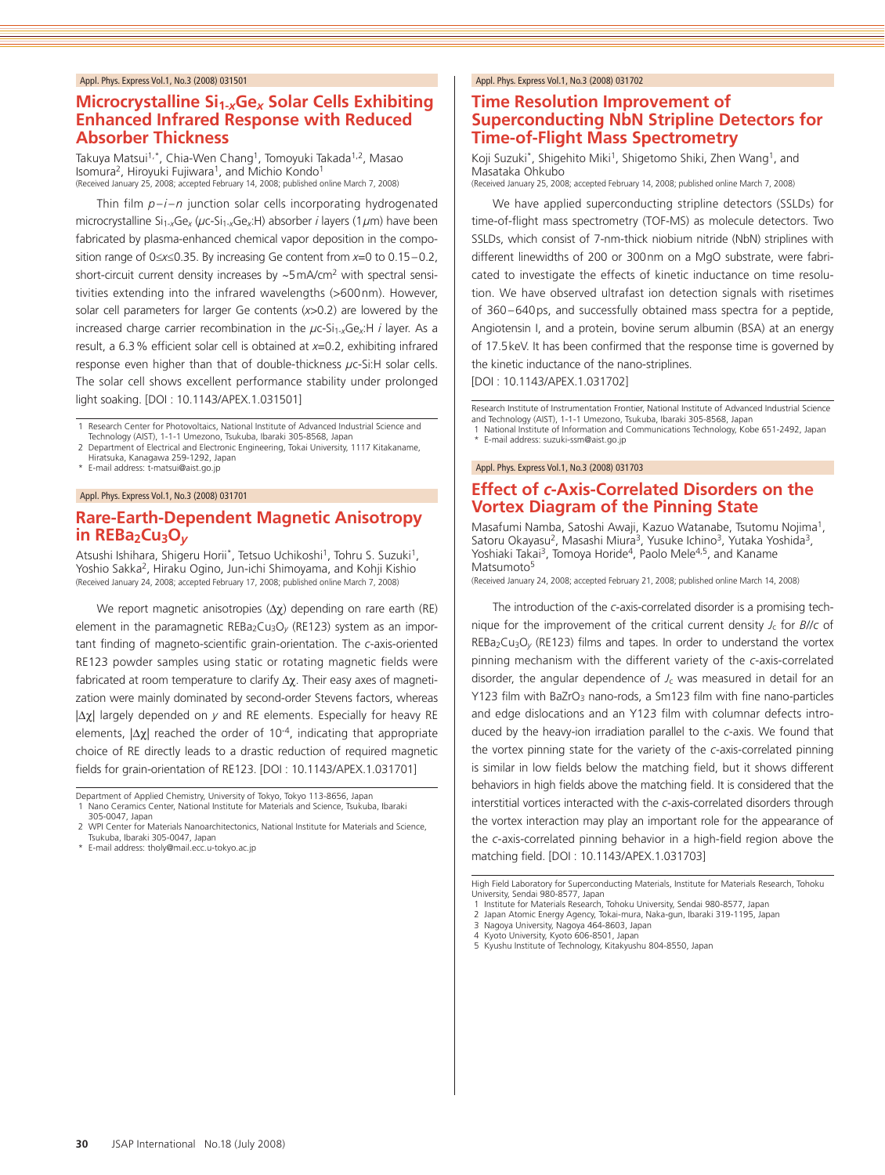# **Microcrystalline Si1-***x***Ge***x* **Solar Cells Exhibiting Enhanced Infrared Response with Reduced Absorber Thickness**

Takuya Matsui<sup>1,\*</sup>, Chia-Wen Chang<sup>1</sup>, Tomoyuki Takada<sup>1,2</sup>, Masao Isomura<sup>2</sup>, Hiroyuki Fujiwara<sup>1</sup>, and Michio Kondo<sup>1</sup><br>(Received January 25, 2008; accepted February 14, 2008; published online March 7, 2008)

Thin film *p* –*i* –*<sup>n</sup>* junction solar cells incorporating hydrogenated microcrystalline Si1-*x*Ge*<sup>x</sup>* (*µ*c-Si1-*x*Ge*x*:H) absorber *<sup>i</sup>* layers (1*µ*m) have been fabricated by plasma-enhanced chemical vapor deposition in the composition range of 0≤*x*≤0.35. By increasing Ge content from *<sup>x</sup>*=0 to 0.15–0.2, short-circuit current density increases by ~5mA/cm<sup>2</sup> with spectral sensitivities extending into the infrared wavelengths (>600nm). However, solar cell parameters for larger Ge contents (*x*>0.2) are lowered by the increased charge carrier recombination in the  $\mu$ c-Si<sub>1-x</sub>Ge<sub>x</sub>:H *i* layer. As a result, a 6.3% efficient solar cell is obtained at *<sup>x</sup>*=0.2, exhibiting infrared response even higher than that of double-thickness *µ*c-Si:H solar cells. The solar cell shows excellent performance stability under prolonged light soaking. [DOI : 10.1143/APEX.1.031501]

1 Research Center for Photovoltaics, National Institute of Advanced Industrial Science and Technology (AIST), 1-1-1 Umezono, Tsukuba, Ibaraki 305-8568, Japan

2 Department of Electrical and Electronic Engineering, Tokai University, 1117 Kitakaname, Hiratsuka, Kanagawa 259-1292, Japan

\* E-mail address: t-matsui@aist.go.jp

#### Appl. Phys. Express Vol.1, No.3 (2008) 031701

# **Rare-Earth-Dependent Magnetic Anisotropy**  in REBa<sub>2</sub>Cu<sub>3</sub>O<sub>*v*</sub>

Atsushi Ishihara, Shigeru Horii\*, Tetsuo Uchikoshi<sup>1</sup>, Tohru S. Suzuki<sup>1</sup>, Yoshio Sakka2, Hiraku Ogino, Jun-ichi Shimoyama, and Kohji Kishio (Received January 24, 2008; accepted February 17, 2008; published online March 7, 2008)

We report magnetic anisotropies (Δχ) depending on rare earth (RE) element in the paramagnetic REBa<sub>2</sub>Cu<sub>3</sub>O<sub>v</sub> (RE123) system as an important finding of magneto-scientific grain-orientation. The *<sup>c</sup>*-axis-oriented RE123 powder samples using static or rotating magnetic fields were fabricated at room temperature to clarify  $\Delta \chi$ . Their easy axes of magnetization were mainly dominated by second-order Stevens factors, whereas |Δχ| largely depended on *y* and RE elements. Especially for heavy RE elements,  $|\Delta \chi|$  reached the order of 10<sup>-4</sup>, indicating that appropriate choice of RE directly leads to a drastic reduction of required magnetic fields for grain-orientation of RE123. [DOI : 10.1143/APEX.1.031701]

Department of Applied Chemistry, University of Tokyo, Tokyo 113-8656, Japan

\* E-mail address: tholy@mail.ecc.u-tokyo.ac.jp

#### Appl. Phys. Express Vol.1, No.3 (2008) 031702

# **Time Resolution Improvement of Superconducting NbN Stripline Detectors for Time-of-Flight Mass Spectrometry**

Koji Suzuki\*, Shigehito Miki<sup>1</sup>, Shigetomo Shiki, Zhen Wang<sup>1</sup>, and Masataka Ohkubo (Received January 25, 2008; accepted February 14, 2008; published online March 7, 2008)

We have applied superconducting stripline detectors (SSLDs) for time-of-flight mass spectrometry (TOF-MS) as molecule detectors. Two SSLDs, which consist of 7-nm-thick niobium nitride (NbN) striplines with different linewidths of 200 or 300nm on a MgO substrate, were fabricated to investigate the effects of kinetic inductance on time resolution. We have observed ultrafast ion detection signals with risetimes of 360–640ps, and successfully obtained mass spectra for a peptide, Angiotensin I, and a protein, bovine serum albumin (BSA) at an energy of 17.5keV. It has been confirmed that the response time is governed by the kinetic inductance of the nano-striplines.

[DOI : 10.1143/APEX.1.031702]

Research Institute of Instrumentation Frontier, National Institute of Advanced Industrial Science and Technology (AIST), 1-1-1 Umezono, Tsukuba, Ibaraki 305-8568, Japan

1 National Institute of Information and Communications Technology, Kobe 651-2492, Japan E-mail address: suzuki-ssm@aist.go.jp

#### Appl. Phys. Express Vol.1, No.3 (2008) 031703

# **Effect of** *c***-Axis-Correlated Disorders on the Vortex Diagram of the Pinning State**

Masafumi Namba, Satoshi Awaji, Kazuo Watanabe, Tsutomu Nojima1, Satoru Okayasu<sup>2</sup>, Masashi Miura<sup>3</sup>, Yusuke Ichino<sup>3</sup>, Yutaka Yoshida<sup>3</sup>, Yoshiaki Takai<sup>3</sup>, Tomoya Horide<sup>4</sup>, Paolo Mele<sup>4,5</sup>, and Kaname Matsumoto<sup>5</sup>

(Received January 24, 2008; accepted February 21, 2008; published online March 14, 2008)

The introduction of the *<sup>c</sup>*-axis-correlated disorder is a promising technique for the improvement of the critical current density  $J_c$  for  $B//c$  of REBa<sub>2</sub>Cu<sub>3</sub>O<sub>v</sub> (RE123) films and tapes. In order to understand the vortex pinning mechanism with the different variety of the *<sup>c</sup>*-axis-correlated disorder, the angular dependence of  $J_c$  was measured in detail for an Y123 film with BaZrO<sub>3</sub> nano-rods, a Sm123 film with fine nano-particles and edge dislocations and an Y123 film with columnar defects introduced by the heavy-ion irradiation parallel to the *<sup>c</sup>*-axis. We found that the vortex pinning state for the variety of the *<sup>c</sup>*-axis-correlated pinning is similar in low fields below the matching field, but it shows different behaviors in high fields above the matching field. It is considered that the interstitial vortices interacted with the *<sup>c</sup>*-axis-correlated disorders through the vortex interaction may play an important role for the appearance of the *<sup>c</sup>*-axis-correlated pinning behavior in a high-field region above the matching field. [DOI : 10.1143/APEX.1.031703]

High Field Laboratory for Superconducting Materials, Institute for Materials Research, Tohoku University, Sendai 980-8577, Japan

5 Kyushu Institute of Technology, Kitakyushu 804-8550, Japan

<sup>1</sup> Nano Ceramics Center, National Institute for Materials and Science, Tsukuba, Ibaraki 305-0047, Japan

<sup>2</sup> WPI Center for Materials Nanoarchitectonics, National Institute for Materials and Science, Tsukuba, Ibaraki 305-0047, Japan

<sup>1</sup> Institute for Materials Research, Tohoku University, Sendai 980-8577, Japan

<sup>2</sup> Japan Atomic Energy Agency, Tokai-mura, Naka-gun, Ibaraki 319-1195, Japan 3 Nagoya University, Nagoya 464-8603, Japan

<sup>4</sup> Kyoto University, Kyoto 606-8501, Japar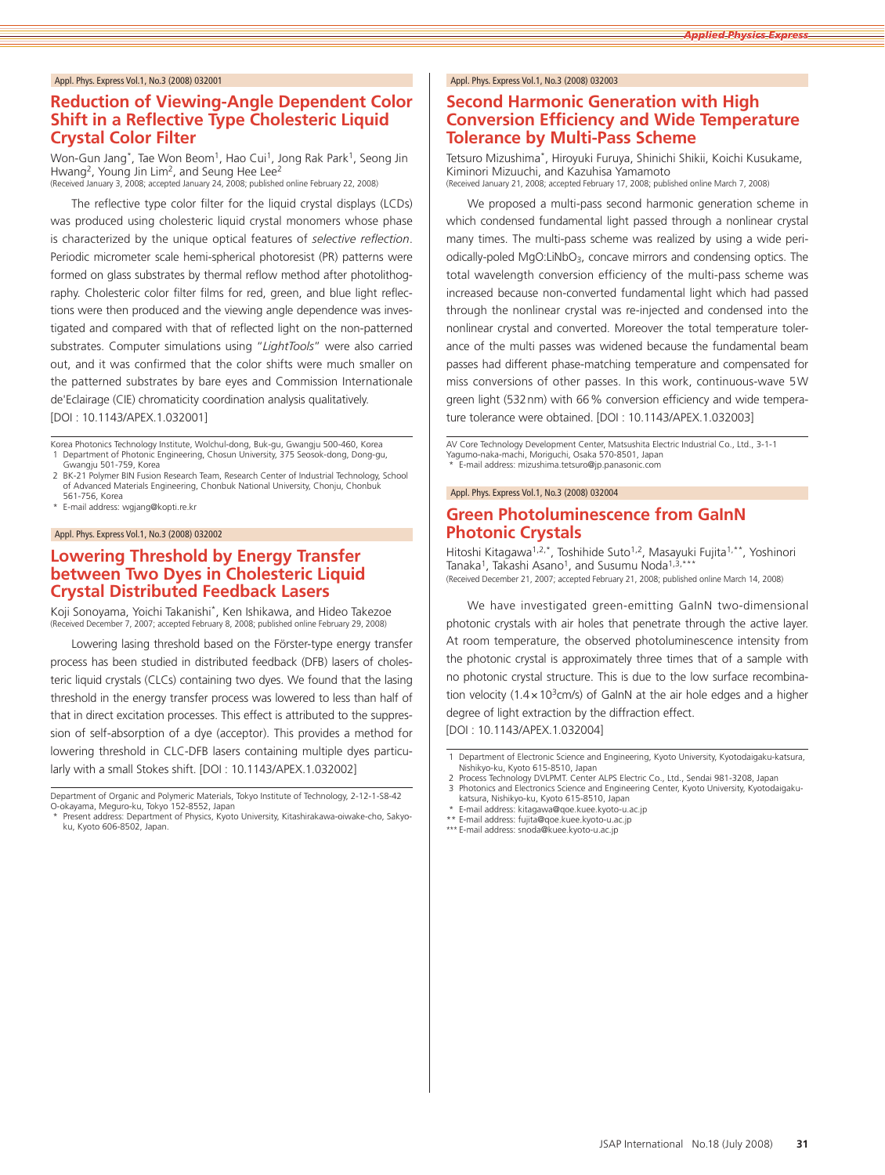# **Reduction of Viewing-Angle Dependent Color Shift in a Reflective Type Cholesteric Liquid Crystal Color Filter**

Won-Gun Jang\*, Tae Won Beom<sup>1</sup>, Hao Cui<sup>1</sup>, Jong Rak Park<sup>1</sup>, Seong Jin Hwang<sup>2</sup>, Young Jin Lim<sup>2</sup>, and Seung Hee Lee<sup>2</sup><br>(Received January 3, 2008; accepted January 24, 2008; published online February 22, 2008)

The reflective type color filter for the liquid crystal displays (LCDs) was produced using cholesteric liquid crystal monomers whose phase is characterized by the unique optical features of *selective reflection*. Periodic micrometer scale hemi-spherical photoresist (PR) patterns were formed on glass substrates by thermal reflow method after photolithography. Cholesteric color filter films for red, green, and blue light reflections were then produced and the viewing angle dependence was investigated and compared with that of reflected light on the non-patterned substrates. Computer simulations using "*LightTools*" were also carried out, and it was confirmed that the color shifts were much smaller on the patterned substrates by bare eyes and Commission Internationale de'Eclairage (CIE) chromaticity coordination analysis qualitatively. [DOI : 10.1143/APEX.1.032001]

Korea Photonics Technology Institute, Wolchul-dong, Buk-gu, Gwangju 500-460, Korea 1 Department of Photonic Engineering, Chosun University, 375 Seosok-dong, Dong-gu, Gwangju 501-759, Korea

- 2 BK-21 Polymer BIN Fusion Research Team, Research Center of Industrial Technology, School of Advanced Materials Engineering, Chonbuk National University, Chonju, Chonbuk
- 561-756, Korea E-mail address: wgjang@kopti.re.kr

#### Appl. Phys. Express Vol.1, No.3 (2008) 032002

#### **Lowering Threshold by Energy Transfer between Two Dyes in Cholesteric Liquid Crystal Distributed Feedback Lasers**

Koji Sonoyama, Yoichi Takanishi\*, Ken Ishikawa, and Hideo Takezoe (Received December 7, 2007; accepted February 8, 2008; published online February 29, 2008)

Lowering lasing threshold based on the Förster-type energy transfer process has been studied in distributed feedback (DFB) lasers of cholesteric liquid crystals (CLCs) containing two dyes. We found that the lasing threshold in the energy transfer process was lowered to less than half of that in direct excitation processes. This effect is attributed to the suppression of self-absorption of a dye (acceptor). This provides a method for lowering threshold in CLC-DFB lasers containing multiple dyes particularly with a small Stokes shift. [DOI : 10.1143/APEX.1.032002]

#### Appl. Phys. Express Vol.1, No.3 (2008) 032003

### **Second Harmonic Generation with High Conversion Efficiency and Wide Temperature Tolerance by Multi-Pass Scheme**

Tetsuro Mizushima\*, Hiroyuki Furuya, Shinichi Shikii, Koichi Kusukame, Kiminori Mizuuchi, and Kazuhisa Yamamoto (Received January 21, 2008; accepted February 17, 2008; published online March 7, 2008)

We proposed a multi-pass second harmonic generation scheme in which condensed fundamental light passed through a nonlinear crystal many times. The multi-pass scheme was realized by using a wide periodically-poled MgO:LiNbO<sub>3</sub>, concave mirrors and condensing optics. The total wavelength conversion efficiency of the multi-pass scheme was increased because non-converted fundamental light which had passed through the nonlinear crystal was re-injected and condensed into the nonlinear crystal and converted. Moreover the total temperature tolerance of the multi passes was widened because the fundamental beam passes had different phase-matching temperature and compensated for miss conversions of other passes. In this work, continuous-wave 5W green light (532nm) with 66% conversion efficiency and wide temperature tolerance were obtained. [DOI : 10.1143/APEX.1.032003]

AV Core Technology Development Center, Matsushita Electric Industrial Co., Ltd., 3-1-1 Yagumo-naka-machi, Moriguchi, Osaka 570-8501, Japan \* E-mail address: mizushima.tetsuro@jp.panasonic.com

#### Appl. Phys. Express Vol.1, No.3 (2008) 032004

### **Green Photoluminescence from GaInN Photonic Crystals**

Hitoshi Kitagawa1,2,\*, Toshihide Suto1,2, Masayuki Fujita1,\*\*, Yoshinori Tanaka<sup>1</sup>, Takashi Asano<sup>1</sup>, and Susumu Noda<sup>1,3</sup> (Received December 21, 2007; accepted February 21, 2008; published online March 14, 2008)

We have investigated green-emitting GaInN two-dimensional photonic crystals with air holes that penetrate through the active layer. At room temperature, the observed photoluminescence intensity from the photonic crystal is approximately three times that of a sample with no photonic crystal structure. This is due to the low surface recombination velocity (1.4  $\times$  10<sup>3</sup>cm/s) of GaInN at the air hole edges and a higher degree of light extraction by the diffraction effect.

[DOI : 10.1143/APEX.1.032004]

2 Process Technology DVLPMT. Center ALPS Electric Co., Ltd., Sendai 981-3208, Japan

E-mail address: kitagawa@qoe.kuee.kyoto-u.ac.jp

E-mail address: fujita@qoe.kuee.kyoto-u.ac.jp

\*\*\* E-mail address: snoda@kuee.kyoto-u.ac.jp

Department of Organic and Polymeric Materials, Tokyo Institute of Technology, 2-12-1-S8-42 O-okayama, Meguro-ku, Tokyo 152-8552, Japan

Present address: Department of Physics, Kyoto University, Kitashirakawa-oiwake-cho, Sakyoku, Kyoto 606-8502, Japan.

<sup>1</sup> Department of Electronic Science and Engineering, Kyoto University, Kyotodaigaku-katsura, Nishikyo-ku, Kyoto 615-8510, Japan

<sup>3</sup> Photonics and Electronics Science and Engineering Center, Kyoto University, Kyotodaigakukatsura, Nishikyo-ku, Kyoto 615-8510, Japan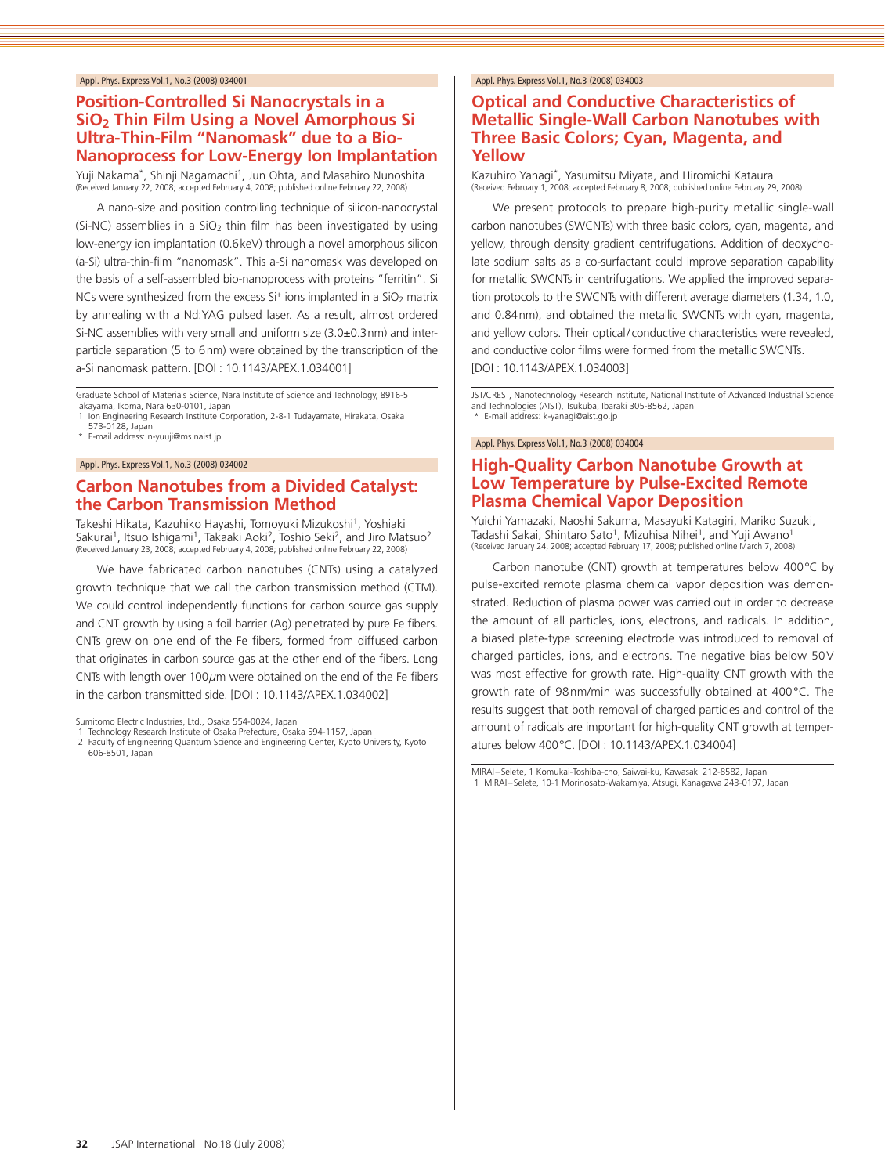### **Position-Controlled Si Nanocrystals in a SiO2 Thin Film Using a Novel Amorphous Si Ultra-Thin-Film "Nanomask" due to a Bio-Nanoprocess for Low-Energy Ion Implantation**

Yuji Nakama\*, Shinji Nagamachi<sup>1</sup>, Jun Ohta, and Masahiro Nunoshita (Received January 22, 2008; accepted February 4, 2008; published online February 22, 2008)

A nano-size and position controlling technique of silicon-nanocrystal (Si-NC) assemblies in a  $SiO<sub>2</sub>$  thin film has been investigated by using low-energy ion implantation (0.6keV) through a novel amorphous silicon (a-Si) ultra-thin-film "nanomask". This a-Si nanomask was developed on the basis of a self-assembled bio-nanoprocess with proteins "ferritin". Si NCs were synthesized from the excess  $Si<sup>+</sup>$  ions implanted in a  $SiO<sub>2</sub>$  matrix by annealing with a Nd:YAG pulsed laser. As a result, almost ordered Si-NC assemblies with very small and uniform size (3.0±0.3nm) and interparticle separation (5 to 6nm) were obtained by the transcription of the a-Si nanomask pattern. [DOI : 10.1143/APEX.1.034001]

Graduate School of Materials Science, Nara Institute of Science and Technology, 8916-5 Takayama, Ikoma, Nara 630-0101, Japan

1 Ion Engineering Research Institute Corporation, 2-8-1 Tudayamate, Hirakata, Osaka 573-0128, Japan

\* E-mail address: n-yuuji@ms.naist.jp

Appl. Phys. Express Vol.1, No.3 (2008) 034002

# **Carbon Nanotubes from a Divided Catalyst: the Carbon Transmission Method**

Takeshi Hikata, Kazuhiko Hayashi, Tomoyuki Mizukoshi<sup>1</sup>, Yoshiaki Sakurai<sup>1</sup>, Itsuo Ishigami<sup>1</sup>, Takaaki Aoki<sup>2</sup>, Toshio Seki<sup>2</sup>, and Jiro Matsuo<sup>2</sup><br>(Received January 23, 2008; accepted February 4, 2008; published online February 22, 2008)

We have fabricated carbon nanotubes (CNTs) using a catalyzed growth technique that we call the carbon transmission method (CTM). We could control independently functions for carbon source gas supply and CNT growth by using a foil barrier (Ag) penetrated by pure Fe fibers. CNTs grew on one end of the Fe fibers, formed from diffused carbon that originates in carbon source gas at the other end of the fibers. Long CNTs with length over 100*µ*m were obtained on the end of the Fe fibers in the carbon transmitted side. [DOI : 10.1143/APEX.1.034002]

Technology Research Institute of Osaka Prefecture, Osaka 594-1157, Japan 2 Faculty of Engineering Quantum Science and Engineering Center, Kyoto University, Kyoto

606-8501, Japan

#### Appl. Phys. Express Vol.1, No.3 (2008) 034003

# **Optical and Conductive Characteristics of Metallic Single-Wall Carbon Nanotubes with Three Basic Colors; Cyan, Magenta, and Yellow**

Kazuhiro Yanagi\*, Yasumitsu Miyata, and Hiromichi Kataura (Received February 1, 2008; accepted February 8, 2008; published online February 29, 2008)

We present protocols to prepare high-purity metallic single-wall carbon nanotubes (SWCNTs) with three basic colors, cyan, magenta, and yellow, through density gradient centrifugations. Addition of deoxycholate sodium salts as a co-surfactant could improve separation capability for metallic SWCNTs in centrifugations. We applied the improved separation protocols to the SWCNTs with different average diameters (1.34, 1.0, and 0.84nm), and obtained the metallic SWCNTs with cyan, magenta, and yellow colors. Their optical/conductive characteristics were revealed, and conductive color films were formed from the metallic SWCNTs. [DOI : 10.1143/APEX.1.034003]

JST/CREST, Nanotechnology Research Institute, National Institute of Advanced Industrial Science and Technologies (AIST), Tsukuba, Ibaraki 305-8562, Japan \* E-mail address: k-yanagi@aist.go.jp

#### Appl. Phys. Express Vol.1, No.3 (2008) 034004

# **High-Quality Carbon Nanotube Growth at Low Temperature by Pulse-Excited Remote Plasma Chemical Vapor Deposition**

Yuichi Yamazaki, Naoshi Sakuma, Masayuki Katagiri, Mariko Suzuki, Tadashi Sakai, Shintaro Sato<sup>1</sup>, Mizuhisa Nihei<sup>1</sup>, and Yuji Awano<sup>1</sup> (Received January 24, 2008; accepted February 17, 2008; published online March 7, 2008)

Carbon nanotube (CNT) growth at temperatures below 400°C by pulse-excited remote plasma chemical vapor deposition was demonstrated. Reduction of plasma power was carried out in order to decrease the amount of all particles, ions, electrons, and radicals. In addition, a biased plate-type screening electrode was introduced to removal of charged particles, ions, and electrons. The negative bias below 50V was most effective for growth rate. High-quality CNT growth with the growth rate of 98nm/min was successfully obtained at 400°C. The results suggest that both removal of charged particles and control of the amount of radicals are important for high-quality CNT growth at temperatures below 400°C. [DOI : 10.1143/APEX.1.034004]

MIRAI–Selete, 1 Komukai-Toshiba-cho, Saiwai-ku, Kawasaki 212-8582, Japan 1 MIRAI–Selete, 10-1 Morinosato-Wakamiya, Atsugi, Kanagawa 243-0197, Japan

Sumitomo Electric Industries, Ltd., Osaka 554-0024, Japan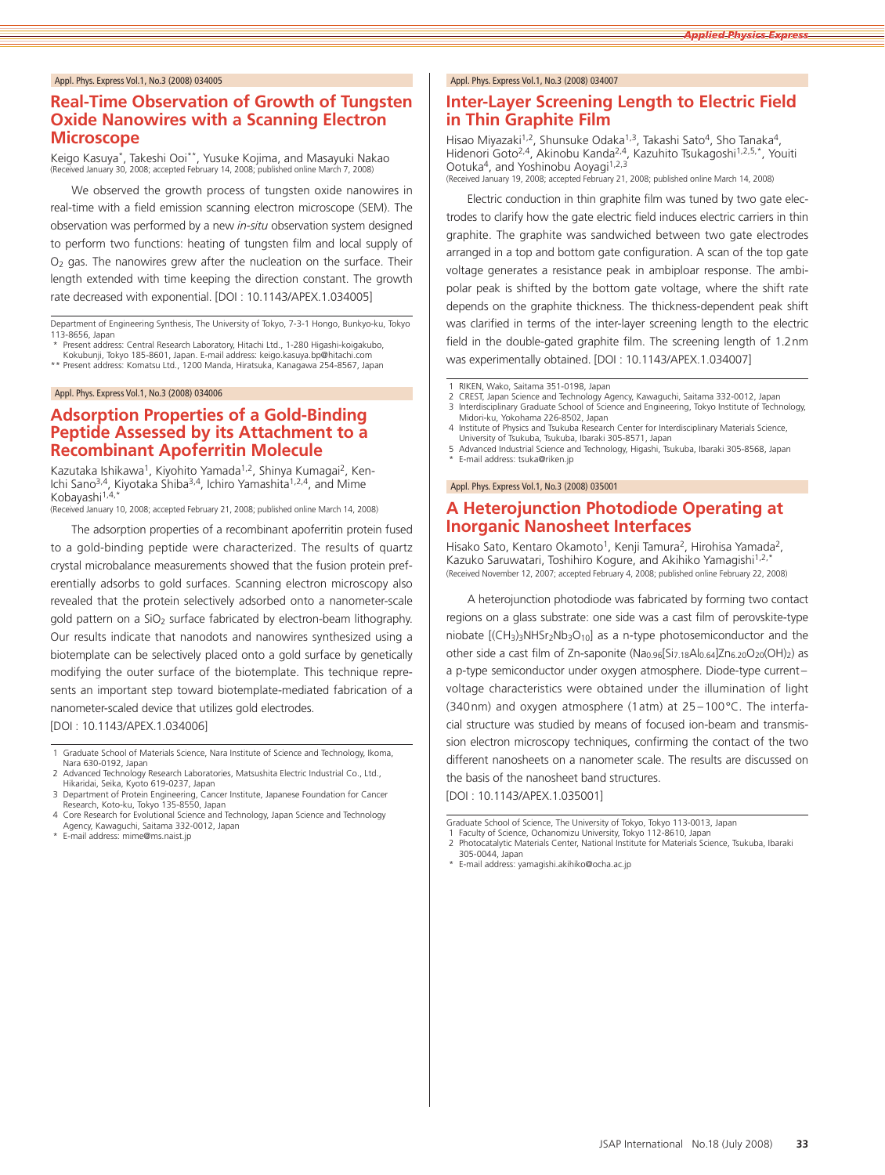# **Real-Time Observation of Growth of Tungsten Oxide Nanowires with a Scanning Electron Microscope**

Keigo Kasuya\*, Takeshi Ooi\*\*, Yusuke Kojima, and Masayuki Nakao (Received January 30, 2008; accepted February 14, 2008; published online March 7, 2008)

We observed the growth process of tungsten oxide nanowires in real-time with a field emission scanning electron microscope (SEM). The observation was performed by a new *in-situ* observation system designed to perform two functions: heating of tungsten film and local supply of O2 gas. The nanowires grew after the nucleation on the surface. Their length extended with time keeping the direction constant. The growth rate decreased with exponential. [DOI : 10.1143/APEX.1.034005]

Department of Engineering Synthesis, The University of Tokyo, 7-3-1 Hongo, Bunkyo-ku, Tokyo 113-8656, Japan

- Present address: Central Research Laboratory, Hitachi Ltd., 1-280 Higashi-koigakubo,
- Kokubunji, Tokyo 185-8601, Japan. E-mail address: keigo.kasuya.bp@hitachi.com \*\* Present address: Komatsu Ltd., 1200 Manda, Hiratsuka, Kanagawa 254-8567, Japan

#### Appl. Phys. Express Vol.1, No.3 (2008) 034006

### **Adsorption Properties of a Gold-Binding Peptide Assessed by its Attachment to a Recombinant Apoferritin Molecule**

Kazutaka Ishikawa<sup>1</sup>, Kiyohito Yamada<sup>1,2</sup>, Shinya Kumagai<sup>2</sup>, Ken-Ichi Sano<sup>3,4</sup>, Kiyotaka Shiba<sup>3,4</sup>, Ichiro Yamashita<sup>1,2,4</sup>, and Mime Kobayashi<sup>1,4,</sup>

(Received January 10, 2008; accepted February 21, 2008; published online March 14, 2008)

The adsorption properties of a recombinant apoferritin protein fused to a gold-binding peptide were characterized. The results of quartz crystal microbalance measurements showed that the fusion protein preferentially adsorbs to gold surfaces. Scanning electron microscopy also revealed that the protein selectively adsorbed onto a nanometer-scale gold pattern on a SiO<sub>2</sub> surface fabricated by electron-beam lithography. Our results indicate that nanodots and nanowires synthesized using a biotemplate can be selectively placed onto a gold surface by genetically modifying the outer surface of the biotemplate. This technique represents an important step toward biotemplate-mediated fabrication of a nanometer-scaled device that utilizes gold electrodes.

[DOI : 10.1143/APEX.1.034006]

- 1 Graduate School of Materials Science, Nara Institute of Science and Technology, Ikoma, Nara 630-0192, Japan
- 2 Advanced Technology Research Laboratories, Matsushita Electric Industrial Co., Ltd., Hikaridai, Seika, Kyoto 619-0237, Japan

Agency, Kawaguchi, Saitama 332-0012, Japan E-mail address: mime@ms.naist.jp

#### Appl. Phys. Express Vol.1, No.3 (2008) 034007

# **Inter-Layer Screening Length to Electric Field in Thin Graphite Film**

Hisao Miyazaki<sup>1,2</sup>, Shunsuke Odaka<sup>1,3</sup>, Takashi Sato<sup>4</sup>, Sho Tanaka<sup>4</sup>, Hidenori Goto<sup>2,4</sup>, Akinobu Kanda<sup>2,4</sup>, Kazuhito Tsukagoshi<sup>1,2,5,\*</sup>, Youiti Ootuka<sup>4</sup>, and Yoshinobu Aoyagi<sup>1,2,3</sup> (Received January 19, 2008; accepted February 21, 2008; published online March 14, 2008)

Electric conduction in thin graphite film was tuned by two gate electrodes to clarify how the gate electric field induces electric carriers in thin graphite. The graphite was sandwiched between two gate electrodes arranged in a top and bottom gate configuration. A scan of the top gate voltage generates a resistance peak in ambiploar response. The ambipolar peak is shifted by the bottom gate voltage, where the shift rate depends on the graphite thickness. The thickness-dependent peak shift was clarified in terms of the inter-layer screening length to the electric field in the double-gated graphite film. The screening length of 1.2nm was experimentally obtained. [DOI : 10.1143/APEX.1.034007]

RIKEN, Wako, Saitama 351-0198, Japan

- 2 CREST, Japan Science and Technology Agency, Kawaguchi, Saitama 332-0012, Japan Science and Technology Agence and Engineering. Tokyo Institute of Tech Interdisciplinary Graduate School of Science and Engineering, Tokyo Institute of Technology,
- Midori-ku, Yokohama 226-8502, Japan 4 Institute of Physics and Tsukuba Research Center for Interdisciplinary Materials Science,
- University of Tsukuba, Tsukuba, Ibaraki 305-8571, Japan
- 5 Advanced Industrial Science and Technology, Higashi, Tsukuba, Ibaraki 305-8568, Japan \* E-mail address: tsuka@riken.jp

#### Appl. Phys. Express Vol.1, No.3 (2008) 035001

### **A Heterojunction Photodiode Operating at Inorganic Nanosheet Interfaces**

Hisako Sato, Kentaro Okamoto<sup>1</sup>, Kenji Tamura<sup>2</sup>, Hirohisa Yamada<sup>2</sup>, Kazuko Saruwatari, Toshihiro Kogure, and Akihiko Yamagishi<sup>1,2,</sup> (Received November 12, 2007; accepted February 4, 2008; published online February 22, 2008)

A heterojunction photodiode was fabricated by forming two contact regions on a glass substrate: one side was a cast film of perovskite-type niobate  $[(CH_3)_3NHSr_2Nb_3O_{10}]$  as a n-type photosemiconductor and the other side a cast film of Zn-saponite (Na0.96[Si7.18Al0.64]Zn6.20O20(OH)2) as a p-type semiconductor under oxygen atmosphere. Diode-type current– voltage characteristics were obtained under the illumination of light (340nm) and oxygen atmosphere (1atm) at 25 –100°C. The interfacial structure was studied by means of focused ion-beam and transmission electron microscopy techniques, confirming the contact of the two different nanosheets on a nanometer scale. The results are discussed on the basis of the nanosheet band structures.

[DOI : 10.1143/APEX.1.035001]

- 1 Faculty of Science, Ochanomizu University, Tokyo 112-8610, Japan<br>2 Photocatalytic Materials Center, National Institute for Materials Science, Tsukuba, Ibaraki
	- 305-0044, Japan
- E-mail address: yamagishi.akihiko@ocha.ac.jp

<sup>3</sup> Department of Protein Engineering, Cancer Institute, Japanese Foundation for Cancer Research, Koto-ku, Tokyo 135-8550, Japan 4 Core Research for Evolutional Science and Technology, Japan Science and Technology

Graduate School of Science, The University of Tokyo, Tokyo 113-0013, Japan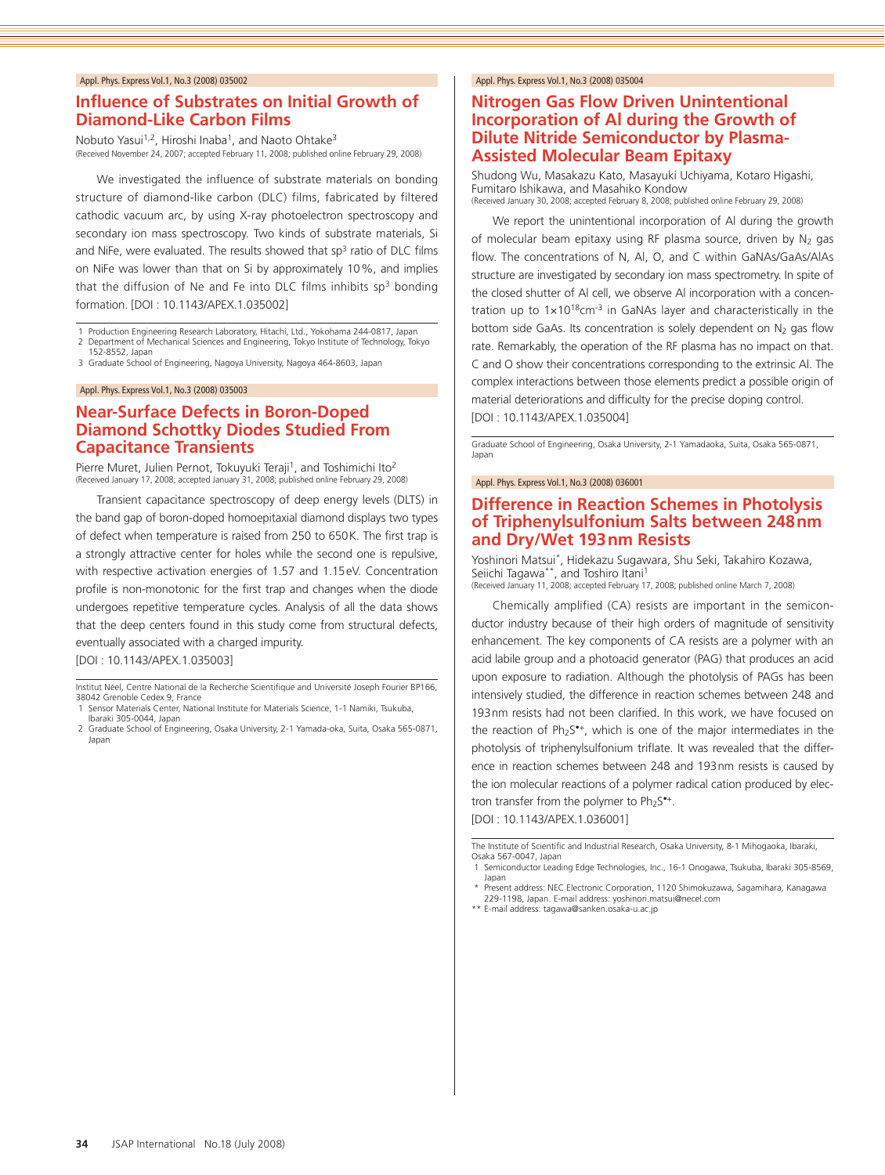### **Influence of Substrates on Initial Growth of Diamond-Like Carbon Films**

Nobuto Yasui<sup>1,2</sup>, Hiroshi Inaba<sup>1</sup>, and Naoto Ohtake<sup>3</sup> (Received November 24, 2007; accepted February 11, 2008; published online February 29, 2008)

We investigated the influence of substrate materials on bonding structure of diamond-like carbon (DLC) films, fabricated by filtered cathodic vacuum arc, by using X-ray photoelectron spectroscopy and secondary ion mass spectroscopy. Two kinds of substrate materials, Si and NiFe, were evaluated. The results showed that  $sp<sup>3</sup>$  ratio of DLC films on NiFe was lower than that on Si by approximately 10%, and implies that the diffusion of Ne and Fe into DLC films inhibits  $50<sup>3</sup>$  bonding formation. [DOI : 10.1143/APEX.1.035002]

1 Production Engineering Research Laboratory, Hitachi, Ltd., Yokohama 244-0817, Japan

2 Department of Mechanical Sciences and Engineering, Tokyo Institute of Technology, Tokyo 152-8552, Japan

3 Graduate School of Engineering, Nagoya University, Nagoya 464-8603, Japan

#### Appl. Phys. Express Vol.1, No.3 (2008) 035003

# **Near-Surface Defects in Boron-Doped Diamond Schottky Diodes Studied From Capacitance Transients**

Pierre Muret, Julien Pernot, Tokuyuki Teraji<sup>1</sup>, and Toshimichi Ito<sup>2</sup> (Received January 17, 2008; accepted January 31, 2008; published online February 29, 2008)

Transient capacitance spectroscopy of deep energy levels (DLTS) in the band gap of boron-doped homoepitaxial diamond displays two types of defect when temperature is raised from 250 to 650K. The first trap is a strongly attractive center for holes while the second one is repulsive, with respective activation energies of 1.57 and 1.15eV. Concentration profile is non-monotonic for the first trap and changes when the diode undergoes repetitive temperature cycles. Analysis of all the data shows that the deep centers found in this study come from structural defects, eventually associated with a charged impurity. [DOI : 10.1143/APEX.1.035003]

- 1 Sensor Materials Center, National Institute for Materials Science, 1-1 Namiki, Tsukuba, Ibaraki 305-0044, Japan
- 2 Graduate School of Engineering, Osaka University, 2-1 Yamada-oka, Suita, Osaka 565-0871, Japan

#### Appl. Phys. Express Vol.1, No.3 (2008) 035004

### **Nitrogen Gas Flow Driven Unintentional Incorporation of Al during the Growth of Dilute Nitride Semiconductor by Plasma-Assisted Molecular Beam Epitaxy**

Shudong Wu, Masakazu Kato, Masayuki Uchiyama, Kotaro Higashi, Fumitaro Ishikawa, and Masahiko Kondow (Received January 30, 2008; accepted February 8, 2008; published online February 29, 2008)

We report the unintentional incorporation of Al during the growth of molecular beam epitaxy using RF plasma source, driven by  $N_2$  gas flow. The concentrations of N, Al, O, and C within GaNAs/GaAs/AlAs structure are investigated by secondary ion mass spectrometry. In spite of the closed shutter of Al cell, we observe Al incorporation with a concentration up to  $1 \times 10^{18}$ cm<sup>-3</sup> in GaNAs layer and characteristically in the bottom side GaAs. Its concentration is solely dependent on  $N_2$  gas flow rate. Remarkably, the operation of the RF plasma has no impact on that. C and O show their concentrations corresponding to the extrinsic Al. The complex interactions between those elements predict a possible origin of material deteriorations and difficulty for the precise doping control. [DOI : 10.1143/APEX.1.035004]

Graduate School of Engineering, Osaka University, 2-1 Yamadaoka, Suita, Osaka 565-0871, Japan

#### Appl. Phys. Express Vol.1, No.3 (2008) 036001

### **Difference in Reaction Schemes in Photolysis of Triphenylsulfonium Salts between 248nm and Dry/Wet 193nm Resists**

Yoshinori Matsui\*, Hidekazu Sugawara, Shu Seki, Takahiro Kozawa, Seiichi Tagawa<sup>\*\*</sup>, and Toshiro Itani<sup>1</sup><br>(Received January 11, 2008; accepted February 17, 2008; published online March 7, 2008)

Chemically amplified (CA) resists are important in the semiconductor industry because of their high orders of magnitude of sensitivity enhancement. The key components of CA resists are a polymer with an acid labile group and a photoacid generator (PAG) that produces an acid upon exposure to radiation. Although the photolysis of PAGs has been intensively studied, the difference in reaction schemes between 248 and 193nm resists had not been clarified. In this work, we have focused on the reaction of Ph<sub>2</sub>S<sup>\*+</sup>, which is one of the major intermediates in the photolysis of triphenylsulfonium triflate. It was revealed that the difference in reaction schemes between 248 and 193nm resists is caused by the ion molecular reactions of a polymer radical cation produced by electron transfer from the polymer to  $Ph_2S^{\bullet+}$ .

[DOI : 10.1143/APEX.1.036001]

The Institute of Scientific and Industrial Research, Osaka University, 8-1 Mihogaoka, Ibaraki, Osaka 567-0047, Japan

- 1 Semiconductor Leading Edge Technologies, Inc., 16-1 Onogawa, Tsukuba, Ibaraki 305-8569, Japan
- \* Present address: NEC Electronic Corporation, 1120 Shimokuzawa, Sagamihara, Kanagawa 229-1198, Japan. E-mail address: yoshinori.matsui@necel.com
- \*\* E-mail address: tagawa@sanken.osaka-u.ac.jp

Institut Néel, Centre National de la Recherche Scientifique and Université Joseph Fourier BP166, 38042 Grenoble Cedex 9, France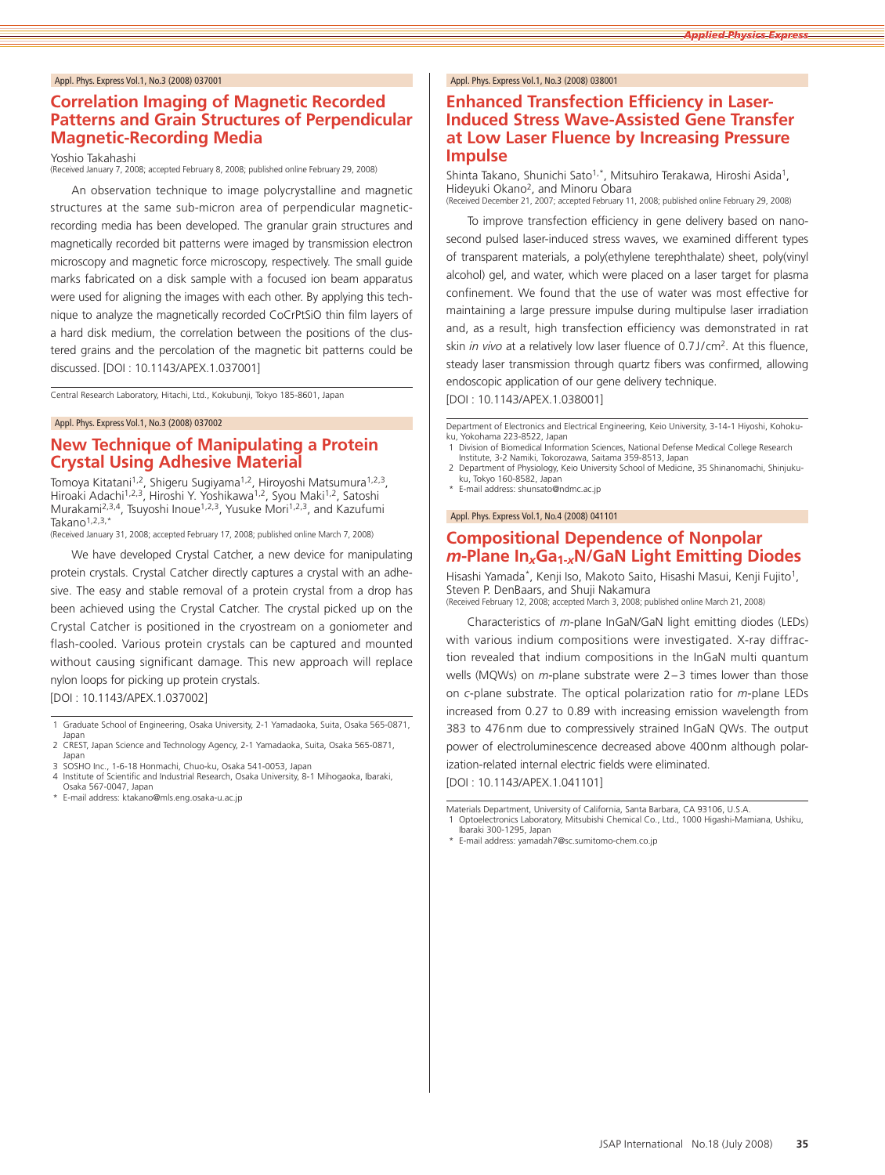# **Correlation Imaging of Magnetic Recorded Patterns and Grain Structures of Perpendicular Magnetic-Recording Media**

Yoshio Takahashi

(Received January 7, 2008; accepted February 8, 2008; published online February 29, 2008)

An observation technique to image polycrystalline and magnetic structures at the same sub-micron area of perpendicular magneticrecording media has been developed. The granular grain structures and magnetically recorded bit patterns were imaged by transmission electron microscopy and magnetic force microscopy, respectively. The small guide marks fabricated on a disk sample with a focused ion beam apparatus were used for aligning the images with each other. By applying this technique to analyze the magnetically recorded CoCrPtSiO thin film layers of a hard disk medium, the correlation between the positions of the clustered grains and the percolation of the magnetic bit patterns could be discussed. [DOI : 10.1143/APEX.1.037001]

Central Research Laboratory, Hitachi, Ltd., Kokubunji, Tokyo 185-8601, Japan

#### Appl. Phys. Express Vol.1, No.3 (2008) 037002

### **New Technique of Manipulating a Protein Crystal Using Adhesive Material**

Tomoya Kitatani<sup>1,2</sup>, Shigeru Sugiyama<sup>1,2</sup>, Hiroyoshi Matsumura<sup>1,2,3</sup>, Hiroaki Adachi<sup>1,2,3</sup>, Hiroshi Y. Yoshikawa<sup>1,2</sup>, Syou Maki<sup>1,2</sup>, Satoshi Murakami<sup>2,3,4</sup>, Tsuyoshi Inoue<sup>1,2,3</sup>, Yusuke Mori<sup>1,2,3</sup>, and Kazufumi Takano $1,2,3,*$ 

(Received January 31, 2008; accepted February 17, 2008; published online March 7, 2008)

We have developed Crystal Catcher, a new device for manipulating protein crystals. Crystal Catcher directly captures a crystal with an adhesive. The easy and stable removal of a protein crystal from a drop has been achieved using the Crystal Catcher. The crystal picked up on the Crystal Catcher is positioned in the cryostream on a goniometer and flash-cooled. Various protein crystals can be captured and mounted without causing significant damage. This new approach will replace nylon loops for picking up protein crystals.

[DOI : 10.1143/APEX.1.037002]

- 1 Graduate School of Engineering, Osaka University, 2-1 Yamadaoka, Suita, Osaka 565-0871, Japan
- 2 CREST, Japan Science and Technology Agency, 2-1 Yamadaoka, Suita, Osaka 565-0871, Japan
- 3 SOSHO Inc., 1-6-18 Honmachi, Chuo-ku, Osaka 541-0053, Japan<br>4 Institute of Scientific and Industrial Research, Osaka University, 8-1 Mihogaoka, Ibaraki,
- Osaka 567-0047, Japan
- E-mail address: ktakano@mls.eng.osaka-u.ac.jp

#### Appl. Phys. Express Vol.1, No.3 (2008) 038001

# **Enhanced Transfection Efficiency in Laser-Induced Stress Wave-Assisted Gene Transfer at Low Laser Fluence by Increasing Pressure Impulse**

Shinta Takano, Shunichi Sato<sup>1,\*</sup>, Mitsuhiro Terakawa, Hiroshi Asida<sup>1</sup>, Hideyuki Okano<sup>2</sup>, and Minoru Obara<br>(Received December 21, 2007; accepted February 11, 2008; published online February 29, 2008)

To improve transfection efficiency in gene delivery based on nanosecond pulsed laser-induced stress waves, we examined different types of transparent materials, a poly(ethylene terephthalate) sheet, poly(vinyl alcohol) gel, and water, which were placed on a laser target for plasma confinement. We found that the use of water was most effective for maintaining a large pressure impulse during multipulse laser irradiation and, as a result, high transfection efficiency was demonstrated in rat skin *in vivo* at a relatively low laser fluence of 0.7J/cm2. At this fluence, steady laser transmission through quartz fibers was confirmed, allowing endoscopic application of our gene delivery technique.

[DOI : 10.1143/APEX.1.038001]

Department of Electronics and Electrical Engineering, Keio University, 3-14-1 Hiyoshi, Kohokuku, Yokohama 223-8522, Japan

- 1 Division of Biomedical Information Sciences, National Defense Medical College Research Institute, 3-2 Namiki, Tokorozawa, Saitama 359-8513, Japan 2 Department of Physiology, Keio University School of Medicine, 35 Shinanomachi, Shinjuku-
- ku, Tokyo 160-8582, Japan E-mail address: shunsato@ndmc.ac.jp

#### Appl. Phys. Express Vol.1, No.4 (2008) 041101

# **Compositional Dependence of Nonpolar**  *<sup>m</sup>***-Plane In***x***Ga1-***x***N/GaN Light Emitting Diodes**

Hisashi Yamada\*, Kenji Iso, Makoto Saito, Hisashi Masui, Kenji Fujito<sup>1</sup>, Steven P. DenBaars, and Shuji Nakamura (Received February 12, 2008; accepted March 3, 2008; published online March 21, 2008)

Characteristics of *<sup>m</sup>*-plane InGaN/GaN light emitting diodes (LEDs) with various indium compositions were investigated. X-ray diffrac-

tion revealed that indium compositions in the InGaN multi quantum wells (MQWs) on *<sup>m</sup>*-plane substrate were 2–3 times lower than those on *<sup>c</sup>*-plane substrate. The optical polarization ratio for *<sup>m</sup>*-plane LEDs increased from 0.27 to 0.89 with increasing emission wavelength from 383 to 476nm due to compressively strained InGaN QWs. The output power of electroluminescence decreased above 400nm although polarization-related internal electric fields were eliminated.

[DOI : 10.1143/APEX.1.041101]

Materials Department, University of California, Santa Barbara, CA 93106, U.S.A. 1 Optoelectronics Laboratory, Mitsubishi Chemical Co., Ltd., 1000 Higashi-Mamiana, Ushiku, Ibaraki 300-1295, Japan

<sup>\*</sup> E-mail address: yamadah7@sc.sumitomo-chem.co.jp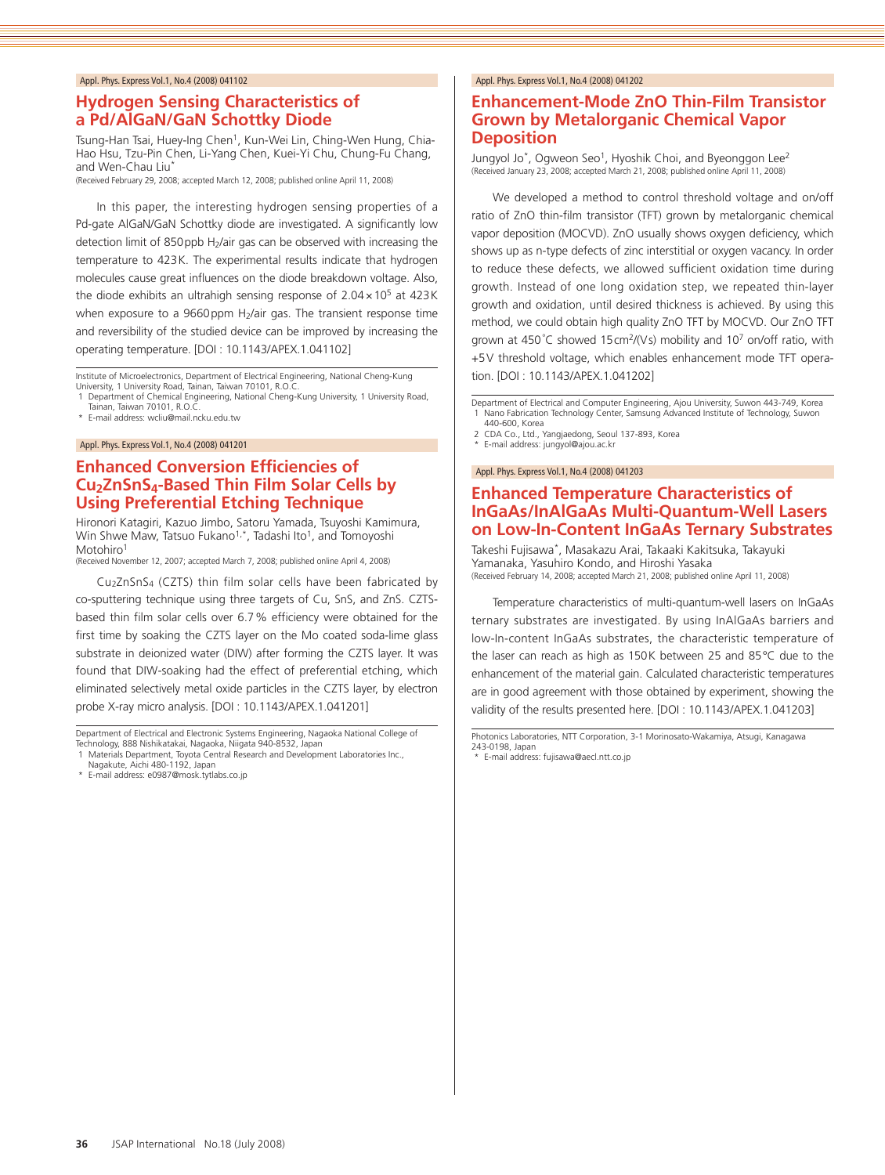### **Hydrogen Sensing Characteristics of a Pd/AlGaN/GaN Schottky Diode**

Tsung-Han Tsai, Huey-Ing Chen<sup>1</sup>, Kun-Wei Lin, Ching-Wen Hung, Chia-Hao Hsu, Tzu-Pin Chen, Li-Yang Chen, Kuei-Yi Chu, Chung-Fu Chang, and Wen-Chau Liu<sup>\*</sup>

(Received February 29, 2008; accepted March 12, 2008; published online April 11, 2008)

In this paper, the interesting hydrogen sensing properties of a Pd-gate AlGaN/GaN Schottky diode are investigated. A significantly low detection limit of 850ppb H<sub>2</sub>/air gas can be observed with increasing the temperature to 423K. The experimental results indicate that hydrogen molecules cause great influences on the diode breakdown voltage. Also, the diode exhibits an ultrahigh sensing response of  $2.04 \times 10^5$  at  $423K$ when exposure to a 9660 ppm  $H<sub>2</sub>/air$  gas. The transient response time and reversibility of the studied device can be improved by increasing the operating temperature. [DOI : 10.1143/APEX.1.041102]

Institute of Microelectronics, Department of Electrical Engineering, National Cheng-Kung University, 1 University Road, Tainan, Taiwan 70101, R.O.C.

1 Department of Chemical Engineering, National Cheng-Kung University, 1 University Road, Tainan, Taiwan 70101, R.O.C.

\* E-mail address: wcliu@mail.ncku.edu.tw

#### Appl. Phys. Express Vol.1, No.4 (2008) 041201

# **Enhanced Conversion Efficiencies of Cu2ZnSnS4-Based Thin Film Solar Cells by Using Preferential Etching Technique**

Hironori Katagiri, Kazuo Jimbo, Satoru Yamada, Tsuyoshi Kamimura, Win Shwe Maw, Tatsuo Fukano<sup>1,\*</sup>, Tadashi Ito<sup>1</sup>, and Tomoyoshi Motohiro<sup>1</sup>

(Received November 12, 2007; accepted March 7, 2008; published online April 4, 2008)

Cu2ZnSnS4 (CZTS) thin film solar cells have been fabricated by co-sputtering technique using three targets of Cu, SnS, and ZnS. CZTSbased thin film solar cells over 6.7% efficiency were obtained for the first time by soaking the CZTS layer on the Mo coated soda-lime glass substrate in deionized water (DIW) after forming the CZTS layer. It was found that DIW-soaking had the effect of preferential etching, which eliminated selectively metal oxide particles in the CZTS layer, by electron probe X-ray micro analysis. [DOI : 10.1143/APEX.1.041201]

Department of Electrical and Electronic Systems Engineering, Nagaoka National College of

# 1 Materials Department, Toyota Central Research and Development Laboratories Inc., Nagakute, Aichi 480-1192, Japan

\* E-mail address: e0987@mosk.tytlabs.co.jp

#### Appl. Phys. Express Vol.1, No.4 (2008) 041202

# **Enhancement-Mode ZnO Thin-Film Transistor Grown by Metalorganic Chemical Vapor Deposition**

Jungyol Jo<sup>\*</sup>, Ogweon Seo<sup>1</sup>, Hyoshik Choi, and Byeonggon Lee<sup>2</sup> (Received January 23, 2008; accepted March 21, 2008; published online April 11, 2008)

We developed a method to control threshold voltage and on/off ratio of ZnO thin-film transistor (TFT) grown by metalorganic chemical vapor deposition (MOCVD). ZnO usually shows oxygen deficiency, which shows up as n-type defects of zinc interstitial or oxygen vacancy. In order to reduce these defects, we allowed sufficient oxidation time during growth. Instead of one long oxidation step, we repeated thin-layer growth and oxidation, until desired thickness is achieved. By using this method, we could obtain high quality ZnO TFT by MOCVD. Our ZnO TFT grown at 450°C showed 15 cm<sup>2</sup>/(Vs) mobility and 10<sup>7</sup> on/off ratio, with +5V threshold voltage, which enables enhancement mode TFT operation. [DOI : 10.1143/APEX.1.041202]

Department of Electrical and Computer Engineering, Ajou University, Suwon 443-749, Korea 1 Nano Fabrication Technology Center, Samsung Advanced Institute of Technology, Suwon 440-600, Korea

2 CDA Co., Ltd., Yangjaedong, Seoul 137-893, Korea<br>\* E-mail address: jungvol@ajou ac kr

E-mail address: jungyol@ajou.ac.kr

#### Appl. Phys. Express Vol.1, No.4 (2008) 041203

# **Enhanced Temperature Characteristics of InGaAs/InAlGaAs Multi-Quantum-Well Lasers on Low-In-Content InGaAs Ternary Substrates**

Takeshi Fujisawa\*, Masakazu Arai, Takaaki Kakitsuka, Takayuki Yamanaka, Yasuhiro Kondo, and Hiroshi Yasaka (Received February 14, 2008; accepted March 21, 2008; published online April 11, 2008)

Temperature characteristics of multi-quantum-well lasers on InGaAs ternary substrates are investigated. By using InAlGaAs barriers and low-In-content InGaAs substrates, the characteristic temperature of the laser can reach as high as 150K between 25 and 85°C due to the enhancement of the material gain. Calculated characteristic temperatures are in good agreement with those obtained by experiment, showing the validity of the results presented here. [DOI : 10.1143/APEX.1.041203]

Photonics Laboratories, NTT Corporation, 3-1 Morinosato-Wakamiya, Atsugi, Kanagawa 243-0198, Japan

\* E-mail address: fujisawa@aecl.ntt.co.jp

Technology, 888 Nishikatakai, Nagaoka, Niigata 940-8532, Japan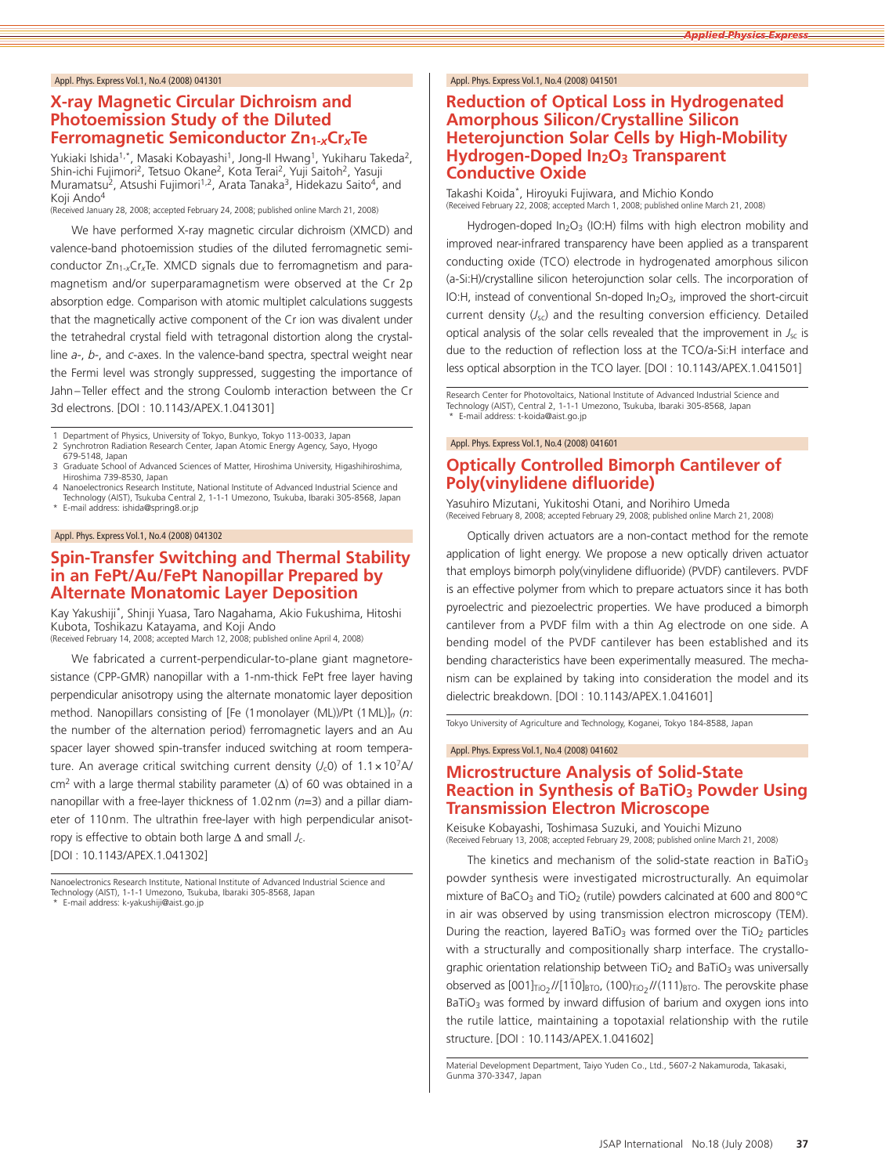# **X-ray Magnetic Circular Dichroism and Photoemission Study of the Diluted Ferromagnetic Semiconductor Zn1-***x***Cr***x***Te**

Yukiaki Ishida<sup>1,\*</sup>, Masaki Kobayashi<sup>1</sup>, Jong-Il Hwang<sup>1</sup>, Yukiharu Takeda<sup>2</sup>, Shin-ichi Fujimori<sup>2</sup>, Tetsuo Okane<sup>2</sup>, Kota Terai<sup>2</sup>, Yuji Saitoh<sup>2</sup>, Yasuji Muramatsu<sup>2</sup>, Atsushi Fujimori<sup>1,2</sup>, Arata Tanaka<sup>3</sup>, Hidekazu Saito<sup>4</sup>, and Koji Ando<sup>4</sup>

eived January 28, 2008; accepted February 24, 2008; published online March 21, 2008)

We have performed X-ray magnetic circular dichroism (XMCD) and valence-band photoemission studies of the diluted ferromagnetic semiconductor Zn1-*x*Cr*x*Te. XMCD signals due to ferromagnetism and paramagnetism and/or superparamagnetism were observed at the Cr 2p absorption edge. Comparison with atomic multiplet calculations suggests that the magnetically active component of the Cr ion was divalent under the tetrahedral crystal field with tetragonal distortion along the crystalline *<sup>a</sup>*-, *b*-, and *<sup>c</sup>*-axes. In the valence-band spectra, spectral weight near the Fermi level was strongly suppressed, suggesting the importance of Jahn–Teller effect and the strong Coulomb interaction between the Cr 3d electrons. [DOI : 10.1143/APEX.1.041301]

Department of Physics, University of Tokyo, Bunkyo, Tokyo 113-0033, Japan

- 2 Synchrotron Radiation Research Center, Japan Atomic Energy Agency, Sayo, Hyogo 679-5148, Japan
- 3 Graduate School of Advanced Sciences of Matter, Hiroshima University, Higashihiroshima, Hiroshima 739-8530, Japan
- 4 Nanoelectronics Research Institute, National Institute of Advanced Industrial Science and Technology (AIST), Tsukuba Central 2, 1-1-1 Umezono, Tsukuba, Ibaraki 305-8568, Japan
- \* E-mail address: ishida@spring8.or.jp

#### Appl. Phys. Express Vol.1, No.4 (2008) 041302

### **Spin-Transfer Switching and Thermal Stability in an FePt/Au/FePt Nanopillar Prepared by Alternate Monatomic Layer Deposition**

Kay Yakushiji\*, Shinji Yuasa, Taro Nagahama, Akio Fukushima, Hitoshi Kubota, Toshikazu Katayama, and Koji Ando

(Received February 14, 2008; accepted March 12, 2008; published online April 4, 2008)

We fabricated a current-perpendicular-to-plane giant magnetoresistance (CPP-GMR) nanopillar with a 1-nm-thick FePt free layer having perpendicular anisotropy using the alternate monatomic layer deposition method. Nanopillars consisting of [Fe (1monolayer (ML))/Pt (1ML)]*<sup>n</sup>* (*n*: the number of the alternation period) ferromagnetic layers and an Au spacer layer showed spin-transfer induced switching at room temperature. An average critical switching current density  $(J_c 0)$  of  $1.1 \times 10^7$ A/ cm2 with a large thermal stability parameter (Δ) of 60 was obtained in a nanopillar with a free-layer thickness of 1.02nm (*n*=3) and a pillar diameter of 110nm. The ultrathin free-layer with high perpendicular anisotropy is effective to obtain both large Δ and small *<sup>J</sup>*c. [DOI : 10.1143/APEX.1.041302]

#### Appl. Phys. Express Vol.1, No.4 (2008) 041501

#### **Reduction of Optical Loss in Hydrogenated Amorphous Silicon/Crystalline Silicon Heterojunction Solar Cells by High-Mobility Hydrogen-Doped In2O3 Transparent Conductive Oxide**

Takashi Koida\*, Hiroyuki Fujiwara, and Michio Kondo (Received February 22, 2008; accepted March 1, 2008; published online March 21, 2008)

Hydrogen-doped In<sub>2</sub>O<sub>3</sub> (IO:H) films with high electron mobility and improved near-infrared transparency have been applied as a transparent conducting oxide (TCO) electrode in hydrogenated amorphous silicon (a-Si:H)/crystalline silicon heterojunction solar cells. The incorporation of IO:H, instead of conventional Sn-doped In<sub>2</sub>O<sub>3</sub>, improved the short-circuit current density (*J*sc) and the resulting conversion efficiency. Detailed optical analysis of the solar cells revealed that the improvement in *<sup>J</sup>*sc is due to the reduction of reflection loss at the TCO/a-Si:H interface and less optical absorption in the TCO layer. [DOI : 10.1143/APEX.1.041501]

Research Center for Photovoltaics, National Institute of Advanced Industrial Science and Technology (AIST), Central 2, 1-1-1 Umezono, Tsukuba, Ibaraki 305-8568, Japan E-mail address: t-koida@aist.go.jp

#### Appl. Phys. Express Vol.1, No.4 (2008) 041601

### **Optically Controlled Bimorph Cantilever of Poly(vinylidene difluoride)**

Yasuhiro Mizutani, Yukitoshi Otani, and Norihiro Umeda (Received February 8, 2008; accepted February 29, 2008; published online March 21, 2008)

Optically driven actuators are a non-contact method for the remote application of light energy. We propose a new optically driven actuator that employs bimorph poly(vinylidene difluoride) (PVDF) cantilevers. PVDF is an effective polymer from which to prepare actuators since it has both pyroelectric and piezoelectric properties. We have produced a bimorph cantilever from a PVDF film with a thin Ag electrode on one side. A bending model of the PVDF cantilever has been established and its bending characteristics have been experimentally measured. The mechanism can be explained by taking into consideration the model and its dielectric breakdown. [DOI : 10.1143/APEX.1.041601]

Tokyo University of Agriculture and Technology, Koganei, Tokyo 184-8588, Japan

#### Appl. Phys. Express Vol.1, No.4 (2008) 041602

# **Microstructure Analysis of Solid-State Reaction in Synthesis of BaTiO<sub>3</sub> Powder Using Transmission Electron Microscope**

Keisuke Kobayashi, Toshimasa Suzuki, and Youichi Mizuno (Received February 13, 2008; accepted February 29, 2008; published online March 21, 2008)

The kinetics and mechanism of the solid-state reaction in BaTiO<sub>3</sub> powder synthesis were investigated microstructurally. An equimolar mixture of BaCO<sub>3</sub> and TiO<sub>2</sub> (rutile) powders calcinated at 600 and 800 $^{\circ}$ C in air was observed by using transmission electron microscopy (TEM). During the reaction, layered BaTiO<sub>3</sub> was formed over the TiO<sub>2</sub> particles with a structurally and compositionally sharp interface. The crystallographic orientation relationship between  $TiO<sub>2</sub>$  and BaTiO<sub>3</sub> was universally observed as  $[001]_{TiO_2}/[(1\bar{1}0]_{\text{BTO}}$ ,  $(100)_{TiO_2}//(111)_{\text{BTO}}$ . The perovskite phase  $BaTiO<sub>3</sub>$  was formed by inward diffusion of barium and oxygen ions into the rutile lattice, maintaining a topotaxial relationship with the rutile structure. [DOI : 10.1143/APEX.1.041602]

Material Development Department, Taiyo Yuden Co., Ltd., 5607-2 Nakamuroda, Takasaki, Gunma 370-3347, Japan

Nanoelectronics Research Institute, National Institute of Advanced Industrial Science and Technology (AIST), 1-1-1 Umezono, Tsukuba, Ibaraki 305-8568, Japan

<sup>\*</sup> E-mail address: k-yakushiji@aist.go.jp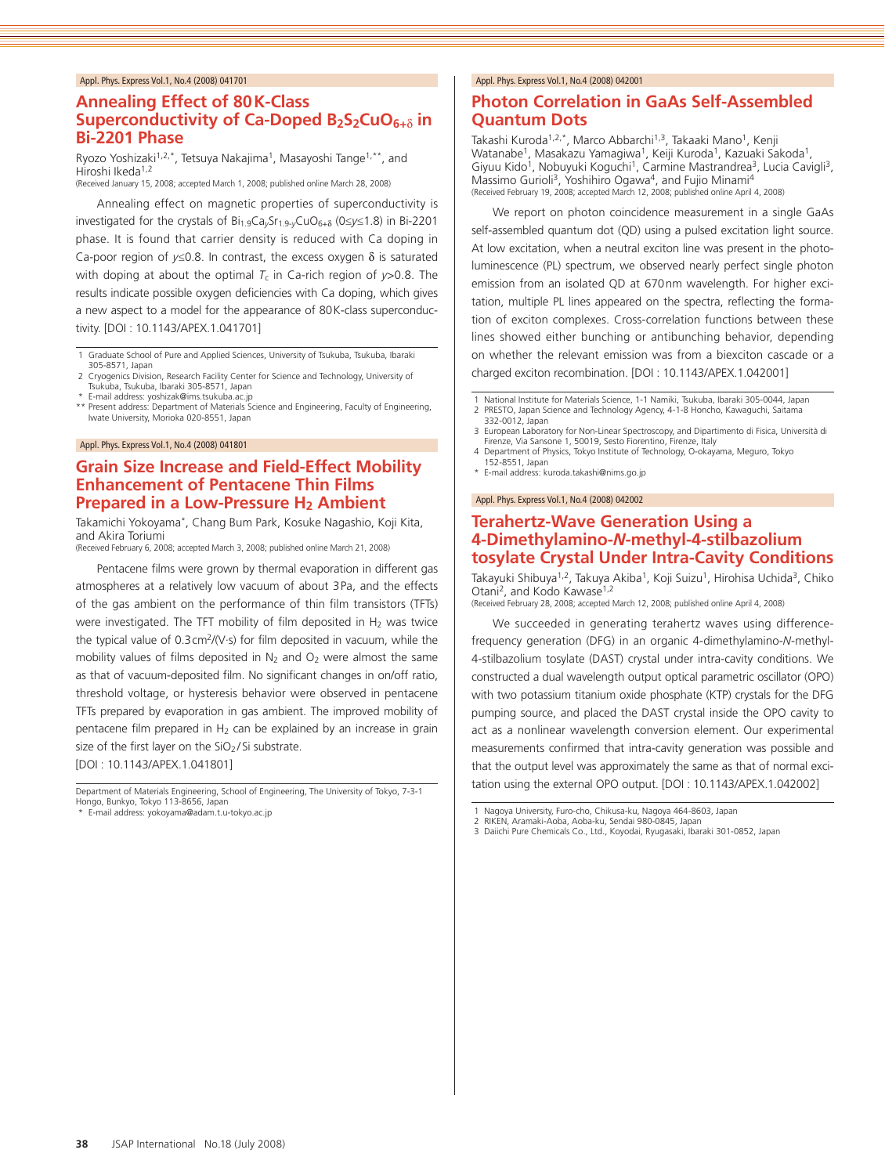# **Annealing Effect of 80K-Class Superconductivity of Ca-Doped B2S2CuO6+**δ **in Bi-2201 Phase**

Ryozo Yoshizaki<sup>1,2,\*</sup>, Tetsuya Nakajima<sup>1</sup>, Masayoshi Tange<sup>1,\*\*</sup>, and Hiroshi Ikeda<sup>1,2</sup>

(Received January 15, 2008; accepted March 1, 2008; published online March 28, 2008)

Annealing effect on magnetic properties of superconductivity is investigated for the crystals of Bi1.9Ca*y*Sr1.9-*y*CuO6+<sup>δ</sup> (0≤*y*≤1.8) in Bi-2201 phase. It is found that carrier density is reduced with Ca doping in Ca-poor region of  $y \le 0.8$ . In contrast, the excess oxygen  $\delta$  is saturated with doping at about the optimal  $T_c$  in Ca-rich region of  $y > 0.8$ . The results indicate possible oxygen deficiencies with Ca doping, which gives a new aspect to a model for the appearance of 80K-class superconductivity. [DOI : 10.1143/APEX.1.041701]

1 Graduate School of Pure and Applied Sciences, University of Tsukuba, Tsukuba, Ibaraki 305-8571, Japan

- 2 Cryogenics Division, Research Facility Center for Science and Technology, University of Tsukuba, Tsukuba, Ibaraki 305-8571, Japan E-mail address: yoshizak@ims.tsukuba.ac.jp
- 
- Present address: Department of Materials Science and Engineering, Faculty of Engineering, Iwate University, Morioka 020-8551, Japan

#### Appl. Phys. Express Vol.1, No.4 (2008) 041801

### **Grain Size Increase and Field-Effect Mobility Enhancement of Pentacene Thin Films Prepared in a Low-Pressure H2 Ambient**

Takamichi Yokoyama\*, Chang Bum Park, Kosuke Nagashio, Koji Kita, and Akira Toriumi

(Received February 6, 2008; accepted March 3, 2008; published online March 21, 2008)

Pentacene films were grown by thermal evaporation in different gas atmospheres at a relatively low vacuum of about 3Pa, and the effects of the gas ambient on the performance of thin film transistors (TFTs) were investigated. The TFT mobility of film deposited in  $H_2$  was twice the typical value of 0.3cm2/(V·s) for film deposited in vacuum, while the mobility values of films deposited in  $N_2$  and  $O_2$  were almost the same as that of vacuum-deposited film. No significant changes in on/off ratio, threshold voltage, or hysteresis behavior were observed in pentacene TFTs prepared by evaporation in gas ambient. The improved mobility of pentacene film prepared in  $H_2$  can be explained by an increase in grain size of the first layer on the SiO<sub>2</sub>/Si substrate. [DOI : 10.1143/APEX.1.041801]

Department of Materials Engineering, School of Engineering, The University of Tokyo, 7-3-1 Hongo, Bunkyo, Tokyo 113-8656, Japan

E-mail address: yokoyama@adam.t.u-tokyo.ac.ip

#### Appl. Phys. Express Vol.1, No.4 (2008) 042001

# **Photon Correlation in GaAs Self-Assembled Quantum Dots**

Takashi Kuroda<sup>1,2,\*</sup>, Marco Abbarchi<sup>1,3</sup>, Takaaki Mano<sup>1</sup>, Kenji Watanabe1, Masakazu Yamagiwa1, Keiji Kuroda1, Kazuaki Sakoda1, Giyuu Kido<sup>1</sup>, Nobuyuki Koguchi<sup>1</sup>, Carmine Mastrandrea<sup>3</sup>, Lucia Cavigli<sup>3</sup>, Massimo Gurioli<sup>3</sup>, Yoshihiro Ogawa<sup>4</sup>, and Fujio Minami<sup>4</sup><br>(Received February 19, 2008; accepted March 12, 2008; published online April 4, 2008)

We report on photon coincidence measurement in a single GaAs self-assembled quantum dot (QD) using a pulsed excitation light source. At low excitation, when a neutral exciton line was present in the photoluminescence (PL) spectrum, we observed nearly perfect single photon emission from an isolated QD at 670nm wavelength. For higher excitation, multiple PL lines appeared on the spectra, reflecting the formation of exciton complexes. Cross-correlation functions between these lines showed either bunching or antibunching behavior, depending on whether the relevant emission was from a biexciton cascade or a charged exciton recombination. [DOI : 10.1143/APEX.1.042001]

- National Institute for Materials Science, 1-1 Namiki, Tsukuba, Ibaraki 305-0044, Japan 2 PRESTO, Japan Science and Technology Agency, 4-1-8 Honcho, Kawaguchi, Saitama
- 332-0012, Japan 3 European Laboratory for Non-Linear Spectroscopy, and Dipartimento di Fisica, Università di
- Firenze, Via Sansone 1, 50019, Sesto Fiorentino, Firenze, Italy 4 Department of Physics, Tokyo Institute of Technology, O-okayama, Meguro, Tokyo 152-8551, Japan
- \* E-mail address: kuroda.takashi@nims.go.jp

#### Appl. Phys. Express Vol.1, No.4 (2008) 042002

#### **Terahertz-Wave Generation Using a 4-Dimethylamino-***N***-methyl-4-stilbazolium tosylate Crystal Under Intra-Cavity Conditions**

Takayuki Shibuya<sup>1,2</sup>, Takuya Akiba<sup>1</sup>, Koji Suizu<sup>1</sup>, Hirohisa Uchida<sup>3</sup>, Chiko Otani<sup>2</sup>, and Kodo Kawase<sup>1,2</sup> (Received February 28, 2008; accepted March 12, 2008; published online April 4, 2008)

We succeeded in generating terahertz waves using differencefrequency generation (DFG) in an organic 4-dimethylamino-*N*-methyl-4-stilbazolium tosylate (DAST) crystal under intra-cavity conditions. We constructed a dual wavelength output optical parametric oscillator (OPO) with two potassium titanium oxide phosphate (KTP) crystals for the DFG pumping source, and placed the DAST crystal inside the OPO cavity to act as a nonlinear wavelength conversion element. Our experimental measurements confirmed that intra-cavity generation was possible and that the output level was approximately the same as that of normal excitation using the external OPO output. [DOI : 10.1143/APEX.1.042002]

- RIKEN, Aramaki-Aoba, Aoba-ku, Sendai 980-0845, Japan
- 3 Daiichi Pure Chemicals Co., Ltd., Koyodai, Ryugasaki, Ibaraki 301-0852, Japan

<sup>1</sup> Nagoya University, Furo-cho, Chikusa-ku, Nagoya 464-8603, Japan<br>2 RIKEN Aramaki-Aoba, Aoba-ku, Sendai 980-0845, Japan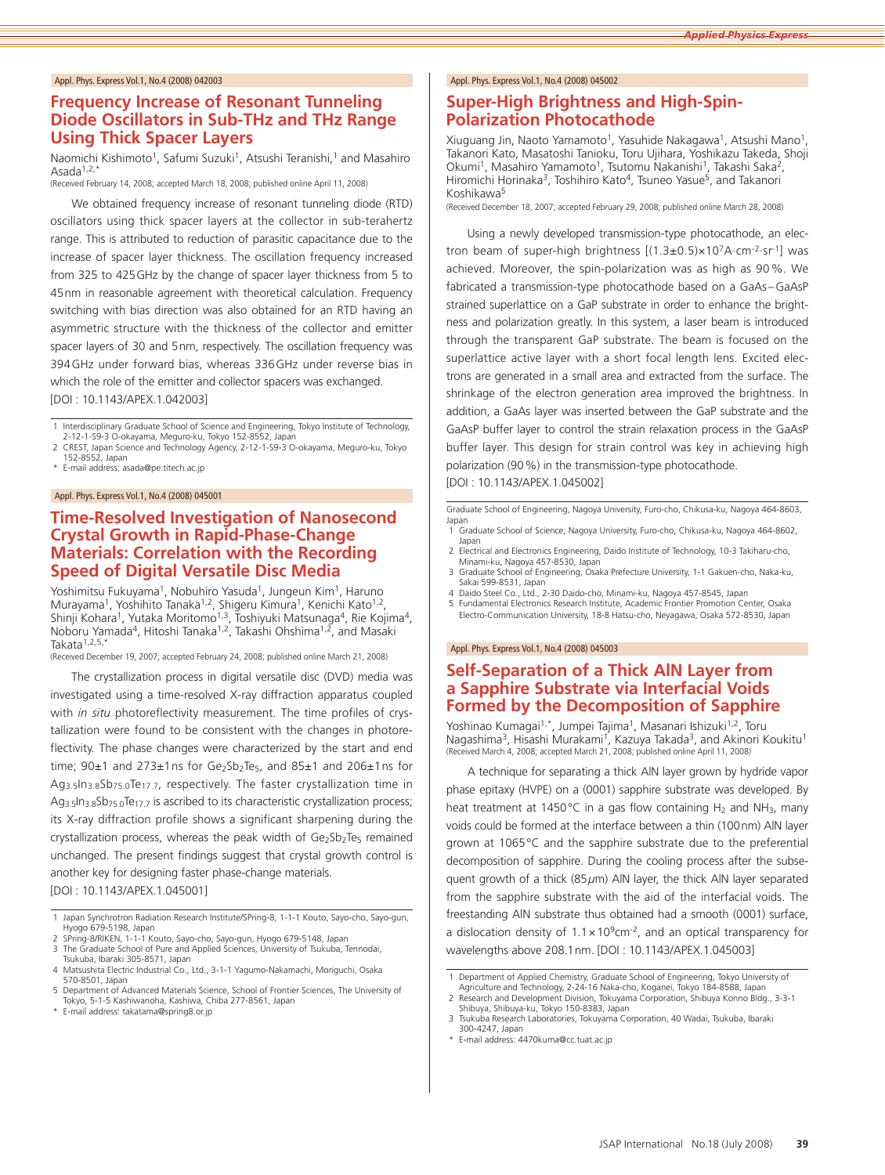### **Frequency Increase of Resonant Tunneling Diode Oscillators in Sub-THz and THz Range Using Thick Spacer Layers**

Naomichi Kishimoto<sup>1</sup>, Safumi Suzuki<sup>1</sup>, Atsushi Teranishi,<sup>1</sup> and Masahiro Asada<sup>1,2,</sup>

(Received February 14, 2008; accepted March 18, 2008; published online April 11, 2008)

We obtained frequency increase of resonant tunneling diode (RTD) oscillators using thick spacer layers at the collector in sub-terahertz range. This is attributed to reduction of parasitic capacitance due to the increase of spacer layer thickness. The oscillation frequency increased from 325 to 425GHz by the change of spacer layer thickness from 5 to 45nm in reasonable agreement with theoretical calculation. Frequency switching with bias direction was also obtained for an RTD having an asymmetric structure with the thickness of the collector and emitter spacer layers of 30 and 5nm, respectively. The oscillation frequency was 394GHz under forward bias, whereas 336GHz under reverse bias in which the role of the emitter and collector spacers was exchanged. [DOI : 10.1143/APEX.1.042003]

1 Interdisciplinary Graduate School of Science and Engineering, Tokyo Institute of Technology, 2-12-1-S9-3 O-okayama, Meguro-ku, Tokyo 152-8552, Japan

2 CREST, Japan Science and Technology Agency, 2-12-1-S9-3 O-okayama, Meguro-ku, Tokyo 152-8552, Japan  $F$ -mail address: asada@pe.titech.ac.jp

#### Appl. Phys. Express Vol.1, No.4 (2008) 045001

# **Time-Resolved Investigation of Nanosecond Crystal Growth in Rapid-Phase-Change Materials: Correlation with the Recording Speed of Digital Versatile Disc Media**

Yoshimitsu Fukuyama<sup>1</sup>, Nobuhiro Yasuda<sup>1</sup>, Jungeun Kim<sup>1</sup>, Haruno Murayama<sup>1</sup>, Yoshihito Tanaka<sup>1,2</sup>, Shigeru Kimura<sup>1</sup>, Kenichi Kato<sup>1,2</sup>, Shinji Kohara<sup>1</sup>, Yutaka Moritomo<sup>1,3</sup>, Toshiyuki Matsunaga<sup>4</sup>, Rie Kojima<sup>4</sup>, Noboru Yamada<sup>4</sup>, Hitoshi Tanaka<sup>1,2</sup>, Takashi Ohshima<sup>1,2</sup>, and Masaki Takata<sup>1,2,5,</sup>

(Received December 19, 2007; accepted February 24, 2008; published online March 21, 2008)

The crystallization process in digital versatile disc (DVD) media was investigated using a time-resolved X-ray diffraction apparatus coupled with *in situ* photoreflectivity measurement. The time profiles of crystallization were found to be consistent with the changes in photoreflectivity. The phase changes were characterized by the start and end time;  $90±1$  and  $273±1$ ns for Ge<sub>2</sub>Sb<sub>2</sub>Te<sub>5</sub>, and  $85±1$  and  $206±1$ ns for Ag3.5In3.8Sb75.0Te17.7, respectively. The faster crystallization time in Ag<sub>3.5</sub>In<sub>3.8</sub>Sb<sub>75.0</sub>Te<sub>17.7</sub> is ascribed to its characteristic crystallization process; its X-ray diffraction profile shows a significant sharpening during the crystallization process, whereas the peak width of Ge2Sb2Te5 remained unchanged. The present findings suggest that crystal growth control is another key for designing faster phase-change materials. [DOI : 10.1143/APEX.1.045001]

#### Appl. Phys. Express Vol.1, No.4 (2008) 045002

### **Super-High Brightness and High-Spin-Polarization Photocathode**

Xiuguang Jin, Naoto Yamamoto<sup>1</sup>, Yasuhide Nakagawa<sup>1</sup>, Atsushi Mano<sup>1</sup> Takanori Kato, Masatoshi Tanioku, Toru Ujihara, Yoshikazu Takeda, Shoji Okumi<sup>1</sup>, Masahiro Yamamoto<sup>1</sup>, Tsutomu Nakanishi<sup>1</sup>, Takashi Saka<sup>2</sup>, Hiromichi Horinaka<sup>3</sup>, Toshihiro Kato<sup>4</sup>, Tsuneo Yasue<sup>5</sup>, and Takanori Koshikawa5

(Received December 18, 2007; accepted February 29, 2008; published online March 28, 2008)

Using a newly developed transmission-type photocathode, an electron beam of super-high brightness  $[(1.3\pm0.5)\times10^{7}A\cdot cm^{-2}\cdot sr^{-1}]$  was achieved. Moreover, the spin-polarization was as high as 90%. We fabricated a transmission-type photocathode based on a GaAs–GaAsP strained superlattice on a GaP substrate in order to enhance the brightness and polarization greatly. In this system, a laser beam is introduced through the transparent GaP substrate. The beam is focused on the superlattice active layer with a short focal length lens. Excited electrons are generated in a small area and extracted from the surface. The shrinkage of the electron generation area improved the brightness. In addition, a GaAs layer was inserted between the GaP substrate and the GaAsP buffer layer to control the strain relaxation process in the GaAsP buffer layer. This design for strain control was key in achieving high polarization (90%) in the transmission-type photocathode. [DOI : 10.1143/APEX.1.045002]

Graduate School of Engineering, Nagoya University, Furo-cho, Chikusa-ku, Nagoya 464-8603, Japar

- 1 Graduate School of Science, Nagoya University, Furo-cho, Chikusa-ku, Nagoya 464-8602, Japan
- 2 Electrical and Electronics Engineering, Daido Institute of Technology, 10-3 Takiharu-cho, Minami-ku, Nagoya 457-8530, Japan
- 3 Graduate School of Engineering, Osaka Prefecture University, 1-1 Gakuen-cho, Naka-ku, Sakai 599-8531, Japan 4 Daido Steel Co., Ltd., 2-30 Daido-cho, Minami-ku, Nagoya 457-8545, Japan
- 
- 5 Fundamental Electronics Research Institute, Academic Frontier Promotion Center, Osaka Electro-Communication University, 18-8 Hatsu-cho, Neyagawa, Osaka 572-8530, Japan

#### Appl. Phys. Express Vol.1, No.4 (2008) 045003

### **Self-Separation of a Thick AlN Layer from a Sapphire Substrate via Interfacial Voids Formed by the Decomposition of Sapphire**

Yoshinao Kumagai<sup>1,\*</sup>, Jumpei Tajima<sup>1</sup>, Masanari Ishizuki<sup>1,2</sup>, Toru Nagashima<sup>3</sup>, Hisashi Murakami<sup>1</sup>, Kazuya Takada<sup>3</sup>, and Akinori Koukitu<sup>1</sup> (Received March 4, 2008; accepted March 21, 2008; published online April 11, 2008)

A technique for separating a thick AlN layer grown by hydride vapor phase epitaxy (HVPE) on a (0001) sapphire substrate was developed. By heat treatment at 1450°C in a gas flow containing  $H_2$  and NH<sub>3</sub>, many voids could be formed at the interface between a thin (100nm) AlN layer grown at 1065°C and the sapphire substrate due to the preferential decomposition of sapphire. During the cooling process after the subsequent growth of a thick (85*µ*m) AlN layer, the thick AlN layer separated from the sapphire substrate with the aid of the interfacial voids. The freestanding AlN substrate thus obtained had a smooth (0001) surface, a dislocation density of  $1.1 \times 10^9$ cm<sup>-2</sup>, and an optical transparency for wavelengths above 208.1nm. [DOI : 10.1143/APEX.1.045003]

<sup>1</sup> Japan Synchrotron Radiation Research Institute/SPring-8, 1-1-1 Kouto, Sayo-cho, Sayo-gun, Hyogo 679-5198, Japan

<sup>2</sup> SPring-8/RIKEN, 1-1-1 Kouto, Sayo-cho, Sayo-gun, Hyogo 679-5148, Japan<br>3 The Graduate School of Pure and Applied Sciences, University of Tsukuba The Graduate School of Pure and Applied Sciences, University of Tsukuba, Tennodai, Tsukuba, Ibaraki 305-8571, Japan

<sup>4</sup> Matsushita Electric Industrial Co., Ltd., 3-1-1 Yagumo-Nakamachi, Moriguchi, Osaka 570-8501, Japan

<sup>5</sup> Department of Advanced Materials Science, School of Frontier Sciences, The University of Tokyo, 5-1-5 Kashiwanoha, Kashiwa, Chiba 277-8561, Japan \* E-mail address: takatama@spring8.or.jp

<sup>1</sup> Department of Applied Chemistry, Graduate School of Engineering, Tokyo University of Agriculture and Technology, 2-24-16 Naka-cho, Koganei, Tokyo 184-8588, Japan 2 Research and Development Division, Tokuyama Corporation, Shibuya Konno Bldg., 3-3-1

Shibuya, Shibuya-ku, Tokyo 150-8383, Japan 3 Tsukuba Research Laboratories, Tokuyama Corporation, 40 Wadai, Tsukuba, Ibaraki 300-4247, Japan

 $\frac{1}{2}$  E-mail address: 4470kuma@cc.tuat.ac.jp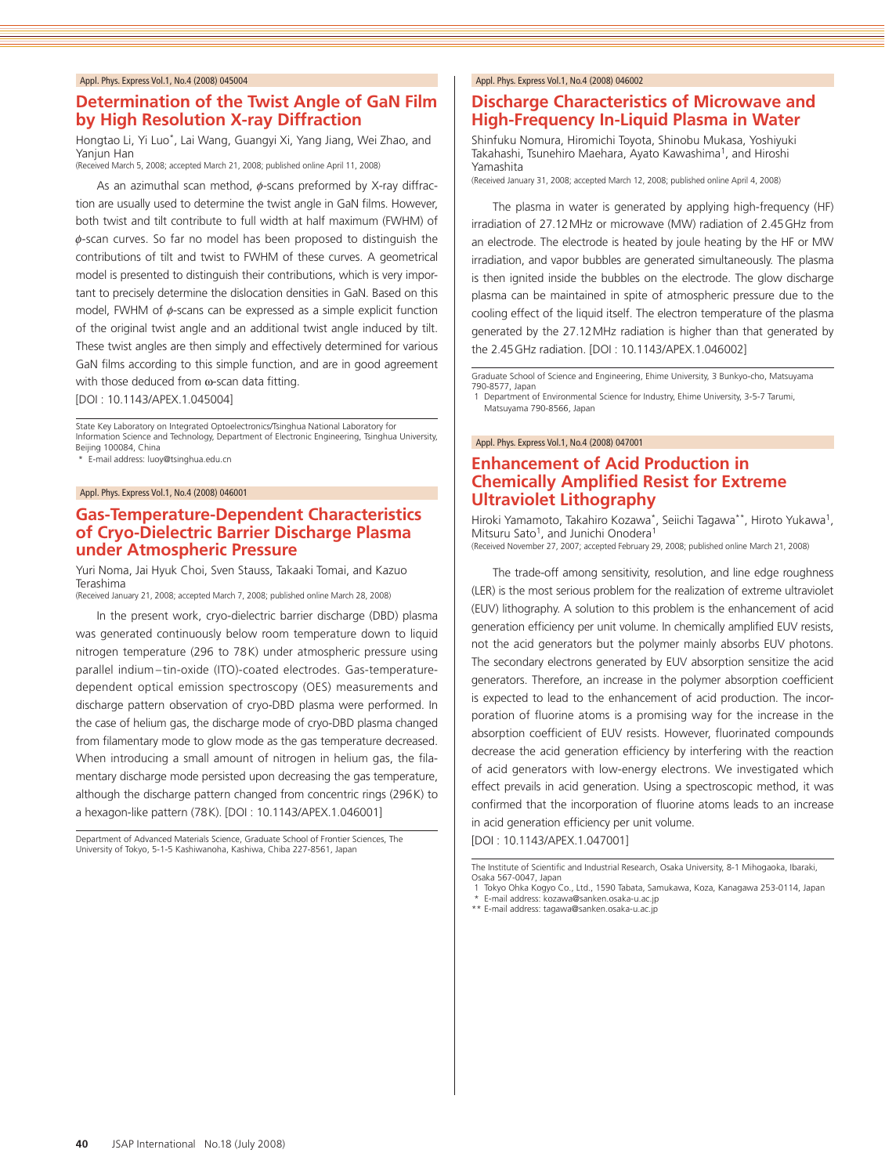# **Determination of the Twist Angle of GaN Film by High Resolution X-ray Diffraction**

Hongtao Li, Yi Luo\*, Lai Wang, Guangyi Xi, Yang Jiang, Wei Zhao, and Yanjun Han (Received March 5, 2008; accepted March 21, 2008; published online April 11, 2008)

As an azimuthal scan method,  $\phi$ -scans preformed by X-ray diffraction are usually used to determine the twist angle in GaN films. However, both twist and tilt contribute to full width at half maximum (FWHM) of ϕ-scan curves. So far no model has been proposed to distinguish the contributions of tilt and twist to FWHM of these curves. A geometrical model is presented to distinguish their contributions, which is very important to precisely determine the dislocation densities in GaN. Based on this model, FWHM of ϕ-scans can be expressed as a simple explicit function of the original twist angle and an additional twist angle induced by tilt. These twist angles are then simply and effectively determined for various GaN films according to this simple function, and are in good agreement with those deduced from ω-scan data fitting.

[DOI : 10.1143/APEX.1.045004]

State Key Laboratory on Integrated Optoelectronics/Tsinghua National Laboratory for Information Science and Technology, Department of Electronic Engineering, Tsinghua University, Beijing 100084, China

\* E-mail address: luoy@tsinghua.edu.cn

#### Appl. Phys. Express Vol.1, No.4 (2008) 046001

### **Gas-Temperature-Dependent Characteristics of Cryo-Dielectric Barrier Discharge Plasma under Atmospheric Pressure**

Yuri Noma, Jai Hyuk Choi, Sven Stauss, Takaaki Tomai, and Kazuo Terashima

(Received January 21, 2008; accepted March 7, 2008; published online March 28, 2008)

In the present work, cryo-dielectric barrier discharge (DBD) plasma was generated continuously below room temperature down to liquid nitrogen temperature (296 to 78K) under atmospheric pressure using parallel indium-tin-oxide (ITO)-coated electrodes. Gas-temperaturedependent optical emission spectroscopy (OES) measurements and discharge pattern observation of cryo-DBD plasma were performed. In the case of helium gas, the discharge mode of cryo-DBD plasma changed from filamentary mode to glow mode as the gas temperature decreased. When introducing a small amount of nitrogen in helium gas, the filamentary discharge mode persisted upon decreasing the gas temperature, although the discharge pattern changed from concentric rings (296K) to a hexagon-like pattern (78K). [DOI : 10.1143/APEX.1.046001]

Department of Advanced Materials Science, Graduate School of Frontier Sciences, The University of Tokyo, 5-1-5 Kashiwanoha, Kashiwa, Chiba 227-8561, Japan

#### Appl. Phys. Express Vol.1, No.4 (2008) 046002

### **Discharge Characteristics of Microwave and High-Frequency In-Liquid Plasma in Water**

Shinfuku Nomura, Hiromichi Toyota, Shinobu Mukasa, Yoshiyuki Takahashi, Tsunehiro Maehara, Ayato Kawashima<sup>1</sup>, and Hiroshi Yamashita

(Received January 31, 2008; accepted March 12, 2008; published online April 4, 2008)

The plasma in water is generated by applying high-frequency (HF) irradiation of 27.12MHz or microwave (MW) radiation of 2.45GHz from an electrode. The electrode is heated by joule heating by the HF or MW irradiation, and vapor bubbles are generated simultaneously. The plasma is then ignited inside the bubbles on the electrode. The glow discharge plasma can be maintained in spite of atmospheric pressure due to the cooling effect of the liquid itself. The electron temperature of the plasma generated by the 27.12MHz radiation is higher than that generated by the 2.45GHz radiation. [DOI : 10.1143/APEX.1.046002]

Graduate School of Science and Engineering, Ehime University, 3 Bunkyo-cho, Matsuyama 790-8577, Japan

138 SS77, Separt<br>1 Department of Environmental Science for Industry, Ehime University, 3-5-7 Tarumi, Matsuyama 790-8566, Japan

#### Appl. Phys. Express Vol.1, No.4 (2008) 047001

# **Enhancement of Acid Production in Chemically Amplified Resist for Extreme Ultraviolet Lithography**

Hiroki Yamamoto, Takahiro Kozawa\*, Seiichi Tagawa\*\*, Hiroto Yukawa1, Mitsuru Sato<sup>1</sup>, and Junichi Onodera<sup>1</sup>

(Received November 27, 2007; accepted February 29, 2008; published online March 21, 2008)

The trade-off among sensitivity, resolution, and line edge roughness (LER) is the most serious problem for the realization of extreme ultraviolet (EUV) lithography. A solution to this problem is the enhancement of acid generation efficiency per unit volume. In chemically amplified EUV resists, not the acid generators but the polymer mainly absorbs EUV photons. The secondary electrons generated by EUV absorption sensitize the acid generators. Therefore, an increase in the polymer absorption coefficient is expected to lead to the enhancement of acid production. The incorporation of fluorine atoms is a promising way for the increase in the absorption coefficient of EUV resists. However, fluorinated compounds decrease the acid generation efficiency by interfering with the reaction of acid generators with low-energy electrons. We investigated which effect prevails in acid generation. Using a spectroscopic method, it was confirmed that the incorporation of fluorine atoms leads to an increase in acid generation efficiency per unit volume.

[DOI : 10.1143/APEX.1.047001]

The Institute of Scientific and Industrial Research, Osaka University, 8-1 Mihogaoka, Ibaraki, Osaka 567-0047, Japan

<sup>1</sup> Tokyo Ohka Kogyo Co., Ltd., 1590 Tabata, Samukawa, Koza, Kanagawa 253-0114, Japan

E-mail address: kozawa@sanken.osaka-u.ac.jp

<sup>\*\*</sup> E-mail address: tagawa@sanken.osaka-u.ac.jp